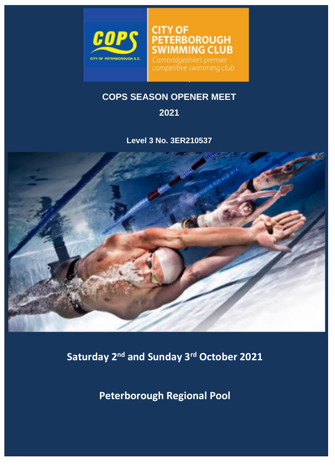

**IMMING CLUB** Cambridgeshire's premier competitive swimming club

**TERBOROUGH** 

# **COPS SEASON OPENER MEET**

**CITY OF** 

# **2021**

**Level 3 No. 3ER210537**



**Saturday 2nd and Sunday 3rd October 2021**

**Peterborough Regional Pool**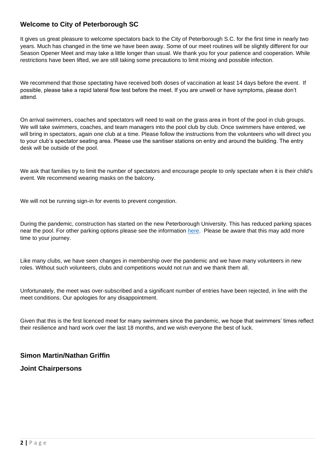# **Welcome to City of Peterborough SC**

It gives us great pleasure to welcome spectators back to the City of Peterborough S.C. for the first time in nearly two years. Much has changed in the time we have been away. Some of our meet routines will be slightly different for our Season Opener Meet and may take a little longer than usual. We thank you for your patience and cooperation. While restrictions have been lifted, we are still taking some precautions to limit mixing and possible infection.

We recommend that those spectating have received both doses of vaccination at least 14 days before the event. If possible, please take a rapid lateral flow test before the meet. If you are unwell or have symptoms, please don't attend.

On arrival swimmers, coaches and spectators will need to wait on the grass area in front of the pool in club groups. We will take swimmers, coaches, and team managers into the pool club by club. Once swimmers have entered, we will bring in spectators, again one club at a time. Please follow the instructions from the volunteers who will direct you to your club's spectator seating area. Please use the sanitiser stations on entry and around the building. The entry desk will be outside of the pool.

We ask that families try to limit the number of spectators and encourage people to only spectate when it is their child's event. We recommend wearing masks on the balcony.

We will not be running sign-in for events to prevent congestion.

During the pandemic, construction has started on the new Peterborough University. This has reduced parking spaces near the pool. For other parking options please see the information [here.](https://en.parkopedia.co.uk/parking/carpark/regional_pool/pe1/peterborough/?arriving=202109181300&leaving=202109181500) Please be aware that this may add more time to your journey.

Like many clubs, we have seen changes in membership over the pandemic and we have many volunteers in new roles. Without such volunteers, clubs and competitions would not run and we thank them all.

Unfortunately, the meet was over-subscribed and a significant number of entries have been rejected, in line with the meet conditions. Our apologies for any disappointment.

Given that this is the first licenced meet for many swimmers since the pandemic, we hope that swimmers' times reflect their resilience and hard work over the last 18 months, and we wish everyone the best of luck.

# **Simon Martin/Nathan Griffin**

# **Joint Chairpersons**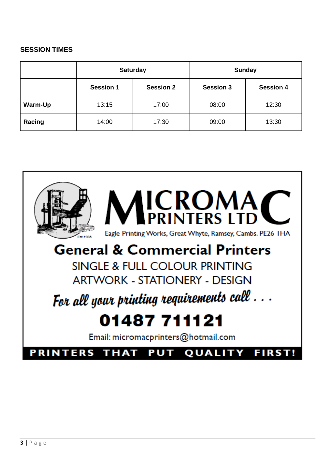# **SESSION TIMES**

|         |                  | <b>Saturday</b>  | <b>Sunday</b>    |                  |  |
|---------|------------------|------------------|------------------|------------------|--|
|         | <b>Session 1</b> | <b>Session 2</b> | <b>Session 3</b> | <b>Session 4</b> |  |
| Warm-Up | 13:15            | 17:00            | 08:00            | 12:30            |  |
| Racing  | 14:00            | 17:30            | 09:00            | 13:30            |  |

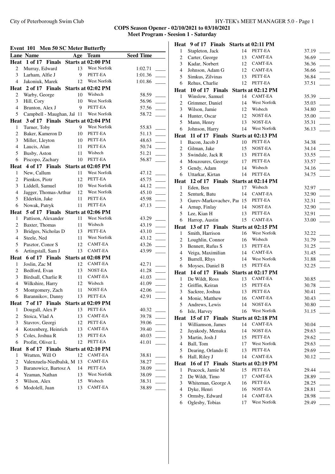City of Peterborough Swim Club HY-TEK's MEET MANAGER 5.0 - Page 1

**COPS Season Opener - 02/10/2021 to 03/10/2021 Meet Program - Seesion 1 - Saturday**

#### **Event 101 Men 50 SC Meter Butterfly**

|                          | Event 101<br>Men 50 SC Meter Butterily |     |                     |                  |  |
|--------------------------|----------------------------------------|-----|---------------------|------------------|--|
|                          | <b>Lane Name</b>                       | Age | <b>Team</b>         | <b>Seed Time</b> |  |
| Heat                     | 1 of 17 Finals                         |     | Starts at 02:00 PM  |                  |  |
| 2                        | Murray, Edward                         | 13  | West Norfolk        | 1:02.71          |  |
| 3                        | Larham, Alfie J                        | 9   | PETT-EA             | 1:01.36          |  |
| $\overline{4}$           | Jakoniuk, Marek                        | 12  | West Norfolk        | 1:01.86          |  |
|                          | Heat 2 of 17 Finals Starts at 02:02 PM |     |                     |                  |  |
| 2                        | Warby, George                          | 10  | Wisbech             | 58.59            |  |
| 3                        | Hill, Cory                             | 10  | West Norfolk        | 56.96            |  |
| $\overline{4}$           | Brunton, Alex J                        | 9   | PETT-EA             | 57.56            |  |
| 5                        | Campbell - Maughan, Jal 11             |     | West Norfolk        | 58.72            |  |
|                          | Heat 3 of 17 Finals Starts at 02:04 PM |     |                     |                  |  |
| 1                        | Turner, Toby                           | 9   | West Norfolk        | 55.83            |  |
| $\overline{c}$           | Baker, Kameron D                       | 10  | PETT-EA             | 51.13            |  |
| 3                        | Miller, Lleyton                        | 10  | PETT-EA             | 48.63            |  |
| 4                        | Laucis, Alan                           | 11  | PETT-EA             | 50.74            |  |
| 5                        | Busby, Aston                           | 11  | Wisbech             | 51.21            |  |
| 6                        | Piscopo, Zachary                       | 10  | PETT-EA             | 56.87            |  |
| Heat                     | 4 of 17 Finals Starts at 02:05 PM      |     |                     |                  |  |
| 1                        | New, Callum                            | 11  | West Norfolk        | 47.12            |  |
| $\overline{c}$           | Pienkos, Piotr                         | 12  | PETT-EA             | 45.75            |  |
| 3                        | Liddell, Samuel                        | 10  | West Norfolk        | 44.12            |  |
| $\overline{\mathbf{4}}$  | Jagger, Thomas-Arthur                  | 12  | <b>West Norfolk</b> | 45.10            |  |
| 5                        | Elderkin, Jake                         | 11  | PETT-EA             | 45.98            |  |
| 6                        | Nowak, Patryk                          | 11  | PETT-EA             | 47.13            |  |
|                          | Heat 5 of 17 Finals Starts at 02:06 PM |     |                     |                  |  |
| 1                        | Pattison, Alexander                    | 11  | West Norfolk        | 43.29            |  |
| $\overline{c}$           | Baxter, Thomas                         | 11  | Wisbech             | 43.19            |  |
| 3                        | Bridges, Nicholas D                    | 13  | PETT-EA             | 43.10            |  |
| $\overline{4}$           | Steele, Ned                            | 11  | West Norfolk        | 43.12            |  |
| 5                        | Pasztor, Conor S                       | 12  | <b>CAMT-EA</b>      | 43.26            |  |
| 6                        | Artingstall, Sam J                     | 13  | <b>CAMT-EA</b>      | 43.99            |  |
|                          | Heat 6 of 17 Finals                    |     | Starts at 02:08 PM  |                  |  |
| 1                        | Joslin, Zac M                          | 12  | CAMT-EA             | 42.71            |  |
| 2                        | Bedford, Evan                          | 13  | NOST-EA             | 41.28            |  |
| 3                        | Birdsall, Charlie R                    | 11  | <b>CAMT-EA</b>      | 41.03            |  |
| $\overline{\mathbf{4}}$  | Wilkshire, Harry                       | 12  | Wisbech             | 41.09            |  |
| 5                        | Montgomery, Zach                       | 11  | NOST-EA             | 42.06            |  |
| 6                        | Barannikov, Danny                      | 13  | PETT-EA             | 42.91            |  |
| Heat                     | 7 of 17 Finals                         |     | Starts at 02:09 PM  |                  |  |
| $\,1$                    | Dougall, Alex P                        | 13  | PETT-EA             | 40.32            |  |
| $\mathbf{2}$             | Stoica, Vlad A                         | 13  | <b>CAMT-EA</b>      | 39.78            |  |
| 3                        | Stavrov, Georgi                        | 12  | PETT-EA             | 39.06            |  |
| $\overline{\mathcal{L}}$ | Kotzenberg, Heinrich                   | 13  | CAMT-EA             | 39.40            |  |
| 5                        | Coles, Joshua R                        | 13  | PETT-EA             | 40.03            |  |
| 6                        | Profitt, Oliver L                      | 12  | PETT-EA             | 41.01            |  |
| Heat                     | 8 of 17 Finals                         |     | Starts at 02:10 PM  |                  |  |
| 1                        | Wratten, Will O                        | 12  | CAMT-EA             | 38.81            |  |
| 2                        | Valenzuela-Niedbalsk, M 13             |     | CAMT-EA             | 38.27            |  |
| 3                        | Baranowicz, Bartosz A                  | 14  | PETT-EA             | 38.09            |  |
| $\overline{\mathcal{L}}$ |                                        | 13  | West Norfolk        |                  |  |
| 5                        | Yeaman, Nathan                         |     | Wisbech             | 38.09            |  |
|                          | Wilson, Alex                           | 15  | CAMT-EA             | 38.31            |  |
| 6                        | Modolell, Juan                         | 13  |                     | 38.89            |  |

|                          | Heat 9 of 17 Finals Starts at 02:11 PM  |          |                         |                |
|--------------------------|-----------------------------------------|----------|-------------------------|----------------|
| 1                        | Stapleton, Jack                         | 14       | PETT-EA                 | 37.19          |
| $\overline{c}$           | Carter, George                          | 13       | <b>CAMT-EA</b>          | 36.69          |
| 3                        | Kadar, Norbert                          | 12       | <b>CAMT-EA</b>          | 36.36          |
| $\overline{4}$           | Johnson, Adam G                         | 12       | CAMT-EA                 | 36.66          |
| 5                        | Simkus, Zilvinas                        | 13       | PETT-EA                 | 36.84          |
| 6                        | Rehus, Charlie                          | 12       | PETT-EA                 | 37.51          |
|                          | Heat 10 of 17 Finals Starts at 02:12 PM |          |                         |                |
| $\mathbf{1}$             | Winslow, Samuel                         | 14       | <b>CAMT-EA</b>          | 35.39          |
| $\overline{2}$           | Grimmer, Daniel                         | 14       | West Norfolk            | 35.03          |
| 3                        | Wilson, Jamie                           | 12       | Wisbech                 | 34.80          |
| 4                        | Hunter, Oscar                           | 12       | NOST-EA                 | 35.00          |
| 5                        | Mann, Henry                             | 13       | NOST-EA                 | 35.31          |
| 6                        | Johnson, Harry                          | 14       | West Norfolk            | 36.13          |
| Heat                     | 11 of 17 Finals Starts at 02:13 PM      |          |                         |                |
| 1                        | Bacon, Jacob J                          | 10       | PETT-EA                 | 34.38          |
| $\overline{c}$           | Gilman, Jake                            | 15       | NOST-EA                 | 34.14          |
| 3                        | Swindale, Jack R                        | 13       | PETT-EA                 | 33.55          |
| $\overline{4}$           | Mouzoures, George                       | 17       | PETT-EA                 | 33.57          |
| 5                        | Gendy, Adam                             | 14       | Wisbech                 | 34.16          |
| 6                        | Uttarkar, Kirtan                        | 14       | PETT-EA                 | 34.75          |
|                          | Heat 12 of 17 Finals Starts at 02:14 PM |          |                         |                |
| $\mathbf{1}$             | Eden, Ben                               | 17       | Wisbech                 | 32.97          |
| 2                        | Senturk, Batu                           | 14       | <b>CAMT-EA</b>          | 32.90          |
| 3                        | Gurev-Markovachev, Paı 15               |          | PETT-EA                 | 32.31          |
| $\overline{4}$           | Arnup, Finlay                           | 14       | NOST-EA                 | 32.90          |
| 5                        | Lee, Kian H                             | 13       | PETT-EA                 | 32.91          |
| 6                        | Harrop, Austin                          | 15       | CAMT-EA                 | 33.00          |
| Heat                     | 13 of 17 Finals                         |          | Starts at 02:15 PM      |                |
| 1                        | Smith, Harrison                         | 16       | West Norfolk            | 32.22          |
| $\overline{c}$           | Loughlin, Connor                        | 16       | Wisbech                 | 31.79          |
| 3                        |                                         | 13       | PETT-EA                 | 31.25          |
|                          | Bennett, Rufus S                        |          |                         |                |
| $\overline{4}$           | Veiga, Maximilian                       | 14       | CAMT-EA                 | 31.45          |
| 5                        | Burrell, Rhys                           | 14       | West Norfolk            | 31.88          |
| 6                        | Moyses, Daniel B                        | 15       | PETT-EA                 | 32.25          |
|                          | Heat 14 of 17 Finals Starts at 02:17 PM |          |                         |                |
| $\mathbf{1}$             | De Wildt, Ross                          | 13       | CAMT-EA                 | 30.85          |
| $\overline{2}$           | Griffin, Keiran                         | 15       | PETT-EA                 | 30.78          |
| 3 <sup>1</sup>           | Sackree, Joshua                         | 13       | PETT-EA                 | 30.41          |
| 4                        | Monie, Matthew                          | 16       | CAMT-EA                 | 30.43          |
| 5                        | Andrews, Lewis                          | 14       | NOST-EA                 | 30.80          |
| 6                        | Isle, Harvey                            | 16       | <b>West Norfolk</b>     | 31.15          |
| Heat                     | 15 of 17 Finals                         |          | Starts at 02:18 PM      |                |
| 1                        | Williamson, James                       | 14       | CAMT-EA                 | 30.04          |
| 2                        | Jayakody, Menuka                        | 14       | NOST-EA                 | 29.63          |
| 3                        | Martin, Josh J                          | 15       | PETT-EA                 | 29.62          |
| $\overline{4}$           | Ball, Tom                               | 17       | West Norfolk            | 29.63          |
| 5                        | Dearing, Orlando E                      | 13       | PETT-EA                 | 29.69          |
| 6                        | Hall, Riley J                           | 14       | <b>CAMT-EA</b>          | 30.12          |
|                          | Heat 16 of 17 Finals                    |          | Starts at 02:19 PM      |                |
| $\mathbf{1}$             | Peacock, Jamie M                        | 15       | PETT-EA                 | 29.44          |
| $\overline{2}$           | De Wildt, Timo                          | 17       | CAMT-EA                 | 28.89          |
| 3                        | Whiteman, George A                      | 16       | PETT-EA                 | 28.25          |
| $\overline{\mathcal{L}}$ | Dyke, Henri                             | 16       | NOST-EA                 | 28.81          |
| 5<br>6                   | Ormsby, Edward<br>Oglesby, Tobias       | 14<br>17 | CAMT-EA<br>West Norfolk | 28.98<br>29.49 |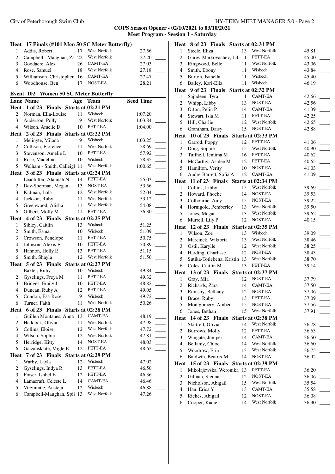|                | Heat 17 Finals (#101 Men 50 SC Meter Butterfly) |     |                         |                  |  |
|----------------|-------------------------------------------------|-----|-------------------------|------------------|--|
| $\mathbf{1}$   | Addis, Robert                                   | 17  | West Norfolk            | 27.56            |  |
| $\mathbf{2}$   | Campbell - Maughan, Za 22                       |     | West Norfolk            | 27.20            |  |
| 3              | Goodacre, Alex                                  | 26  | <b>CAMT-EA</b>          | 27.03            |  |
| 4              | Rose, Samuel                                    | 18  | <b>West Norfolk</b>     | 27.18            |  |
| 5              | Williamson, Christopher                         | 16  | <b>CAMT-EA</b>          | 27.47            |  |
| 6              | Woodhouse, Ben                                  | 17  | NOST-EA                 | 28.21            |  |
|                |                                                 |     |                         |                  |  |
|                | Event 102 Women 50 SC Meter Butterfly           |     |                         |                  |  |
|                | Lane Name                                       | Age | <b>Team</b>             | <b>Seed Time</b> |  |
|                | Heat 1 of 23 Finals Starts at 02:21 PM          |     |                         |                  |  |
| $\overline{c}$ | Norman, Ella-Louise                             | 11  | Wisbech                 | 1:07.20          |  |
| 3              | Anderson, Polly                                 | 9   | West Norfolk            | 1:03.84          |  |
| $\overline{4}$ | Wilson, Amelie D                                | 10  | PETT-EA                 | 1:04.00          |  |
|                | Heat 2 of 23 Finals                             |     | Starts at 02:22 PM      |                  |  |
| 1              | Melinyte, Milana                                | 9   | Wisbech                 | 1:03.25          |  |
| 2              | Collison, Florence                              | 11  | West Norfolk            | 58.69            |  |
| 3              | Stevenson, Amelie L                             | 10  | PETT-EA                 | 57.92            |  |
| $\overline{4}$ | Rose, Madeline                                  | 10  | Wisbech<br>West Norfolk | 58.35            |  |
| 5              | Welham - Smith, Calleigl 11                     |     |                         | 1:00.65          |  |
|                | Heat 3 of 23 Finals Starts at 02:24 PM          |     |                         |                  |  |
| $\mathbf{1}$   | Leadbitter, Alannah N                           | 14  | PETT-EA                 | 55.03            |  |
| $\overline{c}$ | Dev-Sherman, Megan                              | 13  | NOST-EA                 | 53.56            |  |
| 3              | Kidman, Lola                                    | 12  | West Norfolk            | 52.04            |  |
| $\overline{4}$ | Jackson, Ruby                                   | 11  | West Norfolk            | 53.12            |  |
| 5              | Greenwood, Alisha                               | 11  | West Norfolk            | 54.08            |  |
| 6              | Gilbert, Molly M                                | 11  | PETT-EA                 | 56.30            |  |
|                | Heat 4 of 23 Finals Starts at 02:25 PM          |     |                         |                  |  |
| 1              | Sibley, Caitlin                                 | 13  | Wisbech                 | 51.25            |  |
| $\overline{c}$ | Smith, Esmai                                    | 10  | Wisbech                 | 51.09            |  |
| 3              | Crowson, Penelope                               | 11  | PETT-EA                 | 50.75            |  |
| $\overline{4}$ | Johnson, Alexis F                               | 10  | PETT-EA                 | 50.89            |  |
| 5              | Hannon, Holly E                                 | 13  | PETT-EA                 | 51.15            |  |
| 6              | Smith, Shayla                                   | 12  | West Norfolk            | 51.50            |  |
|                | Heat 5 of 23 Finals Starts at 02:27 PM          |     |                         |                  |  |
| $\mathbf{1}$   | Baxter, Ruby                                    | 10  | Wisbech                 | 49.84            |  |
| $\overline{c}$ | Gyselings, Freya M                              | 11  | PETT-EA                 | 49.32            |  |
| 3              | Bridges, Emily J                                | 10  | PETT-EA                 | 48.82            |  |
| $\overline{4}$ | Duncan, Ruby A                                  | 12  | PETT-EA                 | 49.05            |  |
| 5              | Condon, Esa-Rose                                | 9   | Wisbech<br>West Norfolk | 49.72            |  |
| 6              | Turner, Faith                                   | 11  |                         | 50.26            |  |
| Heat           | 6 of 23 Finals Starts at 02:28 PM               |     |                         |                  |  |
| 1              | Guillen Montanes, Anna                          | 13  | <b>CAMT-EA</b>          | 48.19            |  |
| $\overline{c}$ | Haddock, Olivia                                 | 11  | West Norfolk            | 47.98            |  |
| 3              | Collins, Eloise                                 | 12  | West Norfolk            | 47.72            |  |
| $\overline{4}$ | Wilson, Sophia                                  | 12  | West Norfolk            | 47.81            |  |
| 5              | Herridge, Kitty                                 | 14  | NOST-EA<br>PETT-EA      | 48.03            |  |
| 6              | Gaizauskaite, Migle E                           | 12  |                         | 48.62            |  |
| Heat           | 7 of 23 Finals Starts at 02:29 PM               |     |                         |                  |  |
| 1              | Warby, Layla                                    | 12  | Wisbech                 | 47.02            |  |
| $\overline{c}$ | Gyselings, Indya R                              | 13  | PETT-EA                 | 46.50            |  |
| 3              | Fraser, Isobel E                                | 12  | PETT-EA                 | 46.36            |  |
| $\overline{4}$ | Lamacraft, Celeste L                            | 14  | CAMT-EA                 | 46.46            |  |
| 5              | Virzintaite, Austeja                            | 12  | Wisbech                 | 46.88            |  |
| 6              | Campbell-Maughan, Spil 13                       |     | West Norfolk            | 47.26            |  |

|                | Heat 8 of 23 Finals Starts at 02:31 PM  |          |                         |                                     |
|----------------|-----------------------------------------|----------|-------------------------|-------------------------------------|
| $\mathbf{1}$   | Steele, Eliza                           | 13       | <b>West Norfolk</b>     | 45.81                               |
| $\overline{c}$ | Gurev-Markovachev, Lil                  | 11       | PETT-EA                 | 45.00                               |
| 3              | Ringwood, Belle                         | 11       | <b>West Norfolk</b>     | 43.06                               |
| $\overline{4}$ | Smith, Ebony                            | 11       | Wisbech                 | 43.84                               |
| 5              | Burton, Isabella                        | 11       | Wisbech                 | 45.40                               |
| 6              | Bailey, Kari-Ella                       | 11       | Wisbech                 | 46.19                               |
|                | Heat 9 of 23 Finals Starts at 02:32 PM  |          |                         |                                     |
| 1              | Sajudeen, Tyra                          | 11       | CAMT-EA                 | 42.66                               |
| 2              | Whipp, Libby                            | 13       | NOST-EA                 | 42.56                               |
| 3              | Orton, Pelin P                          | 14       | <b>CAMT-EA</b>          | 41.39                               |
| $\overline{4}$ | Stewart, Isla M                         | 11       | PETT-EA                 | 42.25                               |
| 5              | Hill, Charlie                           | 12       | West Norfolk            | 42.65                               |
| 6              | Grantham, Daisy                         | 15       | NOST-EA                 | 42.88                               |
|                | Heat 10 of 23 Finals Starts at 02:33 PM |          |                         |                                     |
| $\mathbf{1}$   | Garrod, Poppy                           | 12       | PETT-EA                 | 41.06                               |
| $\overline{c}$ | Doig, Sophie                            | 15       | West Norfolk            | 40.90                               |
| 3              | Tuffnell, Jemima M                      | 16       | PETT-EA                 | 40.62                               |
| $\overline{4}$ | McCarthy, Ashlee M                      | 12       | PETT-EA                 | 40.65                               |
| 5              | Hamilton, Verity                        | 10       | NOST-EA                 | 41.03                               |
| 6              | Andre-Barrett, Sofia A                  | 12       | CAMT-EA                 | 41.09                               |
|                | Heat 11 of 23 Finals Starts at 02:34 PM |          |                         |                                     |
| 1              | Collins, Libby                          | 15       | West Norfolk            | 39.69                               |
| 2              | Howard, Phoebe                          | 14       | NOST-EA                 | $\mathcal{L}^{\text{max}}$<br>39.53 |
| 3              | Colbourne, Amy                          | 15       | NOST-EA                 | 39.22                               |
| 4              | Hornigold, Pemberley                    | 13       | West Norfolk            | 39.50                               |
| 5              | Jones, Megan                            | 13       | West Norfolk            | 39.62                               |
| 6              | Murrell, Lily P                         | 12       | NOST-EA                 | 40.15                               |
|                |                                         |          |                         |                                     |
|                | Heat 12 of 23 Finals                    |          | Starts at 02:35 PM      |                                     |
| 1              | Wilson, Zoe                             | 13       | Wisbech                 | 39.09                               |
| $\overline{c}$ | Marcinek, Wiktoria                      | 13       | West Norfolk            | 38.46                               |
| 3              | Ostil, Karylle                          | 12       | West Norfolk            | 38.25                               |
| $\overline{4}$ | Harding, Charlisse                      | 12       | NOST-EA                 | 38.43                               |
| 5              | Sutika-Totlebena, Kristin 13            |          | West Norfolk            | 38.70                               |
| 6              | Coles, Caitlin M                        | 13       | PETT-EA                 | 39.14                               |
|                | Heat 13 of 23 Finals Starts at 02:37 PM |          |                         |                                     |
| 1              | Gray, Mia                               | 12       | NOST-EA                 | 37.79                               |
| $\mathbf{2}$   | Richards, Zara                          | 14       | <b>CAMT-EA</b>          | 37.50                               |
| 3              | Rumsby, Bethany                         | 12       | NOST-EA                 | 37.06                               |
| 4              | Brace, Ruby                             | 13       | PETT-EA                 | 37.09                               |
| 5              | Montgomery, Amber                       | 15       | NOST-EA                 | 37.56                               |
| 6              | Jones, Bethan                           | 15       | West Norfolk            | 37.91                               |
| Heat           | 14 of 23 Finals                         |          | Starts at 02:38 PM      |                                     |
| 1              | Skittrell, Olivia                       | 14       | West Norfolk            | 36.78                               |
| $\mathbf{2}$   | Burrows, Molly                          | 12       | PETT-EA                 | 36.63                               |
| 3              | Wingate, Juniper                        | 14       | CAMT-EA                 | 36.50                               |
| $\overline{4}$ | Bellamy, Chloe                          | 14       | West Norfolk            | 36.60                               |
| 5              | Woodrow, Erin                           | 13       | West Norfolk            | 36.75                               |
| 6              | Baldwin, Beatrix M                      | 14       | NOST-EA                 | 36.92                               |
| Heat           | $15$ of $23$ Finals                     |          | Starts at 02:39 PM      |                                     |
| 1              | Mikolajewska, Weronika 13               |          | PETT-EA                 | 36.20                               |
| 2              | Gilman, Sienna                          | 12       | NOST-EA                 | 36.06                               |
| 3              | Nicholson, Abigail                      | 15       | West Norfolk            | 35.54                               |
| 4              | Han, Erica Y                            | 13       | CAMT-EA                 | 35.58                               |
| 5<br>6         | Riches, Abigail<br>Cooper, Kacie        | 12<br>14 | NOST-EA<br>West Norfolk | 36.08<br>36.30                      |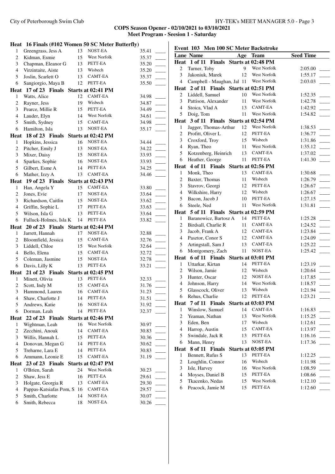# **COPS Season Opener - 02/10/2021 to 03/10/2021 Meet Program - Seesion 1 - Saturday**

|                  | Heat 16 Finals (#102 Women 50 SC Meter Butterfly) |          |                     |                |  |
|------------------|---------------------------------------------------|----------|---------------------|----------------|--|
| $\mathbf{1}$     | Greengrass, Jess A                                | 13       | NOST-EA             | 35.41          |  |
| $\overline{c}$   | Kidman, Esmie                                     | 15       | West Norfolk        | 35.37          |  |
| 3                | Chapman, Eleanor G                                | 13       | PETT-EA             | 35.20          |  |
| $\overline{4}$   | Virzintaite, Aiste                                | 13       | Wisbech             | 35.20          |  |
| 5                | Joslin, Scarlett O                                | 13       | CAMT-EA             | 35.37          |  |
| 6                | Sangiorgio, Maya B                                | 12       | PETT-EA             | 35.50          |  |
|                  | Heat 17 of 23 Finals Starts at 02:41 PM           |          |                     |                |  |
| 1                | Watts, Alice                                      | 12       | <b>CAMT-EA</b>      | 34.98          |  |
| $\boldsymbol{2}$ | Rayner, Jess                                      | 19       | Wisbech             | 34.87          |  |
| 3                | Pearce, Millie R                                  | 15       | PETT-EA             | 34.49          |  |
| $\overline{4}$   | Lauder, Elyn                                      | 14       | <b>West Norfolk</b> | 34.61          |  |
| 5                | Smith, Sydney                                     | 15       | CAMT-EA             | 34.98          |  |
| 6                | Hamilton, Isla                                    | 13       | NOST-EA             | 35.17          |  |
|                  | Heat 18 of 23 Finals                              |          | Starts at 02:42 PM  |                |  |
| $\mathbf{1}$     | Hopkins, Jessica                                  | 16       | NOST-EA             | 34.44          |  |
| $\overline{c}$   | Pitcher, Emily J                                  | 13       | NOST-EA             | 34.22          |  |
| 3                | Mixer, Daisy                                      | 15       | NOST-EA             | 33.93          |  |
| $\overline{4}$   | Sparkes, Sophie                                   | 16       | NOST-EA             | 33.93          |  |
| 5                | Gilbert, Esme A                                   | 14       | PETT-EA             | 34.25          |  |
| 6                | Mather, Izzy A                                    | 13       | CAMT-EA             | 34.46          |  |
| Heat             | 19 of 23 Finals Starts at 02:43 PM                |          |                     |                |  |
| 1                | Han, Angela Y                                     | 15       | CAMT-EA             | 33.80          |  |
| $\overline{c}$   | Jones, Evie                                       | 17       | NOST-EA             | 33.64          |  |
| 3                | Richardson, Caitlin                               | 15       | NOST-EA             | 33.62          |  |
| $\overline{4}$   | Griffin, Sophie L                                 | 17       | PETT-EA             | 33.63          |  |
| 5                | Wilson, Isla G                                    | 13       | PETT-EA             | 33.64          |  |
| 6                | Fulluck-Holmes, Isla K                            | 14       | PETT-EA             | 33.82          |  |
|                  | Heat 20 of 23 Finals Starts at 02:44 PM           |          |                     |                |  |
|                  |                                                   |          |                     |                |  |
| $\mathbf{1}$     | Jarrett, Hannah                                   | 17       | NOST-EA             | 32.88          |  |
| 2                | Bloomfield, Jessica                               | 15       | <b>CAMT-EA</b>      | 32.76          |  |
| 3                | Liddell, Chloe                                    | 15       | <b>West Norfolk</b> | 32.64          |  |
| 4                | Bello, Elena                                      | 15       | CAMT-EA             | 32.72          |  |
| 5                | Coleman, Jasmine                                  | 15       | NOST-EA             | 32.78          |  |
| 6                | Davis, Lilly K                                    | 13       | PETT-EA             | 33.21          |  |
|                  | Heat 21 of 23 Finals Starts at 02:45 PM           |          |                     |                |  |
| 1                | Minett, Olivia                                    | 13       | PETT-EA             | 32.33          |  |
| $\overline{c}$   | Scott, Indy M                                     | 15       | CAMT-EA             | 31.76          |  |
| 3                | Hammond, Lauren                                   | 16       | <b>CAMT-EA</b>      | 31.23          |  |
| 4                | Shaw, Charlotte J                                 | 14       | PETT-EA             | 31.51          |  |
| 5                | Andrews, Katie                                    | 16       | NOST-EA             | 31.92          |  |
| 6                | Dorman, Leah                                      | 14       | PETT-EA             | 32.37          |  |
| Heat             | 22 of 23 Finals                                   |          | Starts at 02:46 PM  |                |  |
| $\mathbf{1}$     | Wightman, Leah                                    | 16       | West Norfolk        | 30.97          |  |
| $\overline{c}$   | Zecchini, Anouk                                   | 14       | CAMT-EA             | 30.83          |  |
| 3                | Willis, Hannah L                                  | 15       | PETT-EA             | 30.36          |  |
| $\overline{4}$   | Donovan, Megan G                                  | 14       | PETT-EA             | 30.62          |  |
| 5                | Treharne, Lara E                                  | 14       | PETT-EA             | 30.83          |  |
| 6                | Ammann, Leonie E                                  | 15       | CAMT-EA             | 31.19          |  |
| Heat             | 23 of 23 Finals                                   |          | Starts at 02:47 PM  |                |  |
| 1                | O'Brien, Sarah                                    | 24       | West Norfolk        | 30.23          |  |
| $\overline{c}$   | Shaw, Jess E                                      | 16       | PETT-EA             | 29.61          |  |
| 3                | Holgate, Georgia R                                | 13       | CAMT-EA             | 29.30          |  |
| $\overline{4}$   | Pappas-Katsiafas Pom, S                           | 16       | CAMT-EA             | 29.57          |  |
| 5<br>6           | Smith, Charlotte<br>Smith, Rebecca                | 14<br>18 | NOST-EA<br>NOST-EA  | 30.07<br>30.26 |  |

# **Event 103 Men 100 SC Meter Backstroke**

|                          | <b>Lane Name</b>                       | Age      | <b>Team</b>         | <b>Seed Time</b>   |  |
|--------------------------|----------------------------------------|----------|---------------------|--------------------|--|
|                          | Heat 1 of 11 Finals Starts at 02:48 PM |          |                     |                    |  |
| 2                        | Turner, Toby                           | 9        | West Norfolk        | 2:05.00            |  |
| 3                        | Jakoniuk, Marek                        | 12       | West Norfolk        | 1:55.17            |  |
| $\overline{\mathcal{L}}$ | Campbell - Maughan, Jal 11             |          | West Norfolk        | 2:03.03            |  |
|                          | Heat 2 of 11 Finals Starts at 02:51 PM |          |                     |                    |  |
| 2                        | Liddell, Samuel                        | 10       | West Norfolk        | 1:52.35            |  |
| 3                        | Pattison, Alexander                    | 11       | West Norfolk        | 1:42.78            |  |
| $\overline{4}$           | Stoica, Vlad A                         | 13       | <b>CAMT-EA</b>      | 1:42.92            |  |
| 5                        | Doig, Tom                              | 11       | West Norfolk        | 1:54.82            |  |
|                          | Heat 3 of 11 Finals Starts at 02:54 PM |          |                     |                    |  |
| $\mathbf{1}$             | Jagger, Thomas-Arthur                  | 12       | <b>West Norfolk</b> | 1:38.53            |  |
| 2                        | Profitt, Oliver L                      | 12       | PETT-EA             | 1:36.77            |  |
| 3                        | Croxford, Troy                         | 15       | Wisbech             | 1:31.86            |  |
| $\overline{4}$           | Ryan, Theo                             | 11       | West Norfolk        | 1:35.12            |  |
| 5                        | Kotzenberg, Heinrich                   | 13       | CAMT-EA             | 1:37.02            |  |
| 6                        | Heather, George                        | 11       | PETT-EA             | 1:41.30            |  |
|                          | Heat 4 of 11 Finals Starts at 02:56 PM |          |                     |                    |  |
| $\mathbf{1}$             | Monk, Theo                             | 13       | CAMT-EA             | 1:30.68            |  |
| $\overline{c}$           | Baxter, Thomas                         | 11       | Wisbech             | 1:26.79            |  |
| 3                        | Stavrov, Georgi                        | 12       | PETT-EA             | 1:26.67            |  |
| $\overline{4}$           | Wilkshire, Harry                       | 12       | Wisbech             | 1:26.67            |  |
| 5                        | Bacon, Jacob J                         | 10       | PETT-EA             | 1:27.15            |  |
| 6                        | Steele, Ned                            | 11       | West Norfolk        | 1:31.81            |  |
|                          | Heat 5 of 11 Finals Starts at 02:59 PM |          |                     |                    |  |
| $\mathbf{1}$             | Baranowicz, Bartosz A                  | 14       | PETT-EA             | 1:25.28            |  |
| 2                        | Birdsall, Charlie R                    | 11       | CAMT-EA             | 1:24.52            |  |
| 3                        | Jacob, Frank A                         | 12       | CAMT-EA             | 1:23.84            |  |
| $\overline{4}$           | Pasztor, Conor S                       | 12       | CAMT-EA             | 1:24.09            |  |
| 5                        | Artingstall, Sam J                     | 13       | CAMT-EA             | 1:25.22            |  |
| 6                        | Montgomery, Zach                       | 11       | NOST-EA             | 1:25.42            |  |
|                          | Heat 6 of 11 Finals                    |          | Starts at 03:01 PM  |                    |  |
| $\mathbf{1}$             | Uttarkar, Kirtan                       | 14       | PETT-EA             | 1:23.19            |  |
| 2                        | Wilson, Jamie                          | 12       | Wisbech             | 1:20.64            |  |
| 3                        | Hunter, Oscar                          | 12       | NOST-EA             | 1:17.85            |  |
| $\overline{4}$           | Johnson, Harry                         | 14       | <b>West Norfolk</b> | 1:18.57            |  |
| 5                        | Glasscock, Oliver                      | 13       | Wisbech             | 1:21.94            |  |
| 6                        | Rehus, Charlie                         | 12       | PETT-EA             | 1:23.21            |  |
|                          |                                        |          |                     |                    |  |
|                          | Heat 7 of 11 Finals Starts at 03:03 PM |          | CAMT-EA             |                    |  |
| $\mathbf{1}$<br>2        | Winslow, Samuel<br>Yeaman, Nathan      | 14<br>13 | West Norfolk        | 1:16.83<br>1:15.25 |  |
|                          |                                        |          | Wisbech             |                    |  |
| 3                        | Eden, Ben                              | 17       | CAMT-EA             | 1:12.61            |  |
| $\overline{\mathcal{A}}$ | Harrop, Austin                         | 15       | PETT-EA             | 1:13.97            |  |
| 5                        | Swindale, Jack R                       | 13       | NOST-EA             | 1:16.16            |  |
| 6                        | Mann, Henry                            | 13       |                     | 1:17.36            |  |
| Heat                     | 8 of 11 Finals                         |          | Starts at 03:05 PM  |                    |  |
| $\mathbf{1}$             | Bennett, Rufus S                       | 13       | PETT-EA             | 1:12.25            |  |
| $\overline{c}$           | Loughlin, Connor                       | 16       | Wisbech             | 1:11.98            |  |
| 3                        | Isle, Harvey                           | 16       | West Norfolk        | 1:08.59            |  |
| $\overline{4}$           | Moyses, Daniel B                       | 15       | PETT-EA             | 1:08.66            |  |
| 5                        | Tkacenko, Nedas                        | 15       | West Norfolk        | 1:12.10            |  |
| 6                        | Peacock, Jamie M                       | 15       | PETT-EA             | 1:12.60            |  |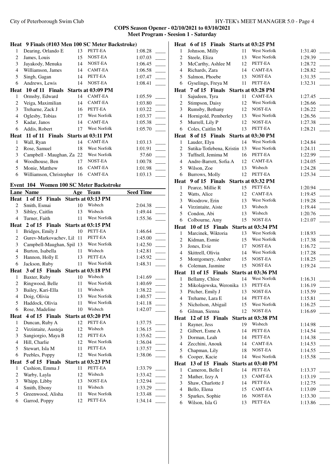|                | Heat 9 Finals (#103 Men 100 SC Meter Backstroke) |     |                     |                  |  |
|----------------|--------------------------------------------------|-----|---------------------|------------------|--|
| $\mathbf{1}$   | Dearing, Orlando E                               | 13  | PETT-EA             | 1:08.28          |  |
| 2              | James, Louis                                     | 15  | NOST-EA             | 1:07.03          |  |
| 3              | Jayakody, Menuka                                 | 14  | NOST-EA             | 1:06.45          |  |
| $\overline{4}$ | Williamson, James                                | 14  | CAMT-EA             | 1:06.58          |  |
| 5              | Singh, Gagan                                     | 14  | PETT-EA             | 1:07.47          |  |
| 6              | Andrews, Lewis                                   | 14  | NOST-EA             | 1:08.41          |  |
|                | Heat 10 of 11 Finals                             |     | Starts at 03:09 PM  |                  |  |
| 1              | Ormsby, Edward                                   | 14  | <b>CAMT-EA</b>      | 1:05.59          |  |
| 2              | Veiga, Maximilian                                | 14  | CAMT-EA             | 1:03.80          |  |
| 3              | Treharne, Zack J                                 | 16  | PETT-EA             | 1:03.22          |  |
| $\overline{4}$ | Oglesby, Tobias                                  | 17  | West Norfolk        | 1:03.37          |  |
| 5              | Kadar, Janos                                     | 14  | <b>CAMT-EA</b>      | 1:05.38          |  |
| 6              | Addis, Robert                                    | 17  | <b>West Norfolk</b> | 1:05.70          |  |
|                | Heat 11 of 11 Finals Starts at 03:11 PM          |     |                     |                  |  |
| 1              | Wall, Ryan                                       | 14  | <b>CAMT-EA</b>      | 1:03.13          |  |
| $\overline{c}$ | Rose, Samuel                                     | 18  | West Norfolk        | 1:01.91          |  |
| 3              | Campbell - Maughan, Za 22                        |     | <b>West Norfolk</b> | 57.60            |  |
| $\overline{4}$ | Woodhouse, Ben                                   | 17  | NOST-EA             | 1:00.78          |  |
| 5              | Monie, Matthew                                   | 16  | CAMT-EA             | 1:01.98          |  |
| 6              | Williamson, Christopher 16                       |     | CAMT-EA             | 1:03.13          |  |
|                | Event 104 Women 100 SC Meter Backstroke          |     |                     |                  |  |
|                | <b>Lane Name</b>                                 | Age | <b>Team</b>         | <b>Seed Time</b> |  |
| Heat           | 1 of 15 Finals                                   |     | Starts at 03:13 PM  |                  |  |
| 2              | Smith, Esmai                                     | 10  | Wisbech             | 2:04.38          |  |
| 3              | Sibley, Caitlin                                  | 13  | Wisbech             | 1:49.44          |  |
| $\overline{4}$ | Turner, Faith                                    | 11  | West Norfolk        | 1:55.36          |  |
|                | Heat 2 of 15 Finals                              |     | Starts at 03:15 PM  |                  |  |
| 1              | Bridges, Emily J                                 | 10  | PETT-EA             | 1:46.64          |  |
| $\overline{c}$ | Gurev-Markovachev, Lil 11 PETT-EA                |     |                     | 1:45.00          |  |
|                | $1.3135 \pm 1.03132$                             |     |                     |                  |  |

| 3              | Campbell-Maughan, Spil 13 |    | <b>West Norfolk</b> | 1:42.50 |
|----------------|---------------------------|----|---------------------|---------|
| $\overline{4}$ | Burton, Isabella          | 11 | Wisbech             | 1:42.81 |
| 5              | Hannon, Holly E           | 13 | PETT-EA             | 1:45.92 |
| 6              | Jackson, Ruby             | 11 | <b>West Norfolk</b> | 1:48.31 |
|                |                           |    |                     |         |
|                | Heat 3 of 15 Finals       |    | Starts at 03:18 PM  |         |
| 1              | Baxter, Ruby              | 10 | Wisbech             | 1:41.69 |
| 2              | Ringwood, Belle           | 11 | <b>West Norfolk</b> | 1:40.69 |
| 3              | Bailey, Kari-Ella         | 11 | Wisbech             | 1:38.22 |
| $\overline{4}$ | Doig, Olivia              | 13 | <b>West Norfolk</b> | 1:40.57 |
| 5              | Haddock, Olivia           | 11 | West Norfolk        | 1:41.18 |
| 6              | Rose, Madeline            | 10 | Wisbech             | 1:42.07 |
| Heat           | 4 of 15 Finals            |    | Starts at 03:20 PM  |         |
| 1              | Duncan, Ruby A            | 12 | PETT-EA             | 1:37.75 |
| 2              | Virzintaite, Austeja      | 12 | Wisbech             | 1:36.15 |
| 3              | Sangiorgio, Maya B        | 12 | PETT-EA             | 1:35.62 |
| 4              | Hill, Charlie             | 12 | <b>West Norfolk</b> | 1:36.04 |
| 5              | Stewart, Isla M           | 11 | PETT-EA             | 1:37.57 |
| 6              | Peebles, Poppy            | 12 | <b>West Norfolk</b> | 1:38.06 |
| Heat           | 5 of 15 Finals            |    | Starts at 03:23 PM  |         |
| 1              | Cushion, Emma J           | 11 | PETT-EA             | 1:33.79 |
| 2              | Warby, Layla              | 12 | Wisbech             | 1:33.42 |
| 3              | Whipp, Libby              | 13 | NOST-EA             | 1:32.94 |
| $\overline{4}$ | Smith, Ebony              | 11 | Wisbech             | 1:33.29 |
| 5              | Greenwood, Alisha         | 11 | West Norfolk        | 1:33.48 |
| 6              | Garrod, Poppy             | 12 | PETT-EA             | 1:34.14 |
|                |                           |    |                     |         |

|                         | Heat 6 of 15 Finals Starts at 03:25 PM  |          |                     |                    |
|-------------------------|-----------------------------------------|----------|---------------------|--------------------|
| $\mathbf{1}$            | Johnson, Milly                          | 11       | West Norfolk        | 1:31.40            |
| $\overline{c}$          | Steele, Eliza                           | 13       | West Norfolk        | 1:29.39            |
| $\mathfrak{Z}$          | McCarthy, Ashlee M                      | 12       | PETT-EA             | 1:28.72            |
| $\overline{4}$          | Richards, Zara                          | 14       | CAMT-EA             | 1:28.82            |
| 5                       | Salmon, Phoebe                          | 13       | NOST-EA             | 1:31.35            |
| 6                       | Gyselings, Freya M                      | 11       | PETT-EA             | 1:32.31            |
|                         | Heat 7 of 15 Finals Starts at 03:28 PM  |          |                     |                    |
| 1                       | Sajudeen, Tyra                          | 11       | <b>CAMT-EA</b>      | 1:27.45            |
| $\overline{c}$          | Stimpson, Daisy                         | 12       | West Norfolk        | 1:26.66            |
| 3                       | Rumsby, Bethany                         | 12       | NOST-EA             | 1:26.22            |
| $\overline{4}$          | Hornigold, Pemberley                    | 13       | <b>West Norfolk</b> | 1:26.56            |
| 5                       | Murrell, Lily P                         | 12       | NOST-EA             | 1:27.38            |
| 6                       | Coles, Caitlin M                        | 13       | PETT-EA             | 1:28.21            |
|                         | Heat 8 of 15 Finals Starts at 03:30 PM  |          |                     |                    |
| 1                       | Lauder, Elyn                            | 14       | West Norfolk        | 1:24.84            |
| $\overline{c}$          | Sutika-Totlebena, Kristin 13            |          | West Norfolk        | 1:24.11            |
| $\mathfrak{Z}$          | Tuffnell, Jemima M                      | 16       | PETT-EA             | 1:22.99            |
| $\overline{4}$          | Andre-Barrett, Sofia A                  | 12       | CAMT-EA             | 1:24.05            |
| 5                       | Wilson, Zoe                             | 13       | Wisbech             | 1:24.28            |
| 6                       | Burrows, Molly                          | 12       | PETT-EA             | 1:25.34            |
| Heat                    | 9 of 15 Finals                          |          | Starts at 03:32 PM  |                    |
| 1                       | Pearce, Millie R                        | 15       | PETT-EA             | 1:20.94            |
| $\overline{c}$          | Watts, Alice                            | 12       | CAMT-EA             | 1:19.45            |
| 3                       | Woodrow, Erin                           | 13       | West Norfolk        | 1:19.28            |
| $\overline{4}$          | Virzintaite, Aiste                      | 13       | Wisbech             | 1:19.44            |
| 5                       | Condon, Abi                             | 13       | Wisbech             | 1:20.76            |
| 6                       | Colbourne, Amy                          | 15       | NOST-EA             | 1:21.07            |
|                         | Heat 10 of 15 Finals                    |          | Starts at 03:34 PM  |                    |
| 1                       | Marcinek, Wiktoria                      | 13       | West Norfolk        | 1:18.93            |
| 2                       | Kidman, Esmie                           | 15       | West Norfolk        | 1:17.38            |
| 3                       | Jones, Evie                             | 17       | NOST-EA             | 1:16.72            |
| $\overline{\mathbf{4}}$ | Skittrell, Olivia                       | 14       | West Norfolk        | 1:17.28            |
| 5                       | Montgomery, Amber                       | 15       | NOST-EA             | 1:18.25            |
| 6                       | Coleman, Jasmine                        | 15       | NOST-EA             | 1:19.24            |
|                         | Heat 11 of 15 Finals Starts at 03:36 PM |          |                     |                    |
| 1                       | Bellamy, Chloe                          | 14       | West Norfolk        | 1:16.31            |
| $\sqrt{2}$              | Mikolajewska, Weronika 13               |          | PETT-EA             | 1:16.19            |
| 3                       | Pitcher, Emily J                        | 13       | NOST-EA             | 1:15.59            |
| 4                       | Treharne, Lara E                        | 14       | PETT-EA             | 1:15.81            |
| 5                       | Nicholson, Abigail                      | 15       | West Norfolk        | 1:16.25            |
| 6                       | Gilman, Sienna                          | 12       | NOST-EA             | 1:16.69            |
| Heat                    | 12 of 15 Finals                         |          | Starts at 03:38 PM  |                    |
| 1                       | Rayner, Jess                            | 19       | Wisbech             | 1:14.98            |
| $\overline{c}$          | Gilbert, Esme A                         | 14       | PETT-EA             | 1:14.54            |
| 3                       | Dorman, Leah                            | 14       | PETT-EA             | 1:14.38            |
| $\overline{4}$          | Zecchini, Anouk                         | 14       | CAMT-EA             | 1:14.53            |
| 5                       | Chapman, Lily                           | 18       | NOST-EA             | 1:14.55            |
| 6                       | Cooper, Kacie                           | 14       | West Norfolk        | 1:15.58            |
| Heat                    | 13 of 15 Finals                         |          | Starts at 03:40 PM  |                    |
| 1                       | Cameron, Belle I                        | 14       | PETT-EA             | 1:13.37            |
| $\overline{c}$          | Mather, Izzy A                          | 13       | CAMT-EA             | 1:13.19            |
| 3                       |                                         |          | PETT-EA             |                    |
|                         | Shaw, Charlotte J                       | 14       |                     | 1:12.75            |
| $\overline{4}$          | Bello, Elena                            | 15       | CAMT-EA             | 1:13.09            |
| 5<br>6                  | Sparkes, Sophie<br>Wilson, Isla G       | 16<br>13 | NOST-EA<br>PETT-EA  | 1:13.30<br>1:13.86 |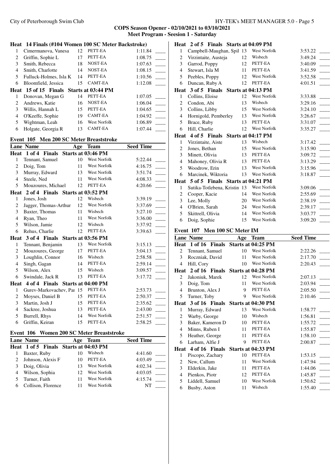City of Peterborough Swim Club HY-TEK's MEET MANAGER 5.0 - Page 5

|                | Heat 14 Finals (#104 Women 100 SC Meter Backstroke) |     |                    |                  |
|----------------|-----------------------------------------------------|-----|--------------------|------------------|
| $\mathbf{1}$   | Cimermanova, Vanesa                                 | 12  | PETT-EA            | 1:11.84          |
| $\overline{c}$ | Griffin, Sophie L                                   | 17  | PETT-EA            | 1:08.75          |
| 3              | Smith, Rebecca                                      | 18  | NOST-EA            | 1:07.63          |
| $\overline{4}$ | Smith, Charlotte                                    | 14  | NOST-EA            | 1:08.15          |
| 5              | Fulluck-Holmes, Isla K                              | 14  | PETT-EA            | 1:10.56          |
| 6              | Bloomfield, Jessica                                 | 15  | CAMT-EA            | 1:12.08          |
| Heat           | 15 of 15 Finals                                     |     | Starts at 03:44 PM |                  |
| 1              | Donovan, Megan G                                    | 14  | PETT-EA            | 1:07.05          |
| 2              | Andrews, Katie                                      | 16  | NOST-EA            | 1:06.04          |
| 3              | Willis, Hannah L                                    | 15  | PETT-EA            | 1:04.65          |
| $\overline{4}$ | O'Keeffe, Sophie                                    | 19  | <b>CAMT-EA</b>     | 1:04.92          |
| 5              | Wightman, Leah                                      | 16  | West Norfolk       | 1:06.89          |
| 6              | Holgate, Georgia R                                  | 13  | CAMT-EA            | 1:07.44          |
|                | Event 105 Men 200 SC Meter Breaststroke             |     |                    |                  |
|                | <b>Lane Name</b>                                    | Age | Team               | <b>Seed Time</b> |
| Heat           | 1 of 4 Finals                                       |     | Starts at 03:46 PM |                  |
| 1              | Tennant, Samuel                                     | 10  | West Norfolk       | 5:22.44          |
| 2              | Doig, Tom                                           | 11  | West Norfolk       | 4:16.75          |
| 3              | Murray, Edward                                      | 13  | West Norfolk       | 3:51.74          |
| $\overline{4}$ | Steele, Ned                                         | 11  | West Norfolk       | 4:08.33          |
| 5              | Mouzoures, Michael                                  | 12  | PETT-EA            | 4:20.66          |
|                | Heat 2 of 4 Finals Starts at 03:52 PM               |     |                    |                  |
| 1              | Jones, Josh                                         | 12  | Wisbech            | 3:39.19          |
| $\overline{c}$ | Jagger, Thomas-Arthur                               | 12  | West Norfolk       | 3:37.69          |
| 3              | Baxter, Thomas                                      | 11  | Wisbech            | 3:27.10          |
| $\overline{4}$ | Ryan, Theo                                          | 11  | West Norfolk       | 3:36.00          |
| 5              | Wilson, Jamie                                       | 12  | Wisbech            | 3:37.92          |
| 6              | Rehus, Charlie                                      | 12  | PETT-EA            | 3:39.63          |
| Heat           | 3 of 4 Finals Starts at 03:56 PM                    |     |                    |                  |
| 1              | Tennant, Benjamin                                   | 13  | West Norfolk       | 3:15.13          |
| 2              | Mouzoures, George                                   | 17  | PETT-EA            | 3:04.13          |
| 3              | Loughlin, Connor                                    | 16  | Wisbech            | 2:58.58          |
| $\overline{4}$ | Singh, Gagan                                        | 14  | PETT-EA            | 2:59.14          |
| 5              | Wilson, Alex                                        | 15  | Wisbech            | 3:09.57          |
| 6              | Swindale, Jack R                                    | 13  | PETT-EA            | 3:17.72          |
| Heat           | 4 of 4 Finals Starts at 04:00 PM                    |     |                    |                  |
| 1              | Gurev-Markovachev, Par 15                           |     | PETT-EA            | 2:53.73          |
| 2              | Moyses, Daniel B                                    | 15  | PETT-EA            | 2:50.37          |
| 3              | Martin, Josh J                                      | 15  | PETT-EA            | 2:35.62          |
| 4              | Sackree, Joshua                                     | 13  | PETT-EA            | 2:43.00          |
| 5              | Burrell, Rhys                                       | 14  | West Norfolk       | 2:51.57          |
| 6              | Griffin, Keiran                                     | 15  | PETT-EA            | 2:58.25          |
|                | Event 106 Women 200 SC Meter Breaststroke           |     |                    |                  |
|                | <b>Lane Name</b>                                    |     | Age Team           | <b>Seed Time</b> |
| Heat           | 1 of 5 Finals Starts at 04:03 PM                    |     |                    |                  |
|                | 1 Dovtor Duby                                       |     | $10$ Wishech       | 4.41.60          |

| 1 eal 1015 Filiais Starts at 04:05 FM |    |              |         |  |
|---------------------------------------|----|--------------|---------|--|
| Baxter, Ruby                          |    | Wisbech      | 4:41.60 |  |
| 2 Johnson, Alexis F                   | 10 | PETT-EA      | 4:03.49 |  |
| Doig, Olivia                          | 13 | West Norfolk | 4:02.34 |  |
| 4 Wilson, Sophia                      | 12 | West Norfolk | 4:03.05 |  |
| Turner, Faith                         |    | West Norfolk | 4:15.74 |  |
| Collison, Florence                    |    | West Norfolk | NT      |  |
|                                       |    |              |         |  |

|                          | Heat 2 of 5 Finals Starts at 04:09 PM  |     |                                    |                  |
|--------------------------|----------------------------------------|-----|------------------------------------|------------------|
| 1                        | Campbell-Maughan, Spil 13              |     | <b>West Norfolk</b>                | 3:53.22          |
| $\overline{c}$           | Virzintaite, Austeja                   | 12  | Wisbech                            | 3:49.24          |
| 3                        | Garrod, Poppy                          | 12  | PETT-EA                            | 3:40.09          |
| $\overline{4}$           | Stewart, Isla M                        | 11  | PETT-EA                            | 3:41.59          |
| 5                        | Peebles, Poppy                         | 12  | West Norfolk                       | 3:52.58          |
| 6                        | Duncan, Ruby A                         | 12  | PETT-EA                            | 4:01.51          |
|                          | Heat 3 of 5 Finals Starts at 04:13 PM  |     |                                    |                  |
| 1                        | Collins, Eloise                        | 12  | West Norfolk                       | 3:33.88          |
| $\overline{c}$           | Condon, Abi                            | 13  | Wisbech                            | 3:29.16          |
| 3                        | Collins, Libby                         | 15  | West Norfolk                       | 3:24.10          |
| 4                        | Hornigold, Pemberley                   | 13  | <b>West Norfolk</b>                | 3:26.67          |
| 5                        | Brace, Ruby                            | 13  | PETT-EA                            | 3:31.07          |
| 6                        | Hill, Charlie                          | 12  | West Norfolk                       | 3:35.27          |
|                          | Heat 4 of 5 Finals Starts at 04:17 PM  |     |                                    |                  |
| 1                        | Virzintaite, Aiste                     | 13  | Wisbech                            | 3:17.42          |
| $\overline{c}$           | Jones, Bethan                          | 15  | West Norfolk                       | 3:15.90          |
| 3                        | Minett, Olivia                         | 13  | PETT-EA                            | 3:09.72          |
| $\overline{4}$           | Mahoney, Olivia R                      | 13  | PETT-EA                            | 3:13.29          |
| 5                        | Woodrow, Erin                          | 13  | West Norfolk                       | 3:15.96          |
| 6                        | Marcinek, Wiktoria                     | 13  | <b>West Norfolk</b>                | 3:18.87          |
|                          | Heat 5 of 5 Finals Starts at 04:21 PM  |     |                                    |                  |
| 1                        | Sutika-Totlebena, Kristin 13           |     | <b>West Norfolk</b>                | 3:09.06          |
| $\overline{c}$           | Cooper, Kacie                          | 14  | West Norfolk                       | 2:55.69          |
| 3                        | Lee, Molly                             | 20  | West Norfolk                       | 2:38.19          |
| 4                        | O'Brien, Sarah                         | 24  | West Norfolk                       | 2:39.17          |
| 5                        | Skittrell, Olivia                      | 14  | West Norfolk                       | 3:03.77          |
|                          |                                        |     |                                    |                  |
| 6                        | Doig, Sophie                           | 15  | West Norfolk                       | 3:09.20          |
|                          |                                        |     |                                    |                  |
|                          | Event 107 Men 100 SC Meter IM          |     |                                    |                  |
|                          | <b>Lane Name</b>                       | Age | <b>Team</b>                        | <b>Seed Time</b> |
| 2                        | Heat 1 of 16 Finals<br>Tennant, Samuel | 10  | Starts at 04:25 PM<br>West Norfolk | 2:22.26          |
| 3                        |                                        | 11  | West Norfolk                       | 2:17.70          |
| 4                        | Roczniak, David<br>Hill, Cory          | 10  | West Norfolk                       | 2:20.43          |
|                          | Heat 2 of 16 Finals                    |     |                                    |                  |
| 2                        | Jakoniuk, Marek                        | 12  | Starts at 04:28 PM<br>West Norfolk | 2:07.13          |
| 3                        | Doig, Tom                              | 11  | West Norfolk                       | 2:03.94          |
| $\overline{\mathcal{L}}$ |                                        | 9   | PETT-EA                            | 2:05.50          |
| 5                        | Brunton, Alex J<br>Turner, Toby        | 9   | West Norfolk                       | 2:10.46          |
| <b>Heat</b>              | 3 of 16 Finals                         |     | Starts at 04:30 PM                 |                  |
| 1                        | Murray, Edward                         | 13  | West Norfolk                       | 1:58.77          |
| $\overline{c}$           | Warby, George                          | 10  | Wisbech                            | 1:56.81          |
| 3                        | Baker, Kameron D                       | 10  | PETT-EA                            | 1:55.72          |
| $\overline{4}$           | Minns, Ruben I                         | 11  | PETT-EA                            | 1:55.87          |
| 5                        | Heather, George                        | 11  | PETT-EA                            | 1:58.10          |
| 6                        | Larham, Alfie J                        | 9   | PETT-EA                            | 2:00.87          |
| Heat                     | 4 of 16 Finals                         |     | Starts at 04:33 PM                 |                  |
| 1                        | Piscopo, Zachary                       | 10  | PETT-EA                            | 1:53.15          |
| 2                        | New, Callum                            | 11  | West Norfolk                       | 1:47.94          |
| 3                        | Elderkin, Jake                         | 11  | PETT-EA                            | 1:44.06          |
| $\overline{4}$           | Pienkos, Piotr                         | 12  | PETT-EA                            | 1:45.87          |
| 5                        | Liddell, Samuel<br>Busby, Aston        | 10  | West Norfolk                       | 1:50.62          |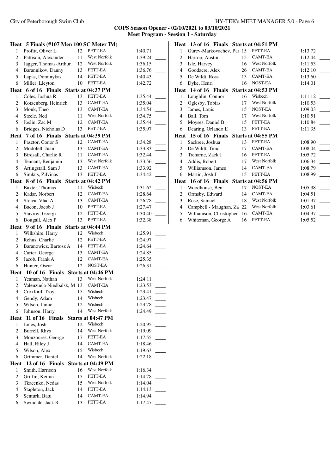#### **COPS Season Opener - 02/10/2021 to 03/10/2021 Meet Program - Seesion 1 - Saturday**

 $1:40.71$  \_ Pattison, Alexander 11 West Norfolk 1:39.24 \_\_\_\_\_ Jagger, Thomas-Arthur 12 West Norfolk 1:36.15 \_\_\_\_\_ Barannikov, Danny 13 PETT-EA 1:36.76 \_\_\_\_\_ Lapas, Dominykas 14 PETT-EA 1:40.43 \_\_\_\_\_ Miller, Lleyton 10 PETT-EA 1:42.72 \_\_\_\_\_

 $1:35.44$  $1:35.04$  $1:34.54$  \_  $1:34.75$  $1:35.44$  $1:35.97$  \_

 $1:34.28$  Modolell, Juan 13 CAMT-EA 1:33.83 \_\_\_\_\_ Birdsall, Charlie R 11 CAMT-EA 1:32.44 \_\_\_\_\_ Tennant, Benjamin 13 West Norfolk 1:33.56 \_\_\_\_\_ Artingstall, Sam J 13 CAMT-EA 1:33.92 \_\_\_\_\_ Simkus, Zilvinas 13 PETT-EA 1:34.42 \_\_\_\_\_

 $1:31.62$  \_ Kadar, Norbert 12 CAMT-EA 1:28.64 \_\_\_\_\_  $1:26.78$  $1:27.47$  $1:30.40$  $1:32.38$  \_

 $1:25.91$  \_ Rehus, Charlie 12 PETT-EA 1:24.97 \_\_\_\_\_ Baranowicz, Bartosz A 14 PETT-EA 1:24.64 \_\_\_\_\_ Carter, George 13 CAMT-EA 1:24.85 \_\_\_\_\_ Jacob, Frank A 12 CAMT-EA 1:25.35 \_\_\_\_\_ Hunter, Oscar 12 NOST-EA 1:26.31 \_\_\_\_\_

 Yeaman, Nathan 13 West Norfolk 1:24.11 \_\_\_\_\_ Valenzuela-Niedbalsk, Mateo 13 CAMT-EA 1:23.53 \_\_\_\_\_ Croxford, Troy 15 Wisbech 1:23.41 \_\_\_\_\_ Gendy, Adam 14 Wisbech 1:23.47 \_\_\_\_\_ Wilson, Jamie 12 Wisbech 1:23.78 \_\_\_\_\_ Johnson, Harry 14 West Norfolk 1:24.49 \_\_\_\_\_

 Jones, Josh 12 Wisbech 1:20.95 \_\_\_\_\_ Burrell, Rhys 14 West Norfolk 1:19.09 \_\_\_\_\_ Mouzoures, George 17 PETT-EA 1:17.55 \_\_\_\_\_ Hall, Riley J 14 CAMT-EA 1:18.46 \_\_\_\_\_ Wilson, Alex 15 Wisbech 1:19.63 \_\_\_\_\_ Grimmer, Daniel 14 West Norfolk 1:22.18 \_\_\_\_\_

 Smith, Harrison 16 West Norfolk 1:16.34 \_\_\_\_\_ Griffin, Keiran 15 PETT-EA 1:14.78 \_\_\_\_\_ Tkacenko, Nedas 15 West Norfolk 1:14.04 \_\_\_\_\_ Stapleton, Jack 14 PETT-EA 1:14.13 \_\_\_\_\_ Senturk, Batu 14 CAMT-EA 1:14.94 \_\_\_\_\_ Swindale, Jack R 13 PETT-EA 1:17.47 \_\_\_\_\_

|                          | Heat 5 Finals (#107 Men 100 SC Meter IM) |          |                           |
|--------------------------|------------------------------------------|----------|---------------------------|
| 1                        | Profitt, Oliver L                        | 12       | PETT-EA                   |
| 2                        | Pattison, Alexander                      | 11       | <b>West Norfolk</b>       |
| 3                        | Jagger, Thomas-Arthur                    | 12       | West Norfolk              |
| 4                        | Barannikov, Danny                        | 13       | PETT-EA                   |
| 5                        | Lapas, Dominykas                         | 14       | PETT-EA                   |
| 6                        | Miller, Lleyton                          | 10       | PETT-EA                   |
| Heat                     | 6 of 16 Finals Starts at 04:37 PM        |          |                           |
| 1                        | Coles, Joshua R                          | 13       | PETT-EA                   |
| $\overline{2}$           | Kotzenberg, Heinrich                     | 13       | CAMT-EA                   |
| 3                        | Monk, Theo                               | 13       | CAMT-EA                   |
| $\overline{4}$           | Steele, Ned                              | 11       | <b>West Norfolk</b>       |
| 5                        | Joslin, Zac M                            | 12       | CAMT-EA                   |
| 6                        | Bridges, Nicholas D                      | 13       | PETT-EA                   |
|                          | Heat 7 of 16 Finals Starts at 04:39 PM   |          |                           |
| 1                        | Pasztor, Conor S                         | 12       | CAMT-EA                   |
| $\overline{c}$           | Modolell, Juan                           | 13       | CAMT-EA                   |
| 3                        | Birdsall, Charlie R                      | 11       | CAMT-EA                   |
| 4                        | Tennant, Benjamin                        | 13       | West Norfolk              |
| 5                        | Artingstall, Sam J                       | 13       | CAMT-EA                   |
| 6                        |                                          | 13       | PETT-EA                   |
|                          | Simkus, Zilvinas                         |          |                           |
| Heat                     | 8 of 16 Finals Starts at 04:42 PM        |          |                           |
| 1                        | Baxter, Thomas                           | 11       | Wisbech                   |
| $\overline{c}$           | Kadar, Norbert                           | 12       | CAMT-EA<br>CAMT-EA        |
| 3                        | Stoica, Vlad A                           | 13       |                           |
| $\overline{4}$           | Bacon, Jacob J                           | 10       | PETT-EA                   |
| 5                        | Stavrov, Georgi                          | 12       | PETT-EA                   |
| 6                        | Dougall, Alex P                          | 13       | PETT-EA                   |
|                          | Heat 9 of 16 Finals Starts at 04:44 PM   |          |                           |
|                          |                                          |          |                           |
| 1                        | Wilkshire, Harry                         | 12       | Wisbech                   |
| $\overline{c}$           | Rehus, Charlie                           | 12       | PETT-EA                   |
| 3                        | Baranowicz, Bartosz A                    | 14       | PETT-EA                   |
| 4                        | Carter, George                           | 13       | CAMT-EA                   |
| 5                        | Jacob, Frank A                           | 12       | CAMT-EA                   |
| 6                        | Hunter, Oscar                            | 12       | NOST-EA                   |
| Heat                     | 10 of 16 Finals Starts at 04:46 PM       |          |                           |
| 1                        | Yeaman, Nathan                           | 13       | West Norfolk              |
| 2                        | Valenzuela-Niedbalsk, M 13 CAMT-EA       |          |                           |
| 3                        | Croxford, Troy                           | 15       | Wisbech                   |
| 4                        | Gendy, Adam                              | 14       | Wisbech                   |
| 5                        | Wilson, Jamie                            | 12       | Wisbech                   |
| 6                        | Johnson, Harry                           | 14       | West Norfolk              |
|                          | Heat 11 of 16 Finals Starts at 04:47 PM  |          |                           |
| 1                        | Jones, Josh                              | 12       | Wisbech                   |
| $\overline{c}$           | Burrell, Rhys                            | 14       | West Norfolk              |
| 3                        | Mouzoures, George                        | 17       | PETT-EA                   |
| $\overline{4}$           | Hall, Riley J                            | 14       | CAMT-EA                   |
| 5                        | Wilson, Alex                             | 15       | Wisbech                   |
| 6                        | Grimmer, Daniel                          | 14       | West Norfolk              |
|                          | 12 of 16<br><b>Finals</b>                |          | <b>Starts at 04:49 PM</b> |
| Heat<br>1                | Smith, Harrison                          | 16       | West Norfolk              |
| $\overline{c}$           | Griffin, Keiran                          | 15       | PETT-EA                   |
| 3                        | Tkacenko, Nedas                          | 15       | West Norfolk              |
| $\overline{\mathcal{L}}$ | Stapleton, Jack                          | 14       | PETT-EA                   |
| 5<br>6                   | Senturk, Batu<br>Swindale, Jack R        | 14<br>13 | CAMT-EA<br>PETT-EA        |

|                | Heat 13 of 16 Finals Starts at 04:51 PM |    |                     |         |
|----------------|-----------------------------------------|----|---------------------|---------|
| 1              | Gurev-Markovachev, Paı 15               |    | PETT-EA             | 1:13.72 |
| 2              | Harrop, Austin                          | 15 | <b>CAMT-EA</b>      | 1:12.44 |
| 3              | Isle, Harvey                            | 16 | <b>West Norfolk</b> | 1:11.53 |
| $\overline{4}$ | Goodacre, Alex                          | 26 | <b>CAMT-EA</b>      | 1:12.10 |
| 5              | De Wildt, Ross                          | 13 | CAMT-EA             | 1:13.60 |
| 6              | Dyke, Henri                             | 16 | NOST-EA             | 1:14.01 |
| Heat           | 14 of 16 Finals                         |    | Starts at 04:53 PM  |         |
| 1              | Loughlin, Connor                        | 16 | Wisbech             | 1:11.12 |
| 2              | Oglesby, Tobias                         | 17 | <b>West Norfolk</b> | 1:10.53 |
| 3              | James, Louis                            | 15 | NOST-EA             | 1:09.03 |
| $\overline{4}$ | Ball, Tom                               | 17 | <b>West Norfolk</b> | 1:10.51 |
| 5              | Moyses, Daniel B                        | 15 | PETT-EA             | 1:10.84 |
| 6              | Dearing, Orlando E                      | 13 | PETT-EA             | 1:11.35 |
| Heat           | 15 of 16 Finals                         |    | Starts at 04:55 PM  |         |
| 1              | Sackree, Joshua                         | 13 | PETT-EA             | 1:08.90 |
|                |                                         |    |                     |         |
| 2              | De Wildt, Timo                          | 17 | <b>CAMT-EA</b>      | 1:08.04 |
| 3              | Treharne, Zack J                        | 16 | PETT-EA             | 1:05.72 |
| 4              | Addis, Robert                           | 17 | <b>West Norfolk</b> | 1:06.34 |
| 5              | Williamson, James                       | 14 | CAMT-EA             | 1:08.79 |
| 6              | Martin, Josh J                          | 15 | PETT-EA             | 1:08.99 |
| Heat           | 16 of 16 Finals                         |    | Starts at 04:56 PM  |         |
| 1              | Woodhouse, Ben                          | 17 | NOST-EA             | 1:05.38 |
| 2              | Ormsby, Edward                          | 14 | <b>CAMT-EA</b>      | 1:04.51 |
| 3              | Rose, Samuel                            | 18 | <b>West Norfolk</b> | 1:01.97 |
| 4              | Campbell - Maughan, Za 22               |    | West Norfolk        | 1:03.61 |
| 5              | Williamson, Christopher                 | 16 | <b>CAMT-EA</b>      | 1:04.97 |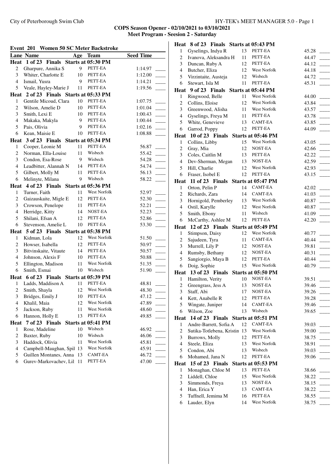City of Peterborough Swim Club HY-TEK's MEET MANAGER 5.0 - Page 1

| <b>Lane Name</b><br><b>Seed Time</b><br>Age<br><b>Team</b><br>Heat 1 of 23 Finals Starts at 05:30 PM |         |
|------------------------------------------------------------------------------------------------------|---------|
|                                                                                                      |         |
|                                                                                                      |         |
| PETT-EA<br>2<br>Gharpure, Annika S<br>9                                                              | 1:14.97 |
| 3<br>Whiter, Charlotte E<br>PETT-EA<br>10                                                            | 1:12.00 |
| $\overline{4}$<br>PETT-EA<br>Ismail, Yusra<br>9                                                      | 1:14.21 |
| 5<br>PETT-EA<br>Veale, Hayley-Marie J<br>11                                                          | 1:19.56 |
| Heat 2 of 23 Finals Starts at 05:33 PM                                                               |         |
| PETT-EA<br>Gentile Micoud, Clara<br>$\mathbf{1}$<br>10                                               | 1:07.75 |
| $\overline{c}$<br>PETT-EA<br>Wilson, Amelie D<br>10                                                  | 1:01.04 |
| PETT-EA<br>3<br>Smith, Lexi E<br>10                                                                  | 1:00.43 |
| 9<br>PETT-EA<br>4<br>Makaka, Makyla                                                                  | 1:00.44 |
| 5<br>9<br>PETT-EA<br>Pais, Olivia                                                                    | 1:02.16 |
| PETT-EA<br>6<br>Kean, Maisie E<br>10                                                                 | 1:08.88 |
| Heat 3 of 23 Finals Starts at 05:34 PM                                                               |         |
| PETT-EA<br>Cooper, Leonie M<br>11<br>1                                                               | 56.87   |
| 2<br>Norman, Ella-Louise<br>11<br>Wisbech                                                            | 55.42   |
| 3<br>Condon, Esa-Rose<br>9<br>Wisbech                                                                | 54.28   |
| $\overline{4}$<br>PETT-EA<br>Leadbitter, Alannah N<br>14                                             | 54.74   |
| 5<br>Gilbert, Molly M<br>PETT-EA<br>11                                                               | 56.13   |
| 6<br>9<br>Melinyte, Milana<br>Wisbech                                                                | 58.22   |
| 4 of 23 Finals Starts at 05:36 PM<br><b>Heat</b>                                                     |         |
| <b>West Norfolk</b><br>1<br>Turner, Faith<br>11                                                      | 52.97   |
| $\overline{c}$<br>Gaizauskaite, Migle E<br>PETT-EA<br>12                                             | 52.30   |
| PETT-EA<br>3<br>Crowson, Penelope<br>11                                                              | 52.21   |
| NOST-EA<br>Herridge, Kitty<br>4<br>14                                                                | 52.23   |
| 5<br>PETT-EA<br>Shilani, Efsan A<br>12                                                               | 52.86   |
| PETT-EA<br>6<br>Stevenson, Amelie L<br>10                                                            | 53.30   |
| 5 of 23 Finals Starts at 05:38 PM<br>Heat                                                            |         |
| West Norfolk<br>Kidman, Lola<br>12<br>1                                                              | 51.50   |
| 2<br>Howser, Isabella<br>12<br>PETT-EA                                                               | 50.97   |
| 3<br>Bitvinskaite, Vitaute<br>14<br>PETT-EA                                                          | 50.57   |
| PETT-EA<br>$\overline{4}$<br>Johnson, Alexis F<br>10                                                 | 50.88   |
| 5<br>Ellington, Madison<br>West Norfolk<br>11                                                        | 51.35   |
| Smith, Esmai<br>Wisbech<br>6<br>10                                                                   | 51.90   |
| Heat 6 of 23 Finals Starts at 05:39 PM                                                               |         |
| PETT-EA<br>1<br>Ladds, Maddison A<br>11                                                              | 48.81   |
| $\overline{c}$<br>West Norfolk<br>Smith, Shayla<br>12                                                | 48.30   |
| $\overline{3}$<br>10 PETT-EA<br>Bridges, Emily J                                                     | 47.12   |
| West Norfolk<br>Khalil, Maia<br>4<br>12                                                              | 47.89   |
| West Norfolk<br>Jackson, Ruby<br>11<br>5                                                             | 48.60   |
| Hannon, Holly E<br>13<br>PETT-EA<br>6                                                                | 49.85   |
| 7 of 23 Finals<br>Starts at 05:41 PM<br><b>Heat</b>                                                  |         |
| Wisbech<br>Rose, Madeline<br>10<br>1                                                                 | 46.92   |
| Baxter, Ruby<br>Wisbech<br>$\overline{\mathbf{c}}$<br>10                                             | 46.06   |
| Haddock, Olivia<br>West Norfolk<br>3<br>11                                                           | 45.81   |
| West Norfolk<br>$\overline{\mathcal{L}}$<br>Campbell-Maughan, Spil<br>13                             | 45.91   |
| Guillen Montanes, Anna<br>5<br>CAMT-EA<br>13                                                         | 46.72   |
| PETT-EA<br>6<br>Gurev-Markovachev, Lil 11                                                            | 47.00   |

|                         | Heat 8 of 23 Finals Starts at 05:43 PM |          |                         |                |
|-------------------------|----------------------------------------|----------|-------------------------|----------------|
| $\mathbf{1}$            | Gyselings, Indya R                     | 13       | PETT-EA                 | 45.28          |
| $\overline{c}$          | Ivanova, Aleksandra H                  | 11       | PETT-EA                 | 44.47          |
| 3                       | Duncan, Ruby A                         | 12       | PETT-EA                 | 44.12          |
| $\overline{4}$          | Butcher, Eliza                         | 12       | West Norfolk            | 44.18          |
| 5                       | Virzintaite, Austeja                   | 12       | Wisbech                 | 44.72          |
| 6                       | Stewart, Isla M                        | 11       | PETT-EA                 | 45.31          |
|                         | Heat 9 of 23 Finals Starts at 05:44 PM |          |                         |                |
| 1                       | Ringwood, Belle                        | 11       | West Norfolk            | 44.00          |
| $\overline{\mathbf{c}}$ | Collins, Eloise                        | 12       | West Norfolk            | 43.84          |
| 3                       | Greenwood, Alisha                      | 11       | West Norfolk            | 43.57          |
| $\overline{4}$          | Gyselings, Freya M                     | 11       | PETT-EA                 | 43.78          |
| 5                       | White, Genevieve                       | 13       | CAMT-EA                 | 43.85          |
| 6                       | Garrod, Poppy                          | 12       | PETT-EA                 | 44.09          |
|                         | Heat 10 of 23 Finals                   |          | Starts at 05:46 PM      |                |
| 1                       | Collins, Libby                         | 15       | West Norfolk            | 43.05          |
| $\overline{c}$          | Gray, Mia                              | 12       | NOST-EA                 | 42.66          |
| 3                       | Coles, Caitlin M                       | 13       | PETT-EA                 | 42.22          |
| $\overline{4}$          | Dev-Sherman, Megan                     | 13       | NOST-EA                 | 42.59          |
| 5                       | Hill, Charlie                          | 12       | West Norfolk            | 42.93          |
| 6                       | Fraser, Isobel E                       | 12       | PETT-EA                 | 43.15          |
| Heat                    | 11 of 23 Finals Starts at 05:47 PM     |          |                         |                |
| 1                       | Orton, Pelin P                         | 14       | CAMT-EA                 | 42.02          |
| 2                       | Richards, Zara                         | 14       | <b>CAMT-EA</b>          | 41.03          |
| 3                       | Hornigold, Pemberley                   | 13       | <b>West Norfolk</b>     | 40.87          |
| $\overline{4}$          | Ostil, Karylle                         | 12       | West Norfolk            | 40.87          |
| 5                       | Smith, Ebony                           | 11       | Wisbech                 | 41.09          |
| 6                       | McCarthy, Ashlee M                     | 12       | PETT-EA                 | 42.20          |
|                         | Heat 12 of 23 Finals                   |          | Starts at 05:49 PM      |                |
| $\mathbf{1}$            | Stimpson, Daisy                        | 12       | West Norfolk            | 40.77          |
| 2                       | Sajudeen, Tyra                         | 11       | CAMT-EA                 | 40.44          |
| 3                       | Murrell, Lily P                        | 12       | NOST-EA                 | 39.81          |
| $\overline{4}$          | Rumsby, Bethany                        | 12       | NOST-EA                 | 40.31          |
| 5                       | Sangiorgio, Maya B                     | 12       | PETT-EA                 | 40.44          |
| 6                       | Doig, Sophie                           | 15       | West Norfolk            | 40.79          |
|                         | Heat 13 of 23 Finals                   |          | Starts at 05:50 PM      |                |
| 1                       | Hamilton, Verity                       | 10       | NOST-EA                 | 39.51          |
| $\overline{\mathbf{c}}$ | Greengrass, Jess A                     | 13       | NOST-EA                 | 39.46          |
| 3                       | Staff, Abi                             | 17       | NOST-EA                 | 39.26          |
| 4                       | Kett, Anabelle R                       | 12       | PETT-EA                 | 39.28          |
| 5                       | Wingate, Juniper                       | 14       | CAMT-EA                 | 39.46          |
| 6                       | Wilson, Zoe                            | 13       | Wisbech                 | 39.65          |
| Heat                    | 14 of 23 Finals Starts at 05:51 PM     |          |                         |                |
| 1                       | Andre-Barrett, Sofia A                 | 12       | CAMT-EA                 | 39.03          |
| 2                       | Sutika-Totlebena, Kristin 13           |          | West Norfolk            | 39.00          |
| 3                       | Burrows, Molly                         | 12       | PETT-EA                 | 38.75          |
| 4                       | Steele, Eliza                          | 13       | West Norfolk            | 38.91          |
| 5                       | Condon, Abi                            | 13       | Wisbech                 | 39.03          |
| 6                       | Mohamed, Jana N                        | 12       | PETT-EA                 | 39.06          |
| Heat                    | 15 of 23 Finals                        |          | Starts at 05:53 PM      |                |
| 1                       | Monaghan, Chloe M                      | 13       | PETT-EA                 | 38.66          |
| $\overline{c}$          | Liddell, Chloe                         | 15       | West Norfolk            | 38.22          |
| 3                       | Simmonds, Freya                        | 13       | NOST-EA                 | 38.15          |
| $\overline{4}$          |                                        |          |                         |                |
|                         | Han, Erica Y                           | 13       | CAMT-EA                 | 38.22          |
| 5<br>6                  | Tuffnell, Jemima M<br>Lauder, Elyn     | 16<br>14 | PETT-EA<br>West Norfolk | 38.55<br>38.75 |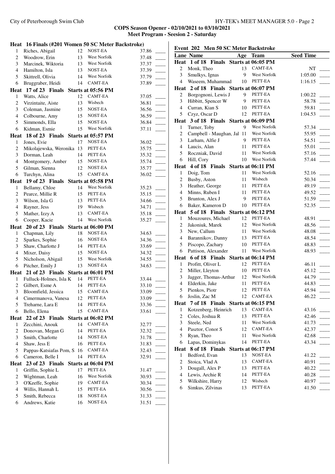|                         | Heat 16 Finals (#201 Women 50 SC Meter Backstroke) |          |                     |                |  |
|-------------------------|----------------------------------------------------|----------|---------------------|----------------|--|
| $\mathbf{1}$            | Riches, Abigail                                    | 12       | NOST-EA             | 37.86          |  |
| $\overline{c}$          | Woodrow, Erin                                      | 13       | West Norfolk        | 37.48          |  |
| 3                       | Marcinek, Wiktoria                                 | 13       | West Norfolk        | 37.37          |  |
| $\overline{4}$          | Hamilton, Isla                                     | 13       | NOST-EA             | 37.39          |  |
| 5                       | Skittrell, Olivia                                  | 14       | <b>West Norfolk</b> | 37.79          |  |
| 6                       | Bruggraber, Heidi                                  | 14       | <b>CAMT-EA</b>      | 37.89          |  |
| Heat                    | 17 of 23 Finals                                    |          | Starts at 05:56 PM  |                |  |
| 1                       | Watts, Alice                                       | 12       | <b>CAMT-EA</b>      | 37.05          |  |
| $\overline{\mathbf{c}}$ | Virzintaite, Aiste                                 | 13       | Wisbech             | 36.81          |  |
| 3                       | Coleman, Jasmine                                   | 15       | NOST-EA             | 36.56          |  |
| $\overline{4}$          | Colbourne, Amy                                     | 15       | NOST-EA             | 36.59          |  |
| 5                       | Simmonds, Ella                                     | 15       | NOST-EA             | 36.84          |  |
| 6                       | Kidman, Esmie                                      | 15       | West Norfolk        | 37.11          |  |
| Heat                    | 18 of 23 Finals Starts at 05:57 PM                 |          |                     |                |  |
| $\mathbf{1}$            | Jones, Evie                                        | 17       | NOST-EA             | 36.02          |  |
| $\overline{c}$          | Mikolajewska, Weronika 13                          |          | PETT-EA             | 35.75          |  |
| 3                       | Dorman, Leah                                       | 14       | PETT-EA             | 35.32          |  |
| $\overline{4}$          | Montgomery, Amber                                  | 15       | NOST-EA             | 35.74          |  |
| 5                       | Gilman, Sienna                                     | 12       | NOST-EA             | 35.77          |  |
| 6                       | Turchyn, Alina                                     | 15       | CAMT-EA             | 36.02          |  |
| Heat                    | 19 of 23 Finals Starts at 05:58 PM                 |          |                     |                |  |
| $\mathbf{1}$            | Bellamy, Chloe                                     | 14       | West Norfolk        | 35.23          |  |
| 2                       | Pearce, Millie R                                   | 15       | PETT-EA             | 35.15          |  |
| 3                       | Wilson, Isla G                                     | 13       | PETT-EA             | 34.66          |  |
| $\overline{4}$          | Rayner, Jess                                       | 19       | Wisbech             | 34.71          |  |
| 5                       | Mather, Izzy A                                     | 13       | CAMT-EA             | 35.18          |  |
| 6                       | Cooper, Kacie                                      | 14       | West Norfolk        | 35.27          |  |
| Heat                    | 20 of 23 Finals Starts at 06:00 PM                 |          |                     |                |  |
|                         |                                                    |          |                     |                |  |
| $\mathbf{1}$            | Chapman, Lily                                      | 18       | NOST-EA             | 34.63          |  |
| $\overline{\mathbf{c}}$ | Sparkes, Sophie                                    | 16       | NOST-EA             | 34.36          |  |
| 3                       | Shaw, Charlotte J                                  | 14       | PETT-EA             | 33.69          |  |
| $\overline{4}$          | Mixer, Daisy                                       | 15       | NOST-EA             | 34.32          |  |
| 5                       | Nicholson, Abigail                                 | 15       | West Norfolk        | 34.55          |  |
| 6                       | Pitcher, Emily J                                   | 13       | NOST-EA             | 34.63          |  |
|                         | 21 of 23 Finals Starts at 06:01 PM                 |          |                     |                |  |
| Heat<br>$\mathbf{1}$    | Fulluck-Holmes, Isla K                             | 14       | PETT-EA             | 33.44          |  |
| $\overline{c}$          | Gilbert, Esme A                                    | 14       | PETT-EA             | 33.10          |  |
| 3                       | Bloomfield, Jessica                                | 15       | CAMT-EA             | 33.09          |  |
| 4                       | Cimermanova, Vanesa                                | 12       | PETT-EA             | 33.09          |  |
| 5                       | Treharne, Lara E                                   | 14       | PETT-EA             | 33.36          |  |
| 6                       | Bello, Elena                                       | 15       | CAMT-EA             | 33.61          |  |
| Heat                    | 22 of 23 Finals                                    |          | Starts at 06:02 PM  |                |  |
| $\mathbf{1}$            | Zecchini, Anouk                                    | 14       | CAMT-EA             | 32.77          |  |
| $\overline{c}$          | Donovan, Megan G                                   | 14       | PETT-EA             | 32.32          |  |
| 3                       | Smith, Charlotte                                   | 14       | NOST-EA             | 31.78          |  |
| $\overline{4}$          | Shaw, Jess E                                       | 16       | PETT-EA             | 31.83          |  |
| 5                       | Pappas-Katsiafas Pom, S                            | 16       | CAMT-EA             | 32.43          |  |
| 6                       | Cameron, Belle I                                   | 14       | PETT-EA             | 32.91          |  |
|                         | 23 of 23 Finals                                    |          | Starts at 06:04 PM  |                |  |
| 1                       | Griffin, Sophie L                                  | 17       | PETT-EA             | 31.47          |  |
| 2                       | Wightman, Leah                                     | 16       | West Norfolk        | 30.93          |  |
| 3                       | O'Keeffe, Sophie                                   | 19       | CAMT-EA             | 30.34          |  |
| Heat<br>$\overline{4}$  | Willis, Hannah L                                   | 15       | PETT-EA             | 30.56          |  |
| 5<br>6                  | Smith, Rebecca<br>Andrews, Katie                   | 18<br>16 | NOST-EA<br>NOST-EA  | 31.33<br>31.51 |  |

| Event 202 Men 50 SC Meter Backstroke |                                        |     |                     |                  |  |
|--------------------------------------|----------------------------------------|-----|---------------------|------------------|--|
|                                      | <b>Lane Name</b>                       | Age | <b>Team</b>         | <b>Seed Time</b> |  |
| Heat                                 | 1 of 18<br>Finals                      |     | Starts at 06:05 PM  |                  |  |
| 2                                    | Monk, Theo                             | 13  | <b>CAMT-EA</b>      | NT               |  |
| 3                                    | Smulkys, Ignas                         | 9   | West Norfolk        | 1:05.00          |  |
| 4                                    | Waseem, Muhammad                       | 10  | PETT-EA             | 1:16.15          |  |
|                                      | Heat 2 of 18 Finals Starts at 06:07 PM |     |                     |                  |  |
| 2                                    | Borgognoni, Lewis J                    | 9   | PETT-EA             | 1:00.22          |  |
| 3                                    | Hibbitt, Spencer W                     | 9   | PETT-EA             | 58.78            |  |
| $\overline{4}$                       | Curran, Kian S                         | 10  | PETT-EA             | 59.81            |  |
| 5                                    | Czyz, Oscar D                          | 12  | PETT-EA             | 1:04.53          |  |
|                                      | Heat 3 of 18 Finals Starts at 06:09 PM |     |                     |                  |  |
| 1                                    | Turner, Toby                           | 9   | West Norfolk        | 57.34            |  |
| 2                                    | Campbell - Maughan, Jal 11             |     | West Norfolk        | 55.95            |  |
| 3                                    | Larham, Alfie J                        | 9   | PETT-EA             | 54.51            |  |
| 4                                    | Laucis, Alan                           | 11  | PETT-EA             | 55.01            |  |
| 5                                    | Roczniak, David                        | 11  | West Norfolk        | 57.16            |  |
| 6                                    | Hill, Cory                             | 10  | West Norfolk        | 57.44            |  |
| Heat                                 | 4 of 18 Finals Starts at 06:11 PM      |     |                     |                  |  |
| 1                                    | Doig, Tom                              | 11  | West Norfolk        | 52.16            |  |
| 2                                    | Busby, Aston                           | 11  | Wisbech             | 50.34            |  |
| 3                                    | Heather, George                        | 11  | PETT-EA             | 49.19            |  |
| $\overline{4}$                       | Minns, Ruben I                         | 11  | PETT-EA             | 49.52            |  |
| 5                                    | Brunton, Alex J                        | 9   | PETT-EA             | 51.59            |  |
| 6                                    | Baker, Kameron D                       | 10  | PETT-EA             | 52.35            |  |
|                                      | Heat 5 of 18 Finals Starts at 06:12 PM |     |                     |                  |  |
| 1                                    | Mouzoures, Michael                     | 12  | PETT-EA             | 48.91            |  |
| 2                                    | Jakoniuk, Marek                        | 12  | West Norfolk        | 48.56            |  |
| 3                                    | New, Callum                            | 11  | West Norfolk        | 48.08            |  |
| 4                                    | Barannikov, Danny                      | 13  | PETT-EA             | 48.54            |  |
| 5                                    | Piscopo, Zachary                       | 10  | PETT-EA             | 48.83            |  |
| 6                                    | Pattison, Alexander                    | 11  | West Norfolk        | 48.93            |  |
| Heat                                 | 6 of 18 Finals Starts at 06:14 PM      |     |                     |                  |  |
| 1                                    | Profitt, Oliver L                      | 12  | PETT-EA             | 46.11            |  |
| 2                                    | Miller, Lleyton                        | 10  | PETT-EA             | 45.12            |  |
| 3                                    | Jagger, Thomas-Arthur                  | 12  | West Norfolk        | 44.79            |  |
| $\overline{4}$                       | Elderkin, Jake                         | 11  | PETT-EA             | 44.83            |  |
| 5                                    | Pienkos, Piotr                         | 12  | PETT-EA             | 45.94            |  |
|                                      | 6 Joslin, Zac M                        |     | 12 CAMT-EA          | 46.22            |  |
|                                      | Heat 7 of 18 Finals Starts at 06:15 PM |     |                     |                  |  |
| 1                                    | Kotzenberg, Heinrich                   | 13  | CAMT-EA             | 43.16            |  |
| 2                                    | Coles, Joshua R                        | 13  | PETT-EA             | 42.46            |  |
| 3                                    | Steele, Ned                            | 11  | West Norfolk        | 41.73            |  |
| 4                                    | Pasztor, Conor S                       | 12  | <b>CAMT-EA</b>      | 42.37            |  |
| 5                                    | Ryan, Theo                             | 11  | <b>West Norfolk</b> | 42.68            |  |
| 6                                    | Lapas, Dominykas                       | 14  | PETT-EA             | 43.34            |  |
| <b>Heat</b>                          | 8 of 18 Finals                         |     | Starts at 06:17 PM  |                  |  |
| 1                                    | Bedford, Evan                          | 13  | NOST-EA             | 41.22            |  |
| $\overline{c}$                       | Stoica, Vlad A                         | 13  | CAMT-EA             | 40.91            |  |
| 3                                    | Dougall, Alex P                        | 13  | PETT-EA             | 40.22            |  |
| $\overline{\mathcal{L}}$             | Lewis, Archie R                        | 14  | PETT-EA             | 40.28            |  |
| 5                                    | Wilkshire, Harry                       | 12  | Wisbech             | 40.97            |  |
| 6                                    | Simkus, Zilvinas                       | 13  | PETT-EA             | 41.50            |  |
|                                      |                                        |     |                     |                  |  |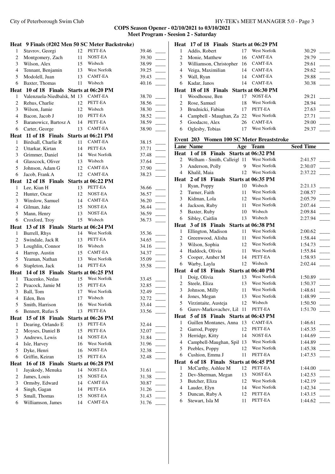City of Peterborough Swim Club HY-TEK's MEET MANAGER 5.0 - Page 3

|                |                                         |          | Heat 9 Finals (#202 Men 50 SC Meter Backstroke) |                |  |
|----------------|-----------------------------------------|----------|-------------------------------------------------|----------------|--|
| $\mathbf{1}$   | Stavrov, Georgi                         | 12       | PETT-EA                                         | 39.46          |  |
| $\overline{c}$ | Montgomery, Zach                        | 11       | NOST-EA                                         | 39.30          |  |
| 3              | Wilson, Alex                            | 15       | Wisbech                                         | 38.99          |  |
| $\overline{4}$ | Tennant, Benjamin                       | 13       | <b>West Norfolk</b>                             | 39.25          |  |
| 5              | Modolell, Juan                          | 13       | CAMT-EA                                         | 39.43          |  |
| 6              | Baxter, Thomas                          | 11       | Wisbech                                         | 40.16          |  |
|                | Heat 10 of 18 Finals Starts at 06:20 PM |          |                                                 |                |  |
| 1              | Valenzuela-Niedbalsk, M 13              |          | CAMT-EA                                         | 38.70          |  |
| 2              | Rehus, Charlie                          | 12       | PETT-EA                                         | 38.56          |  |
| 3              | Wilson, Jamie                           | 12       | Wisbech                                         | 38.30          |  |
| 4              | Bacon, Jacob J                          | 10       | PETT-EA                                         | 38.52          |  |
| 5              | Baranowicz, Bartosz A                   | 14       | PETT-EA                                         | 38.59          |  |
| 6              | Carter, George                          | 13       | CAMT-EA                                         | 38.90          |  |
| Heat           | 11 of 18 Finals                         |          | Starts at 06:21 PM                              |                |  |
| 1              | Birdsall, Charlie R                     | 11       | CAMT-EA                                         | 38.15          |  |
| 2              | Uttarkar, Kirtan                        | 14       | PETT-EA                                         | 37.71          |  |
| 3              | Grimmer, Daniel                         | 14       | West Norfolk                                    | 37.48          |  |
| $\overline{4}$ | Glasscock, Oliver                       | 13       | Wisbech                                         | 37.64          |  |
| 5              | Johnson, Adam G                         | 12       | CAMT-EA                                         | 37.90          |  |
| 6              | Jacob, Frank A                          | 12       | CAMT-EA                                         | 38.23          |  |
|                | Heat 12 of 18 Finals Starts at 06:22 PM |          |                                                 |                |  |
| $\mathbf{1}$   | Lee, Kian H                             | 13       | PETT-EA                                         | 36.66          |  |
| 2              | Hunter, Oscar                           | 12       | NOST-EA                                         | 36.57          |  |
| 3              | Winslow, Samuel                         | 14       | CAMT-EA                                         | 36.20          |  |
| 4              | Gilman, Jake                            | 15       | NOST-EA                                         | 36.44          |  |
| 5              | Mann, Henry                             | 13       | NOST-EA                                         | 36.59          |  |
| 6              | Croxford, Troy                          | 15       | Wisbech                                         | 36.73          |  |
|                | Heat 13 of 18 Finals                    |          | Starts at 06:24 PM                              |                |  |
|                |                                         |          |                                                 |                |  |
| 1              | Burrell, Rhys                           | 14       | West Norfolk                                    | 35.36          |  |
| 2              | Swindale, Jack R                        | 13       | PETT-EA                                         | 34.65          |  |
| 3              | Loughlin, Connor                        | 16       | Wisbech                                         | 34.16          |  |
| $\overline{4}$ | Harrop, Austin                          | 15       | <b>CAMT-EA</b>                                  | 34.37          |  |
| 5              | Yeaman, Nathan                          | 13       | West Norfolk                                    | 35.09          |  |
| 6              | Stapleton, Jack                         | 14       | PETT-EA                                         | 35.58          |  |
|                | Heat 14 of 18 Finals                    |          | Starts at 06:25 PM                              |                |  |
| $\mathbf{1}$   | Tkacenko, Nedas                         | 15       | <b>West Norfolk</b>                             | 33.45          |  |
| $\overline{c}$ | Peacock, Jamie M                        | 15       | PETT-EA                                         | 32.85          |  |
| $\mathfrak{Z}$ | Ball. Tom                               | 17       | West Norfolk                                    | 32.49          |  |
| 4              | Eden, Ben                               | 17       | Wisbech                                         | 32.72          |  |
| 5              | Smith, Harrison                         | 16       | West Norfolk                                    | 33.44          |  |
| 6              | Bennett, Rufus S                        | 13       | PETT-EA                                         | 33.56          |  |
| Heat           | 15 of 18 Finals                         |          | Starts at 06:26 PM                              |                |  |
| $\mathbf{1}$   | Dearing, Orlando E                      | 13       | PETT-EA                                         | 32.44          |  |
| 2              | Moyses, Daniel B                        | 15       | PETT-EA                                         | 32.07          |  |
| 3              | Andrews, Lewis                          | 14       | NOST-EA                                         | 31.84          |  |
| $\overline{4}$ | Isle, Harvey                            | 16       | West Norfolk                                    | 31.96          |  |
| 5              | Dyke, Henri                             | 16       | NOST-EA                                         | 32.38          |  |
| 6              | Griffin, Keiran                         | 15       | PETT-EA                                         | 32.48          |  |
|                | Heat 16 of 18 Finals                    |          | Starts at 06:28 PM                              |                |  |
| $\mathbf{1}$   | Jayakody, Menuka                        | 14       | NOST-EA                                         | 31.61          |  |
| $\overline{c}$ | James, Louis                            | 15       | NOST-EA                                         | 31.38          |  |
| 3              | Ormsby, Edward                          | 14       | CAMT-EA                                         | 30.87          |  |
| $\overline{4}$ | Singh, Gagan                            | 14       | PETT-EA                                         | 31.26          |  |
| 5<br>6         | Small, Thomas<br>Williamson, James      | 15<br>14 | NOST-EA<br>CAMT-EA                              | 31.43<br>31.76 |  |

|   | Heat 17 of 18 Finals Starts at 06:29 PM |    |                |       |  |
|---|-----------------------------------------|----|----------------|-------|--|
| 1 | Addis, Robert                           | 17 | West Norfolk   | 30.29 |  |
| 2 | Monie, Matthew                          | 16 | CAMT-EA        | 29.79 |  |
| 3 | Williamson, Christopher                 | 16 | CAMT-EA        | 29.61 |  |
| 4 | Veiga, Maximilian                       | 14 | <b>CAMT-EA</b> | 29.62 |  |
| 5 | Wall, Ryan                              | 14 | CAMT-EA        | 29.88 |  |
| 6 | Kadar, Janos                            | 14 | CAMT-EA        | 30.38 |  |
|   | Heat 18 of 18 Finals Starts at 06:30 PM |    |                |       |  |
| 1 | Woodhouse, Ben                          | 17 | NOST-EA        | 29.21 |  |
| 2 | Rose, Samuel                            | 18 | West Norfolk   | 28.94 |  |
| 3 | Brudnicki, Fabian                       | 17 | PETT-EA        | 27.63 |  |
| 4 | Campbell - Maughan, Za 22               |    | West Norfolk   | 27.71 |  |
| 5 | Goodacre, Alex                          | 26 | CAMT-EA        | 29.00 |  |
| 6 | Oglesby, Tobias                         | 17 | West Norfolk   | 29.37 |  |

|  |  | Event  203   Women 100 SC Meter Breaststroke |  |
|--|--|----------------------------------------------|--|
|  |  |                                              |  |

|                | <b>Lane Name</b>                       | Age | <b>Team</b>         | <b>Seed Time</b>  |
|----------------|----------------------------------------|-----|---------------------|-------------------|
|                | Heat 1 of 18 Finals Starts at 06:32 PM |     |                     |                   |
| 2              | Welham - Smith, Calleigl 11            |     | <b>West Norfolk</b> | 2:41.57           |
| 3              | Anderson, Polly                        | 9   | West Norfolk        | 2:30.07           |
| 4              | Khalil, Maia                           | 12  | West Norfolk        | 2:37.22           |
|                | Heat 2 of 18 Finals                    |     | Starts at 06:35 PM  |                   |
| 1              | Ryan, Poppy                            | 10  | Wisbech             | 2:21.13           |
| $\overline{c}$ | Turner, Faith                          | 11  | West Norfolk        | 2:08.57           |
| 3              | Kidman, Lola                           | 12  | West Norfolk        | 2:05.79<br>$\sim$ |
| $\overline{4}$ | Jackson, Ruby                          | 11  | West Norfolk        | 2:07.44           |
| 5              | Baxter, Ruby                           | 10  | Wisbech             | 2:09.84           |
| 6              | Sibley, Caitlin                        | 13  | Wisbech             | 2:27.94           |
| Heat           | 3 of 18 Finals                         |     | Starts at 06:38 PM  |                   |
| 1              | Ellington, Madison                     | 11  | West Norfolk        | 2:00.62           |
| $\overline{c}$ | Greenwood, Alisha                      | 11  | West Norfolk        | 1:58.44           |
| 3              | Wilson, Sophia                         | 12  | West Norfolk        | 1:54.73           |
| $\overline{4}$ | Haddock, Olivia                        | 11  | <b>West Norfolk</b> | 1:55.84           |
| 5              | Cooper, Amber M                        | 14  | PETT-EA             | 1:58.93           |
| 6              | Warby, Layla                           | 12  | Wisbech             | 2:02.44           |
|                | Heat 4 of 18 Finals                    |     | Starts at 06:40 PM  |                   |
| 1              | Doig, Olivia                           | 13  | West Norfolk        | 1:50.89           |
| $\overline{c}$ | Steele, Eliza                          | 13  | <b>West Norfolk</b> | 1:50.37           |
| 3              | Johnson, Milly                         | 11  | West Norfolk        | 1:48.61           |
| $\overline{4}$ | Jones, Megan                           | 13  | West Norfolk        | 1:48.99           |
| 5              | Virzintaite, Austeja                   | 12  | Wisbech             | 1:50.50           |
| 6              | Gurev-Markovachev, Lil                 | 11  | PETT-EA             | 1:51.70           |
|                | Heat 5 of 18 Finals Starts at 06:43 PM |     |                     |                   |
| 1              | Guillen Montanes, Anna                 | 13  | <b>CAMT-EA</b>      | 1:46.61           |
| $\overline{c}$ | Garrod, Poppy                          | 12  | PETT-EA             | 1:45.35           |
| 3              | Herridge, Kitty                        | 14  | NOST-EA             | 1:44.69           |
| $\overline{4}$ | Campbell-Maughan, Spil                 | 13  | West Norfolk        | 1:44.89           |
| 5              | Peebles, Poppy                         | 12  | West Norfolk        | 1:45.38           |
| 6              | Cushion, Emma J                        | 11  | PETT-EA             | 1:47.53           |
|                | Heat 6 of 18 Finals Starts at 06:45 PM |     |                     |                   |
| 1              | McCarthy, Ashlee M                     | 12  | PETT-EA             | 1:44.00           |
| $\overline{c}$ | Dev-Sherman, Megan                     | 13  | NOST-EA             | 1:42.53           |
| 3              | Butcher, Eliza                         | 12  | West Norfolk        | 1:42.19           |
| $\overline{4}$ | Lauder, Elyn                           | 14  | West Norfolk        | 1:42.34           |
| 5              | Duncan, Ruby A                         | 12  | PETT-EA             | 1:43.15           |
| 6              | Stewart, Isla M                        | 11  | PETT-EA             | 1:44.62           |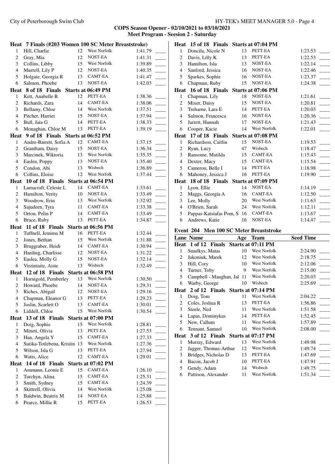|                  | Heat 7 Finals (#203 Women 100 SC Meter Breaststroke) |    |                    |         |
|------------------|------------------------------------------------------|----|--------------------|---------|
| $\mathbf{1}$     | Hill, Charlie                                        | 12 | West Norfolk       | 1:41.79 |
| $\overline{c}$   | Gray, Mia                                            | 12 | NOST-EA            | 1:41.31 |
| $\mathfrak{Z}$   | Collins, Libby                                       | 15 | West Norfolk       | 1:39.89 |
| $\overline{4}$   | Murrell, Lily P                                      | 12 | NOST-EA            | 1:40.35 |
| 5                | Holgate, Georgia R                                   | 13 | CAMT-EA            | 1:41.47 |
| 6                | Salmon, Phoebe                                       | 13 | NOST-EA            | 1:42.03 |
|                  | Heat 8 of 18 Finals                                  |    | Starts at 06:49 PM |         |
| 1                | Kett, Anabelle R                                     | 12 | PETT-EA            | 1:38.36 |
| $\overline{c}$   | Richards, Zara                                       | 14 | CAMT-EA            | 1:38.06 |
| 3                | Bellamy, Chloe                                       | 14 | West Norfolk       | 1:37.51 |
| $\overline{4}$   | Pitcher, Harriet                                     | 15 | NOST-EA            | 1:37.94 |
| 5                | Bull, Jaia G                                         | 14 | PETT-EA            | 1:38.33 |
| 6                | Monaghan, Chloe M                                    | 13 | PETT-EA            | 1:39.19 |
|                  | Heat 9 of 18 Finals Starts at 06:52 PM               |    |                    |         |
| 1                | Andre-Barrett, Sofia A                               | 12 | CAMT-EA            | 1:37.15 |
| 2                | Grantham, Daisy                                      | 15 | NOST-EA            | 1:36.34 |
| 3                | Marcinek, Wiktoria                                   | 13 | West Norfolk       | 1:35.35 |
| $\overline{4}$   | Easlea, Poppy                                        | 13 | NOST-EA            | 1:35.40 |
| 5                | Condon, Abi                                          | 13 | Wisbech            | 1:36.89 |
| 6                | Collins, Eloise                                      | 12 | West Norfolk       | 1:37.44 |
|                  | Heat 10 of 18 Finals Starts at 06:54 PM              |    |                    |         |
| 1                | Lamacraft, Celeste L                                 | 14 | CAMT-EA            | 1:33.61 |
| $\boldsymbol{2}$ | Hamilton, Verity                                     | 10 | NOST-EA            | 1:33.49 |
| $\mathfrak{Z}$   | Woodrow, Erin                                        | 13 | West Norfolk       | 1:32.92 |
| $\overline{4}$   | Sajudeen, Tyra                                       | 11 | CAMT-EA            | 1:33.38 |
| 5                | Orton, Pelin P                                       | 14 | CAMT-EA            | 1:33.49 |
| 6                | Brace, Ruby                                          | 13 | PETT-EA            | 1:34.87 |
|                  | Heat 11 of 18 Finals Starts at 06:56 PM              |    |                    |         |
| $\mathbf{1}$     | Tuffnell, Jemima M                                   | 16 | PETT-EA            | 1:32.44 |
| 2                | Jones, Bethan                                        | 15 | West Norfolk       | 1:31.88 |
| 3                | Bruggraber, Heidi                                    | 14 | CAMT-EA            | 1:30.94 |
| $\overline{4}$   | Harding, Charlisse                                   | 12 | NOST-EA            | 1:31.22 |
| 5                | Easlea, Molly G                                      | 15 | NOST-EA            | 1:32.14 |
| 6                | Virzintaite, Aiste                                   | 13 | Wisbech            | 1:32.49 |
| Heat             | 12 of 18 Finals Starts at 06:58 PM                   |    |                    |         |
| 1                | Hornigold, Pemberley                                 | 13 | West Norfolk       | 1:30.50 |
| $\sqrt{2}$       | Howard, Phoebe                                       | 14 | NOST-EA            | 1:29.31 |
| 3                | Riches, Abigail                                      | 12 | NOST-EA            | 1:29.16 |
| 4                | Chapman, Eleanor G                                   | 13 | PETT-EA            | 1:29.23 |
| 5                | Joslin, Scarlett O                                   | 13 | CAMT-EA            | 1:30.01 |
| 6                | Liddell, Chloe                                       | 15 | West Norfolk       | 1:30.54 |
|                  | Heat 13 of 18 Finals Starts at 07:00 PM              |    |                    |         |
| $\mathbf{1}$     | Doig, Sophie                                         | 15 | West Norfolk       | 1:28.81 |
| $\overline{c}$   | Minett, Olivia                                       | 13 | PETT-EA            | 1:27.53 |
| 3                | Han, Angela Y                                        | 15 | CAMT-EA            | 1:27.33 |
| $\overline{4}$   | Sutika-Totlebena, Kristin                            | 13 | West Norfolk       | 1:27.36 |
| 5                | Wilson, Isla G                                       | 13 | PETT-EA            | 1:27.94 |
| 6                | Watts, Alice                                         | 12 | CAMT-EA            | 1:29.01 |
| Heat             | 14 of 18 Finals                                      |    | Starts at 07:02 PM |         |
| 1                | Ammann, Leonie E                                     | 15 | CAMT-EA            | 1:26.10 |
| 2                | Turchyn, Alina                                       | 15 | CAMT-EA            | 1:25.31 |
| 3                | Smith, Sydney                                        | 15 | CAMT-EA            | 1:24.39 |
| $\overline{4}$   | Skittrell, Olivia                                    | 14 | West Norfolk       | 1:25.08 |
| 5                | Baldwin, Beatrix M                                   | 14 | NOST-EA            | 1:25.88 |
|                  |                                                      |    |                    |         |
| 6                | Pearce, Millie R                                     | 15 | PETT-EA            | 1:26.53 |

|                         | Heat 15 of 18 Finals                         |     | Starts at 07:04 PM             |                    |
|-------------------------|----------------------------------------------|-----|--------------------------------|--------------------|
| 1                       | Doncila, Nicole N                            | 13  | PETT-EA                        | 1:23.53            |
| $\overline{c}$          | Davis, Lilly K                               | 13  | PETT-EA                        | 1:22.53            |
| 3                       | Hamilton, Isla                               | 13  | NOST-EA                        | 1:22.14            |
| $\overline{4}$          | Sanford, Jessica                             | 16  | NOST-EA                        | 1:22.46            |
| 5                       | Sparkes, Sophie                              | 16  | NOST-EA                        | 1:23.37            |
| 6                       | Chapman, Ruby                                | 15  | NOST-EA                        | 1:24.38            |
|                         | Heat 16 of 18 Finals                         |     | Starts at 07:06 PM             |                    |
| 1                       | Chapman, Lily                                | 18  | NOST-EA                        | 1:21.61            |
| $\overline{c}$          | Mixer, Daisy                                 | 15  | NOST-EA                        | 1:20.81            |
| 3                       | Treharne, Lara E                             | 14  | PETT-EA                        | 1:20.03            |
| $\overline{4}$          | Salmon, Francesca                            | 16  | NOST-EA                        | 1:20.36            |
| 5                       | Jarrett, Hannah                              | 17  | NOST-EA                        | 1:21.43            |
| 6                       | Cooper, Kacie                                | 14  | West Norfolk                   | 1:22.01            |
|                         | Heat 17 of 18 Finals                         |     | Starts at 07:08 PM             |                    |
| 1                       | Richardson, Caitlin                          | 15  | NOST-EA                        | 1:19.53            |
| $\overline{c}$          | Ryan, Lucy                                   | 47  | Wisbech                        | 1:18.47            |
| 3                       | Ransome, Matilda                             | 15  | CAMT-EA                        | 1:15.43            |
| $\overline{4}$          | Dexter, Macy                                 | 15  | CAMT-EA                        | 1:15.54            |
| 5                       | Cameron, Belle I                             | 14  | PETT-EA                        | 1:18.98            |
| 6                       | Mahoney, Jessica J                           | 16  | PETT-EA                        | 1:19.90            |
|                         | Heat 18 of 18 Finals                         |     |                                |                    |
|                         |                                              | 14  | Starts at 07:09 PM<br>NOST-EA  |                    |
| 1<br>2                  | Lyon, Ellie<br>Maggs, Georgia A              | 16  | CAMT-EA                        | 1:14.19<br>1:12.50 |
| 3                       | Lee, Molly                                   | 20  | West Norfolk                   | 1:11.63            |
| $\overline{4}$          | O'Brien, Sarah                               | 24  | West Norfolk                   | 1:12.11            |
|                         |                                              |     |                                |                    |
|                         |                                              |     |                                |                    |
| 5                       | Pappas-Katsiafas Pom, S                      | -16 | <b>CAMT-EA</b>                 | 1:13.67            |
| 6                       | Andrews, Katie                               | 16  | NOST-EA                        | 1:14.47            |
|                         | Event 204 Men 100 SC Meter Breaststroke      |     |                                |                    |
|                         | <b>Lane Name</b>                             |     |                                | <b>Seed Time</b>   |
|                         | Heat 1 of 12 Finals                          |     | Age Team<br>Starts at 07:11 PM |                    |
| 1                       | Smulkys, Matas                               | 10  | West Norfolk                   | 2:24.90            |
| 2                       | Jakoniuk, Marek                              | 12  | West Norfolk                   | 2:18.75            |
| 3                       | Hill, Cory                                   | 10  | West Norfolk                   | 2:12.06            |
| $\overline{4}$          | Turner, Toby                                 | 9   | <b>West Norfolk</b>            | 2:15.00            |
| 5                       | Campbell - Maughan, Jal 11                   |     | West Norfolk                   | 2:20.03            |
| 6                       | Warby, George                                | 10  | Wisbech                        | 2:25.69            |
| <b>Heat</b>             | 2 of 12 Finals Starts at 07:14 PM            |     |                                |                    |
| 1                       | Doig, Tom                                    | 11  | West Norfolk                   | 2:04.22            |
| $\overline{\mathbf{c}}$ | Coles, Joshua R                              | 13  | PETT-EA                        | 1:56.86            |
| 3                       | Steele, Ned                                  | 11  | West Norfolk                   | 1:51.58            |
| 4                       | Lapas, Dominykas                             | 14  | PETT-EA                        | 1:52.45            |
| 5                       | New, Callum                                  | 11  | West Norfolk                   | 1:57.89            |
| 6                       | Tennant, Samuel                              | 10  | West Norfolk                   | 2:08.00            |
| Heat                    | 3 of 12 Finals                               |     | Starts at 07:17 PM             |                    |
| 1                       |                                              | 13  | West Norfolk                   | 1:49.98            |
| 2                       | Murray, Edward                               | 12  | West Norfolk                   | 1:49.74            |
| 3                       | Jagger, Thomas-Arthur<br>Bridges, Nicholas D | 13  | PETT-EA                        |                    |
| $\overline{4}$          | Bacon, Jacob J                               | 10  | PETT-EA                        | 1:47.69<br>1:47.91 |
| 5                       | Gendy, Adam                                  | 14  | Wisbech                        | 1:49.75            |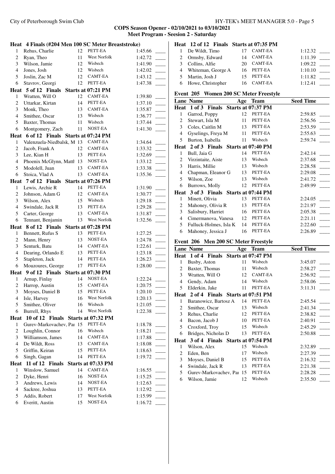|                | Heat 4 Finals (#204 Men 100 SC Meter Breaststroke) |    |                                |                    |                | Heat 12 of 12 Finals Starts at 07:35 PM |          |                |                    |
|----------------|----------------------------------------------------|----|--------------------------------|--------------------|----------------|-----------------------------------------|----------|----------------|--------------------|
| 1              | Rehus, Charlie                                     | 12 | PETT-EA                        | 1:45.66            | -1             | De Wildt, Timo                          | 17       | <b>CAMT-EA</b> | 1:12.32            |
| $\overline{2}$ | Ryan, Theo                                         | 11 | West Norfolk                   | 1:42.72            | $\overline{2}$ | Ormsby, Edward                          | 14       | <b>CAMT-EA</b> | 1:11.39            |
| 3              | Wilson, Jamie                                      | 12 | Wisbech                        | 1:41.90            | 3              | Collins, Alfie                          | 20       | CAMT-EA        | 1:09.22            |
| 4              | Jones, Josh                                        | 12 | Wisbech                        | 1:42.02            | $\overline{4}$ | Whiteman, George A                      | 16       | PETT-EA        | 1:10.10            |
| 5              | Joslin, Zac M                                      | 12 | <b>CAMT-EA</b>                 | 1:43.12            | 5              | Martin, Josh J                          | 15       | PETT-EA        | 1:11.82            |
| 6              | Stavrov, Georgi                                    | 12 | PETT-EA                        | 1:47.38            | 6              | Howe, Christopher                       | 16       | <b>CAMT-EA</b> | 1:12.41            |
| Heat           | 5 of 12 Finals Starts at 07:21 PM                  |    |                                |                    |                | Event 205 Women 200 SC Meter Freestyle  |          |                |                    |
| 1              | Wratten, Will O                                    | 12 | CAMT-EA                        | 1:39.80            |                |                                         |          |                |                    |
| 2              | Uttarkar, Kirtan                                   | 14 | PETT-EA                        | 1:37.10            |                | <b>Lane Name</b>                        |          | Age Team       | <b>Seed Time</b>   |
| 3              | Monk, Theo                                         | 13 | <b>CAMT-EA</b>                 | 1:35.87            |                | Heat 1 of 3 Finals Starts at 07:37 PM   |          | 12 PETT-EA     |                    |
| $\overline{4}$ | Smithee, Oscar                                     | 13 | Wisbech                        | 1:36.77            | 1<br>2         | Garrod, Poppy                           |          | PETT-EA        | 2:59.85<br>2:56.56 |
| 5              | Baxter, Thomas                                     | 11 | Wisbech                        | 1:37.44            | 3              | Stewart, Isla M                         | 11<br>13 | PETT-EA        |                    |
| 6              | Montgomery, Zach                                   | 11 | NOST-EA                        | 1:41.30            | 4              | Coles, Caitlin M<br>Gyselings, Freya M  | 11       | PETT-EA        | 2:53.59<br>2:55.63 |
| <b>Heat</b>    | 6 of 12 Finals Starts at 07:24 PM                  |    |                                |                    | 5              | Burton, Isabella                        | 11       | Wisbech        | 2:59.74            |
| 1              | Valenzuela-Niedbalsk, M 13                         |    | CAMT-EA                        | 1:34.64            |                | Heat 2 of 3 Finals Starts at 07:40 PM   |          |                |                    |
| $\overline{2}$ | Jacob, Frank A                                     | 12 | <b>CAMT-EA</b>                 | 1:33.32            | 1              | Bull, Jaia G                            | 14       | PETT-EA        | 2:42.14            |
| 3              | Lee, Kian H                                        | 13 | PETT-EA                        | 1:32.69            | $\overline{2}$ | Virzintaite, Aiste                      | 13       | Wisbech        | 2:37.68            |
| $\overline{4}$ | Phoenix McGlynn, Matth 13                          |    | NOST-EA                        | 1:33.12            | 3              | Harris, Millie                          | 13       | Wisbech        | 2:28.58            |
| 5              | Modolell, Juan                                     | 13 | CAMT-EA                        | 1:33.38            | $\overline{4}$ | Chapman, Eleanor G                      | 13       | PETT-EA        | 2:29.08            |
| 6              | Stoica, Vlad A                                     | 13 | CAMT-EA                        | 1:35.36            | 5              | Wilson, Zoe                             | 13       | Wisbech        | 2:41.72            |
| <b>Heat</b>    | 7 of 12 Finals Starts at 07:26 PM                  |    |                                |                    | 6              | Burrows, Molly                          | 12       | PETT-EA        | 2:49.99            |
| 1              | Lewis, Archie R                                    | 14 | PETT-EA                        | 1:31.90            |                | Heat 3 of 3 Finals Starts at 07:44 PM   |          |                |                    |
| 2              | Johnson, Adam G                                    | 12 | <b>CAMT-EA</b>                 | 1:30.77            | 1              | Minett, Olivia                          | 13       | PETT-EA        | 2:24.05            |
| 3              | Wilson, Alex                                       | 15 | Wisbech                        | 1:29.18            | $\overline{2}$ | Mahoney, Olivia R                       | 13       | PETT-EA        |                    |
| $\overline{4}$ | Swindale, Jack R                                   | 13 | PETT-EA                        | 1:29.28            | 3              | Salisbury, Harriet                      | 16       | PETT-EA        | 2:05.38            |
| 5              | Carter, George                                     | 13 | <b>CAMT-EA</b><br>West Norfolk | 1:31.87            | 4              | Cimermanova, Vanesa                     | 12       | PETT-EA        | 2:21.11            |
| 6              | Tennant, Benjamin                                  | 13 |                                | 1:32.56            | 5              | Fulluck-Holmes, Isla K                  | 14       | PETT-EA        | 2:22.60            |
| Heat           | 8 of 12 Finals Starts at 07:28 PM                  |    |                                |                    |                |                                         |          |                |                    |
|                |                                                    |    |                                |                    | 6              |                                         | 16       | PETT-EA        |                    |
| 1              | Bennett, Rufus S                                   | 13 | PETT-EA                        | 1:27.25            |                | Mahoney, Jessica J                      |          |                | 2:26.89            |
| 2              | Mann, Henry                                        | 13 | NOST-EA                        | 1:24.78            |                | Event 206 Men 200 SC Meter Freestyle    |          |                |                    |
| 3              | Senturk, Batu                                      | 14 | <b>CAMT-EA</b>                 | 1:22.61            |                | <b>Lane Name</b>                        |          | Age Team       | <b>Seed Time</b>   |
| 4              | Dearing, Orlando E                                 | 13 | PETT-EA                        | 1:23.18            |                | Heat 1 of 4 Finals Starts at 07:47 PM   |          |                |                    |
| 5              | Stapleton, Jack                                    | 14 | PETT-EA                        | 1:26.23            | 1              | Busby, Aston                            | 11       | Wisbech        | 3:45.07            |
| 6              | Mouzoures, George                                  | 17 | PETT-EA                        | 1:28.00            | $\overline{2}$ | Baxter, Thomas                          | 11       | Wisbech        | 2:58.27            |
| <b>Heat</b>    | 9 of 12 Finals Starts at 07:30 PM                  |    |                                |                    | 3              | Wratten, Will O                         | 12       | <b>CAMT-EA</b> | 2:56.92            |
| 1              | Arnup, Finlay                                      | 14 | NOST-EA                        | 1:22.24            | $\overline{4}$ | Gendy, Adam                             | 14       | Wisbech        | 2:58.06            |
|                | Harrop, Austin                                     | 15 | <b>CAMT-EA</b>                 | 1:20.75            | 5              | Elderkin, Jake                          | 11       | PETT-EA        | 3:11.31            |
| 3              | Moyses, Daniel B                                   | 15 | PETT-EA                        | 1:20.10            |                | Heat 2 of 4 Finals Starts at 07:51 PM   |          |                |                    |
| 4<br>5         | Isle, Harvey                                       | 16 | West Norfolk<br>Wisbech        | 1:20.13            |                | Baranowicz, Bartosz A                   | 14       | PETT-EA        | 2:45.54            |
| 6              | Smithee, Oliver                                    | 16 | West Norfolk                   | 1:21.05            | $\overline{2}$ | Smithee, Oscar                          | 13       | Wisbech        | 2:41.34            |
|                | Burrell, Rhys                                      | 14 |                                | 1:22.38            | 3              | Rehus, Charlie                          | 12       | PETT-EA        | 2:38.82            |
| Heat<br>-1     | 10 of 12 Finals Starts at 07:32 PM                 |    | PETT-EA                        |                    | $\overline{4}$ | Bacon, Jacob J                          | 10       | PETT-EA        | 2:40.91            |
| 2              | Gurev-Markovachev, Par 15                          | 16 | Wisbech                        | 1:18.78            | 5              | Croxford, Troy                          | 15       | Wisbech        | 2:45.29            |
| 3              | Loughlin, Connor<br>Williamson, James              | 14 | CAMT-EA                        | 1:18.21            | 6              | Bridges, Nicholas D                     | 13       | PETT-EA        | 2:50.88            |
| $\overline{4}$ | De Wildt, Ross                                     | 13 | CAMT-EA                        | 1:17.88            | Heat           | 3 of 4 Finals Starts at 07:54 PM        |          |                |                    |
| 5              | Griffin, Keiran                                    | 15 | PETT-EA                        | 1:18.08<br>1:18.63 | 1              | Wilson, Alex                            | 15       | Wisbech        | 2:32.89            |
| 6              | Singh, Gagan                                       | 14 | PETT-EA                        | 1:19.72            | $\overline{2}$ | Eden, Ben                               | 17       | Wisbech        | 2:27.39            |
| Heat           | 11 of 12 Finals                                    |    | Starts at 07:33 PM             |                    | 3              | Moyses, Daniel B                        | 15       | PETT-EA        | 2:16.32            |
| 1              | Winslow, Samuel                                    | 14 | CAMT-EA                        | 1:16.55            | $\overline{4}$ | Swindale, Jack R                        | 13       | PETT-EA        | 2:21.38            |
| 2              | Dyke, Henri                                        | 16 | NOST-EA                        | 1:15.25            | 5              | Gurev-Markovachev, Paı 15               |          | PETT-EA        | 2:28.28            |
| 3              | Andrews, Lewis                                     | 14 | NOST-EA                        | 1:12.63            | 6              | Wilson, Jamie                           | 12       | Wisbech        | 2:35.50            |
| $\overline{4}$ | Sackree, Joshua                                    | 13 | PETT-EA                        | 1:12.92            |                |                                         |          |                |                    |
| 5              | Addis, Robert                                      | 17 | West Norfolk                   | 1:15.99            |                |                                         |          |                |                    |
| 6              | Everitt, Austin                                    | 15 | NOST-EA                        | 1:16.72            |                |                                         |          |                |                    |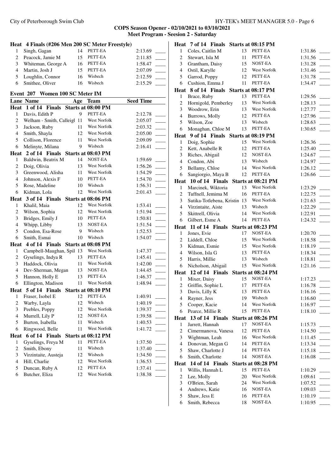|                         | Heat 4 Finals (#206 Men 200 SC Meter Freestyle) |          |                           |                  |  |
|-------------------------|-------------------------------------------------|----------|---------------------------|------------------|--|
| 1                       | Singh, Gagan                                    | 14       | PETT-EA                   | 2:13.69          |  |
| 2                       | Peacock, Jamie M                                | 15       | PETT-EA                   | 2:11.85          |  |
| 3                       | Whiteman, George A                              | 16       | PETT-EA                   | 1:58.47          |  |
| 4                       | Martin, Josh J                                  | 15       | PETT-EA                   | 2:07.09          |  |
| 5                       | Loughlin, Connor                                | 16       | Wisbech                   | 2:12.59          |  |
| 6                       | Smithee, Oliver                                 | 16       | Wisbech                   | 2:15.29          |  |
|                         | Event 207 Women 100 SC Meter IM                 |          |                           |                  |  |
|                         | <b>Lane Name</b>                                |          | Age Team                  | <b>Seed Time</b> |  |
| Heat                    | 1 of 14 Finals                                  |          | <b>Starts at 08:00 PM</b> |                  |  |
| 1                       | Davis, Edith P                                  | 9        | PETT-EA                   | 2:12.78          |  |
| 2                       | Welham - Smith, Calleigl 11                     |          | West Norfolk              | 2:05.07          |  |
| 3                       | Jackson, Ruby                                   | 11       | West Norfolk              | 2:03.32          |  |
| $\overline{4}$          | Smith, Shayla                                   | 12       | West Norfolk              | 2:05.00          |  |
| 5                       | Collison, Florence                              | 11       | West Norfolk              | 2:09.09          |  |
| 6                       | Melinyte, Milana                                | 9        | Wisbech                   | 2:16.41          |  |
|                         | Heat 2 of 14 Finals                             |          | Starts at 08:03 PM        |                  |  |
| 1                       | Baldwin, Beatrix M                              | 14       | NOST-EA                   | 1:59.69          |  |
| $\overline{c}$          | Doig, Olivia                                    | 13       | West Norfolk              | 1:56.26          |  |
| 3                       | Greenwood, Alisha                               | 11       | West Norfolk              | 1:54.29          |  |
| $\overline{4}$          | Johnson, Alexis F                               | 10       | PETT-EA                   | 1:54.70          |  |
| 5                       | Rose, Madeline                                  | 10       | Wisbech                   | 1:56.31          |  |
| 6                       | Kidman, Lola                                    | 12       | West Norfolk              | 2:01.43          |  |
| Heat                    | 3 of 14 Finals                                  |          | Starts at 08:06 PM        |                  |  |
| 1                       | Khalil, Maia                                    | 12       | West Norfolk              | 1:53.41          |  |
| 2                       | Wilson, Sophia                                  | 12       | West Norfolk              | 1:51.94          |  |
| 3                       | Bridges, Emily J                                | 10       | PETT-EA                   | 1:50.81          |  |
| $\overline{4}$          | Whipp, Libby                                    | 13       | NOST-EA                   | 1:51.54          |  |
| 5                       | Condon, Esa-Rose                                | 9        | Wisbech                   | 1:52.53          |  |
| 6                       | Smith, Esmai                                    | 10       | Wisbech                   | 1:54.07          |  |
| <b>Heat</b>             | 4 of 14 Finals Starts at 08:08 PM               |          |                           |                  |  |
| $\mathbf{1}$            | Campbell-Maughan, Spil 13                       |          | West Norfolk              | 1:47.37          |  |
| 2                       | Gyselings, Indya R                              | 13       | PETT-EA                   | 1:45.41          |  |
| 3                       | Haddock, Olivia                                 | 11       | West Norfolk              | 1:42.00          |  |
| $\overline{4}$          | Dev-Sherman, Megan                              | 13       | NOST-EA                   | 1:44.45          |  |
| 5                       | Hannon, Holly E                                 | 13       | PETT-EA                   | 1:46.37          |  |
| 6                       | Ellington, Madison                              | 11       | West Norfolk              | 1:48.94          |  |
| Heat                    | 5 of 14 Finals Starts at 08:10 PM               |          |                           |                  |  |
| $\,1$                   | Fraser, Isobel E                                | 12       | PETT-EA                   | 1:40.91          |  |
| $\overline{\mathbf{c}}$ | Warby, Layla                                    | 12       | Wisbech                   | 1:40.19          |  |
| 3                       | Peebles, Poppy                                  | 12       | West Norfolk              | 1:39.37          |  |
| $\overline{\mathbf{4}}$ | Murrell, Lily P                                 | 12       | NOST-EA<br>Wisbech        | 1:39.58          |  |
| 5                       | Burton, Isabella                                | 11       |                           | 1:40.53          |  |
| 6                       | Ringwood, Belle                                 | 11       | West Norfolk              | 1:41.72          |  |
| Heat                    | 6 of 14 Finals                                  |          | Starts at 08:12 PM        |                  |  |
| $\mathbf{1}$            | Gyselings, Freya M                              | 11       | PETT-EA                   | 1:37.50          |  |
| 2                       | Smith, Ebony                                    | 11       | Wisbech                   | 1:37.40          |  |
| 3<br>$\overline{4}$     | Virzintaite, Austeja                            | 12       | Wisbech<br>West Norfolk   | 1:34.50          |  |
|                         | Hill, Charlie                                   | 12       | PETT-EA                   | 1:36.53          |  |
| 5<br>6                  | Duncan, Ruby A<br>Butcher, Eliza                | 12<br>12 | West Norfolk              | 1:37.41          |  |
|                         |                                                 |          |                           | 1:38.38          |  |

|                | Heat 7 of 14 Finals Starts at 08:15 PM |          |                    |                    |
|----------------|----------------------------------------|----------|--------------------|--------------------|
| 1              | Coles, Caitlin M                       | 13       | PETT-EA            | 1:31.86            |
| $\overline{c}$ | Stewart, Isla M                        | 11       | PETT-EA            | 1:31.56            |
| 3              | Grantham, Daisy                        | 15       | NOST-EA            | 1:31.28            |
| $\overline{4}$ | Ostil, Karylle                         | 12       | West Norfolk       | 1:31.46            |
| 5              | Garrod, Poppy                          | 12       | PETT-EA            | 1:31.78            |
| 6              | Cushion, Emma J                        | 11       | PETT-EA            | 1:34.47            |
|                | Heat 8 of 14 Finals Starts at 08:17 PM |          |                    |                    |
| $\mathbf{1}$   | Brace, Ruby                            | 13       | PETT-EA            | 1:29.56            |
| $\overline{c}$ | Hornigold, Pemberley                   | 13       | West Norfolk       | 1:28.13            |
| 3              | Woodrow, Erin                          | 13       | West Norfolk       | 1:27.77            |
| $\overline{4}$ | Burrows, Molly                         | 12       | PETT-EA            | 1:27.96            |
| 5              | Wilson, Zoe                            | 13       | Wisbech            | 1:28.63            |
| 6              | Monaghan, Chloe M                      | 13       | PETT-EA            | 1:30.65            |
| Heat           | 9 of 14 Finals Starts at 08:19 PM      |          |                    |                    |
| 1              | Doig, Sophie                           | 15       | West Norfolk       | 1:26.36            |
| $\overline{c}$ | Kett, Anabelle R                       | 12       | PETT-EA            | 1:25.40            |
| 3              | Riches, Abigail                        | 12       | NOST-EA            | 1:24.67            |
| $\overline{4}$ | Condon, Abi                            | 13       | Wisbech            | 1:24.97            |
| 5              | Bellamy, Chloe                         | 14       | West Norfolk       | 1:26.12            |
| 6              | Sangiorgio, Maya B                     | 12       | PETT-EA            | 1:26.66            |
|                | Heat 10 of 14 Finals                   |          | Starts at 08:21 PM |                    |
| $\mathbf{1}$   | Marcinek, Wiktoria                     | 13       | West Norfolk       | 1:23.29            |
| $\overline{c}$ | Tuffnell, Jemima M                     | 16       | PETT-EA            | 1:22.75            |
| 3              | Sutika-Totlebena, Kristin 13           |          | West Norfolk       | 1:21.63            |
| $\overline{4}$ | Virzintaite, Aiste                     | 13       | Wisbech            | 1:22.29            |
| 5              | Skittrell, Olivia                      | 14       | West Norfolk       | 1:22.91            |
| 6              | Gilbert, Esme A                        | 14       | PETT-EA            | 1:24.32            |
| Heat           | 11 of 14 Finals Starts at 08:23 PM     |          |                    |                    |
|                |                                        |          |                    |                    |
| 1              | Jones, Evie                            | 17       | NOST-EA            | 1:20.70            |
| $\overline{c}$ | Liddell, Chloe                         | 15       | West Norfolk       | 1:18.58            |
| 3              | Kidman, Esmie                          | 15       | West Norfolk       | 1:18.19            |
| $\overline{4}$ | Wilson, Isla G                         | 13       | PETT-EA            | 1:18.34            |
| 5              | Harris, Millie                         | 13       | Wisbech            | 1:18.81            |
| 6              | Nicholson, Abigail                     | 15       | West Norfolk       | 1:21.16            |
|                | Heat 12 of 14 Finals                   |          | Starts at 08:24 PM |                    |
| $\mathbf{1}$   | Mixer, Daisy                           | 15       | NOST-EA            | 1:17.23            |
| $\overline{c}$ | Griffin, Sophie L                      | 17       | PETT-EA            | 1:16.78            |
| 3              | Davis, Lilly K                         | 13       | PETT-EA            | 1:16.16            |
| 4              | Rayner, Jess                           | 19       | Wisbech            | 1:16.60            |
| 5              | Cooper, Kacie                          | 14       | West Norfolk       | 1:16.97            |
| 6              | Pearce, Millie R                       | 15       | PETT-EA            | 1:18.10            |
| Heat           | 13 of 14 Finals                        |          | Starts at 08:26 PM |                    |
| 1              | Jarrett, Hannah                        | 17       | NOST-EA            | 1:15.73            |
| 2              | Cimermanova, Vanesa                    | 12       | PETT-EA            | 1:14.50            |
| 3              | Wightman, Leah                         | 16       | West Norfolk       | 1:11.45            |
| 4              | Donovan, Megan G                       | 14       | PETT-EA            | 1:13.34            |
| 5              | Shaw, Charlotte J                      | 14       | PETT-EA            | 1:15.18            |
| 6              | Smith, Charlotte                       | 14       | NOST-EA            | 1:16.08            |
|                | Heat 14 of 14 Finals                   |          | Starts at 08:28 PM |                    |
| 1              | Willis, Hannah L                       | 15       | PETT-EA            | 1:10.29            |
| 2              | Lee, Molly                             | 20       | West Norfolk       | 1:09.61            |
| 3              | O'Brien, Sarah                         | 24       | West Norfolk       | 1:07.52            |
| 4              | Andrews, Katie                         | 16       | NOST-EA            | 1:09.03            |
| 5<br>6         | Shaw, Jess E<br>Smith, Rebecca         | 16<br>18 | PETT-EA<br>NOST-EA | 1:10.19<br>1:10.95 |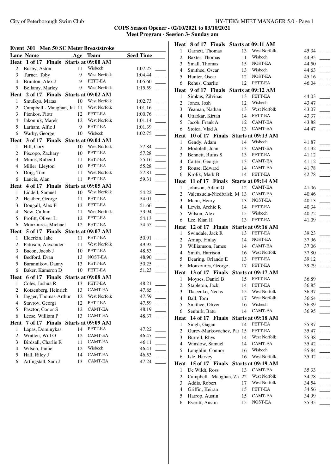| Event 301 Men 50 SC Meter Breaststroke |                                        |          |                     |                  |  |  |  |  |
|----------------------------------------|----------------------------------------|----------|---------------------|------------------|--|--|--|--|
|                                        | <b>Lane Name</b>                       | Age      | <b>Team</b>         | <b>Seed Time</b> |  |  |  |  |
| Heat                                   | 1 of 17 Finals                         |          | Starts at 09:00 AM  |                  |  |  |  |  |
| $\overline{c}$                         | Busby, Aston                           | 11       | Wisbech             | 1:07.25          |  |  |  |  |
| 3                                      | Turner, Toby                           | 9        | West Norfolk        | 1:04.44          |  |  |  |  |
| $\overline{4}$                         | Brunton, Alex J                        | 9        | PETT-EA             | 1:05.60          |  |  |  |  |
| 5                                      | Bellamy, Marley                        | 9        | West Norfolk        | 1:15.59          |  |  |  |  |
|                                        | Heat 2 of 17 Finals Starts at 09:02 AM |          |                     |                  |  |  |  |  |
| 1                                      | Smulkys, Matas                         | 10       | <b>West Norfolk</b> | 1:02.73          |  |  |  |  |
| $\overline{c}$                         | Campbell - Maughan, Jal                | -11      | <b>West Norfolk</b> | 1:01.16          |  |  |  |  |
| 3                                      | Pienkos, Piotr                         | 12       | PETT-EA             | 1:00.76          |  |  |  |  |
| $\overline{4}$                         | Jakoniuk, Marek                        | 12       | West Norfolk        | 1:01.14          |  |  |  |  |
| 5                                      | Larham, Alfie J                        | 9        | PETT-EA             | 1:01.39          |  |  |  |  |
| 6                                      | Warby, George                          | 10       | Wisbech             | 1:02.75          |  |  |  |  |
|                                        | Heat 3 of 17 Finals Starts at 09:04 AM |          |                     |                  |  |  |  |  |
| 1                                      | Hill, Cory                             | 10       | West Norfolk        | 57.84            |  |  |  |  |
| $\overline{c}$                         | Piscopo, Zachary                       | 10       | PETT-EA             | 57.28            |  |  |  |  |
| 3                                      | Minns, Ruben I                         | 11       | PETT-EA             | 55.16            |  |  |  |  |
| $\overline{4}$                         | Miller, Lleyton                        | 10       | PETT-EA             | 55.28            |  |  |  |  |
| 5                                      | Doig, Tom                              | 11       | West Norfolk        | 57.81            |  |  |  |  |
| 6                                      | Laucis, Alan                           | 11       | PETT-EA             | 59.31            |  |  |  |  |
|                                        | Heat 4 of 17 Finals                    |          | Starts at 09:05 AM  |                  |  |  |  |  |
| 1                                      | Liddell, Samuel                        | 10       | West Norfolk        | 54.22            |  |  |  |  |
| $\overline{c}$                         | Heather, George                        | 11       | PETT-EA             | 54.01            |  |  |  |  |
| 3                                      | Dougall, Alex P                        | 13       | PETT-EA             | 51.66            |  |  |  |  |
| $\overline{4}$                         | New, Callum                            | 11       | West Norfolk        | 53.94            |  |  |  |  |
| 5                                      | Profitt, Oliver L                      | 12       | PETT-EA             | 54.13            |  |  |  |  |
| 6                                      | Mouzoures, Michael                     | 12       | PETT-EA             | 54.55            |  |  |  |  |
|                                        | Heat 5 of 17 Finals Starts at 09:07 AM |          |                     |                  |  |  |  |  |
| 1                                      | Elderkin, Jake                         | 11       | PETT-EA             | 50.91            |  |  |  |  |
| 2                                      | Pattison, Alexander                    | 11       | West Norfolk        | 49.92            |  |  |  |  |
| 3                                      | Bacon, Jacob J                         | 10       | PETT-EA             | 48.53            |  |  |  |  |
| $\overline{4}$                         | Bedford, Evan                          | 13       | NOST-EA             | 48.90            |  |  |  |  |
| 5                                      | Barannikov, Danny                      | 13       | PETT-EA             | 50.25            |  |  |  |  |
| 6                                      | Baker, Kameron D                       | 10       | PETT-EA             | 51.23            |  |  |  |  |
|                                        | Heat 6 of 17 Finals Starts at 09:08 AM |          |                     |                  |  |  |  |  |
| 1                                      | Coles, Joshua R                        | 13       | PETT-EA             | 48.21            |  |  |  |  |
| $\overline{c}$                         | Kotzenberg, Heinrich                   | 13       | <b>CAMT-EA</b>      | 47.85            |  |  |  |  |
| 3 <sup>7</sup>                         | Jagger, Thomas-Arthur                  |          | 12 West Norfolk     | 47.59            |  |  |  |  |
| $\overline{4}$                         | Stavrov, Georgi                        | 12       | PETT-EA             | 47.59            |  |  |  |  |
| 5                                      | Pasztor, Conor S                       | 12       | CAMT-EA             | 48.19            |  |  |  |  |
| 6                                      | Leese, William P                       | 13       | CAMT-EA             | 48.37            |  |  |  |  |
|                                        |                                        |          | Starts at 09:09 AM  |                  |  |  |  |  |
| Heat                                   | 7 of 17 Finals                         |          | PETT-EA             |                  |  |  |  |  |
| 1                                      | Lapas, Dominykas                       | 14       | CAMT-EA             | 47.22            |  |  |  |  |
| 2                                      | Wratten, Will O                        | 12       | CAMT-EA             | 46.47            |  |  |  |  |
| 3<br>$\overline{4}$                    | Birdsall, Charlie R                    | 11       | Wisbech             | 46.11            |  |  |  |  |
| 5                                      | Wilson, Jamie<br>Hall, Riley J         | 12<br>14 | CAMT-EA             | 46.41            |  |  |  |  |
| 6                                      | Artingstall, Sam J                     | 13       | CAMT-EA             | 46.53<br>47.24   |  |  |  |  |
|                                        |                                        |          |                     |                  |  |  |  |  |

|                     | Heat 8 of 17 Finals Starts at 09:11 AM    |    |                                     |                |
|---------------------|-------------------------------------------|----|-------------------------------------|----------------|
| 1                   | Garnett, Thomas                           | 13 | West Norfolk                        | 45.34          |
| $\overline{c}$      | Baxter, Thomas                            | 11 | Wisbech                             | 44.95          |
| 3                   | Small, Thomas                             | 15 | NOST-EA                             | 44.50          |
| 4                   | Smithee, Oscar                            | 13 | Wisbech                             | 44.63          |
| 5                   | Hunter, Oscar                             | 12 | NOST-EA                             | 45.16          |
| 6                   | Rehus, Charlie                            | 12 | PETT-EA                             | 46.04          |
|                     | Heat 9 of 17 Finals                       |    | Starts at 09:12 AM                  |                |
| 1                   | Simkus, Zilvinas                          | 13 | PETT-EA                             | 44.03          |
| $\overline{c}$      | Jones, Josh                               | 12 | Wisbech                             | 43.47          |
| 3                   | Yeaman, Nathan                            | 13 | <b>West Norfolk</b>                 | 43.07          |
| $\overline{4}$      | Uttarkar, Kirtan                          | 14 | PETT-EA                             | 43.37          |
| 5                   | Jacob, Frank A                            | 12 | CAMT-EA                             | 43.88          |
| 6                   | Stoica, Vlad A                            | 13 | CAMT-EA                             | 44.47          |
|                     | Heat 10 of 17 Finals Starts at 09:13 AM   |    |                                     |                |
| 1                   | Gendy, Adam                               | 14 | Wisbech                             | 41.87          |
| $\overline{2}$      | Modolell, Juan                            | 13 | CAMT-EA                             | 41.32          |
| 3                   | Bennett, Rufus S                          | 13 | PETT-EA                             | 41.12          |
| $\overline{4}$      | Carter, George                            | 13 | CAMT-EA                             | 41.12          |
| 5                   | Rouse, Edward                             | 14 | CAMT-EA                             | 41.78          |
| 6                   | Krolik, Mark B                            | 14 | PETT-EA                             | 42.78          |
|                     | Heat 11 of 17 Finals Starts at 09:14 AM   |    |                                     |                |
| 1                   | Johnson, Adam G                           | 12 | CAMT-EA                             | 41.06          |
| $\overline{c}$      | Valenzuela-Niedbalsk, M 13                |    | CAMT-EA                             | 40.46          |
| 3                   | Mann, Henry                               | 13 | NOST-EA                             | 40.13          |
| $\overline{4}$      | Lewis, Archie R                           | 14 | PETT-EA                             | 40.34          |
| 5                   | Wilson, Alex                              | 15 | Wisbech                             | 40.72          |
| 6                   | Lee, Kian H                               | 13 | PETT-EA                             | 41.09          |
|                     | Heat 12 of 17 Finals                      |    | Starts at 09:16 AM                  |                |
| 1                   | Swindale, Jack R                          | 13 | PETT-EA                             | 39.23          |
| $\overline{c}$      | Arnup, Finlay                             | 14 | NOST-EA                             | 37.96          |
| 3                   | Williamson, James                         | 14 | CAMT-EA                             | 37.06          |
| $\overline{4}$      | Smith, Harrison                           | 16 | <b>West Norfolk</b>                 | 37.80          |
| 5                   | Dearing, Orlando E                        | 13 | PETT-EA                             | 39.12          |
| 6                   | Mouzoures, George                         | 17 | PETT-EA                             | 39.79          |
|                     | Heat 13 of 17 Finals                      |    | Starts at 09:17 AM                  |                |
| 1                   | Moyses, Daniel B                          | 15 | PETT-EA                             | 36.89          |
| 2                   | Stapleton, Jack                           |    | 14 PETT-EA                          | 36.85          |
| 3                   | Tkacenko, Nedas                           | 15 | <b>West Norfolk</b><br>West Norfolk | 36.37          |
| 4                   | Ball, Tom                                 | 17 |                                     | 36.64          |
| 5                   | Smithee, Oliver                           | 16 | Wisbech                             | 36.89          |
| 6                   | Senturk, Batu                             | 14 | CAMT-EA                             | 36.95          |
|                     | Heat 14 of 17 Finals                      |    | Starts at 09:18 AM                  |                |
| 1<br>$\overline{c}$ | Singh, Gagan<br>Gurev-Markovachev, Paı 15 | 14 | PETT-EA<br>PETT-EA                  | 35.87          |
|                     |                                           | 14 | West Norfolk                        | 35.47          |
| 3<br>4              | Burrell, Rhys<br>Winslow, Samuel          | 14 | CAMT-EA                             | 35.38          |
| 5                   | Loughlin, Connor                          | 16 | Wisbech                             | 35.42          |
| 6                   | Isle, Harvey                              | 16 | West Norfolk                        | 35.84<br>35.92 |
| Heat                | 15 of 17 Finals                           |    |                                     |                |
| 1                   | De Wildt, Ross                            | 13 | Starts at 09:19 AM<br>CAMT-EA       |                |
| $\overline{c}$      | Campbell - Maughan, Za 22                 |    | West Norfolk                        | 35.33<br>34.78 |
| 3                   | Addis, Robert                             | 17 | West Norfolk                        | 34.54          |
| $\overline{4}$      | Griffin, Keiran                           | 15 | PETT-EA                             | 34.56          |
| 5                   | Harrop, Austin                            | 15 | CAMT-EA                             | 34.99          |
|                     | Everitt, Austin                           | 15 | NOST-EA                             | 35.35          |
| 6                   |                                           |    |                                     |                |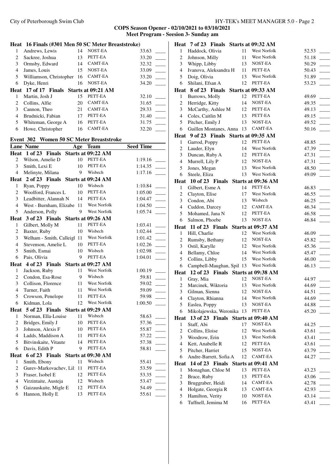City of Peterborough Swim Club HY-TEK's MEET MANAGER 5.0 - Page 2

|                | Heat 16 Finals (#301 Men 50 SC Meter Breaststroke) |     |                               |                    |
|----------------|----------------------------------------------------|-----|-------------------------------|--------------------|
| $\mathbf{1}$   | Andrews, Lewis                                     | 14  | NOST-EA                       | 33.63              |
| $\overline{c}$ | Sackree, Joshua                                    | 13  | PETT-EA                       | 33.20              |
| 3              | Ormsby, Edward                                     | 14  | CAMT-EA                       | 32.32              |
| $\overline{4}$ | James, Louis                                       | 15  | NOST-EA                       | 33.09              |
| 5              | Williamson, Christopher                            | 16  | <b>CAMT-EA</b>                | 33.20              |
| 6              | Dyke, Henri                                        | 16  | NOST-EA                       | 34.20              |
|                | Heat 17 of 17 Finals Starts at 09:21 AM            |     |                               |                    |
| $\mathbf{1}$   | Martin, Josh J                                     | 15  | PETT-EA                       | 32.10              |
| $\overline{c}$ | Collins, Alfie                                     | 20  | <b>CAMT-EA</b>                | 31.65              |
| 3              | Cannon, Theo                                       | 21  | CAMT-EA                       | 29.33              |
| $\overline{4}$ | Brudnicki, Fabian                                  | 17  | PETT-EA                       | 31.40              |
| 5              | Whiteman, George A                                 | 16  | PETT-EA                       | 31.75              |
| 6              | Howe, Christopher                                  | 16  | CAMT-EA                       | 32.20              |
|                |                                                    |     |                               |                    |
|                | Event 302 Women 50 SC Meter Breaststroke           |     |                               |                    |
|                | Lane Name                                          | Age | <b>Team</b>                   | <b>Seed Time</b>   |
| 2              | Heat $1$ of 23<br>Finals                           | 10  | Starts at 09:22 AM<br>PETT-EA | 1:19.16            |
| 3              | Wilson, Amelie D<br>Smith, Lexi E                  | 10  | PETT-EA                       | 1:14.35            |
| $\overline{4}$ | Melinyte, Milana                                   | 9   | Wisbech                       | 1:17.16            |
|                | Heat 2 of 23 Finals                                |     | Starts at 09:24 AM            |                    |
| $\mathbf{1}$   | Ryan, Poppy                                        | 10  | Wisbech                       |                    |
| $\overline{c}$ | Woolford, Frances L                                | 10  | PETT-EA                       | 1:10.84<br>1:05.00 |
| 3              | Leadbitter, Alannah N                              | 14  | PETT-EA                       | 1:04.47            |
| $\overline{4}$ | West - Burnham, Elizabe                            | 11  | West Norfolk                  | 1:04.50            |
| 5              | Anderson, Polly                                    | 9   | West Norfolk                  | 1:05.74            |
|                | Heat 3 of 23 Finals                                |     | Starts at 09:26 AM            |                    |
| 1              | Gilbert, Molly M                                   | 11  | PETT-EA                       | 1:03.41            |
| $\overline{c}$ | Baxter, Ruby                                       | 10  | Wisbech                       | 1:02.44            |
| 3              | Welham - Smith, Calleigl                           | 11  | West Norfolk                  | 1:01.42            |
| 4              | Stevenson, Amelie L                                | 10  | PETT-EA                       | 1:02.26            |
| 5              | Smith, Esmai                                       | 10  | Wisbech                       | 1:02.98            |
| 6              | Pais, Olivia                                       | 9   | PETT-EA                       | 1:04.01            |
| Heat           | 4 of 23 Finals Starts at 09:27 AM                  |     |                               |                    |
| $\mathbf{1}$   | Jackson, Ruby                                      | 11  | West Norfolk                  | 1:00.19            |
| 2              | Condon, Esa-Rose                                   | 9   | Wisbech                       | 59.81              |
| 3              | Collison, Florence                                 | 11  | West Norfolk                  | 59.02              |
| $\overline{4}$ | Turner, Faith                                      | 11  | <b>West Norfolk</b>           | 59.09              |
| 5              | Crowson, Penelope                                  | 11  | PETT-EA                       | 59.98              |
| 6              | Kidman, Lola                                       | 12  | West Norfolk                  | 1:00.50            |
| Heat           | 5 of 23 Finals Starts at 09:29 AM                  |     |                               |                    |
| 1              | Norman, Ella-Louise                                | 11  | Wisbech                       | 58.63              |
| 2              | Bridges, Emily J                                   | 10  | PETT-EA                       | 57.36              |
| 3              | Johnson, Alexis F                                  | 10  | PETT-EA                       | 55.87              |
| 4              | Ladds, Maddison A                                  | 11  | PETT-EA                       | 57.22              |
| 5              | Bitvinskaite, Vitaute                              | 14  | PETT-EA                       | 57.38              |
| 6              | Davis, Edith P                                     | 9   | PETT-EA                       | 58.81              |
| Heat           | 6 of 23 Finals                                     |     | Starts at 09:30 AM            |                    |
| 1              | Smith, Ebony                                       | 11  | Wisbech                       | 55.41              |
| 2              | Gurev-Markovachev, Lil 11                          |     | PETT-EA                       | 53.59              |
| 3              | Fraser, Isobel E                                   | 12  | PETT-EA                       | 53.35              |
| 4              | Virzintaite, Austeja                               | 12  | Wisbech                       | 53.47              |
| 5              | Gaizauskaite, Migle E                              | 12  | PETT-EA                       | 54.49              |
| 6              | Hannon, Holly E                                    | 13  | PETT-EA                       | 55.61              |
|                |                                                    |     |                               |                    |

|                     | Heat 7 of 23 Finals Starts at 09:32 AM  |          |                         |                         |
|---------------------|-----------------------------------------|----------|-------------------------|-------------------------|
| 1                   | Haddock, Olivia                         | 11       | <b>West Norfolk</b>     | 52.53                   |
| 2                   | Johnson, Milly                          | 11       | West Norfolk            | 51.18                   |
| 3                   | Whipp, Libby                            | 13       | NOST-EA                 | 50.29                   |
| $\overline{4}$      | Ivanova, Aleksandra H                   | 11       | PETT-EA                 | 50.43                   |
| 5                   | Doig, Olivia                            | 13       | West Norfolk            | 51.89                   |
| 6                   | Shilani, Efsan A                        | 12       | PETT-EA                 | 53.23                   |
|                     | Heat 8 of 23 Finals                     |          | Starts at 09:33 AM      |                         |
| 1                   | Burrows, Molly                          | 12       | PETT-EA                 | 49.69                   |
| $\overline{c}$      | Herridge, Kitty                         | 14       | NOST-EA                 | 49.35                   |
| 3                   | McCarthy, Ashlee M                      | 12       | PETT-EA                 | 49.13                   |
| $\overline{4}$      | Coles, Caitlin M                        | 13       | PETT-EA                 | 49.15                   |
| 5                   | Pitcher, Emily J                        | 13       | NOST-EA                 | 49.52<br>$\sim 10^{-1}$ |
| 6                   | Guillen Montanes, Anna                  | 13       | CAMT-EA                 | 50.16                   |
|                     | Heat 9 of 23 Finals Starts at 09:35 AM  |          |                         |                         |
| 1                   | Garrod, Poppy                           | 12       | PETT-EA                 | 48.85                   |
| $\overline{c}$      | Lauder, Elyn                            | 14       | West Norfolk            | 47.39                   |
| 3<br>$\overline{4}$ | Duncan, Ruby A                          | 12       | PETT-EA                 | 47.31                   |
| 5                   | Murrell, Lily P                         | 12<br>13 | NOST-EA<br>West Norfolk | 47.31                   |
| 6                   | Jones, Megan<br>Steele, Eliza           | 13       | West Norfolk            | 48.50<br>49.09          |
|                     | Heat 10 of 23 Finals                    |          | Starts at 09:36 AM      |                         |
| $\mathbf{1}$        | Gilbert, Esme A                         | 14       | PETT-EA                 | 46.83                   |
| $\overline{c}$      | Clayton, Elise                          | 17       | West Norfolk            | 46.55                   |
| 3                   | Condon, Abi                             | 13       | Wisbech                 | 46.25                   |
| $\overline{4}$      | Cuddon, Darcey                          | 12       | CAMT-EA                 | 46.34                   |
| 5                   | Mohamed, Jana N                         | 12       | PETT-EA                 | 46.58                   |
| 6                   | Salmon, Phoebe                          | 13       | NOST-EA                 | 46.84                   |
|                     |                                         |          |                         |                         |
| Heat                | 11 of 23 Finals Starts at 09:37 AM      |          |                         |                         |
| 1                   | Hill, Charlie                           | 12       | West Norfolk            | 46.09                   |
| 2                   | Rumsby, Bethany                         | 12       | NOST-EA                 | 45.82                   |
| 3                   | Ostil, Karylle                          | 12       | West Norfolk            | 45.36                   |
| $\overline{4}$      | Bellamy, Chloe                          | 14       | West Norfolk            | 45.47                   |
| 5                   | Collins, Libby                          | 15       | West Norfolk            | 46.00                   |
| 6                   | Campbell-Maughan, Spil 13               |          | West Norfolk            | 46.13                   |
|                     | Heat 12 of 23 Finals Starts at 09:38 AM |          |                         |                         |
| 1                   | Gray, Mia                               | 12       | NOST-EA                 | 44.97                   |
| 2                   | Marcinek, Wiktoria                      | 13       | West Norfolk            | 44.69                   |
|                     | 3 Gilman, Sienna                        | 12       | NOST-EA                 | 44.51                   |
| 4                   | Clayton, Rhianna                        | 14       | West Norfolk            | 44.69                   |
| 5                   | Easlea, Poppy                           | 13       | NOST-EA                 | 44.88                   |
| 6                   | Mikolajewska, Weronika 13               |          | PETT-EA                 | 45.20                   |
| Heat                | 13 of 23 Finals                         |          | Starts at 09:40 AM      |                         |
| 1                   | Staff, Abi                              | 17<br>12 | NOST-EA<br>West Norfolk | 44.25                   |
| 2<br>3              | Collins, Eloise                         | 13       | West Norfolk            | 43.61                   |
| $\overline{4}$      | Woodrow, Erin                           | 12       | PETT-EA                 | 43.41                   |
| 5                   | Kett, Anabelle R<br>Pitcher, Harriet    | 15       | NOST-EA                 | 43.61<br>43.79          |
| 6                   | Andre-Barrett, Sofia A                  | 12       | CAMT-EA                 | 44.27                   |
|                     | Heat 14 of 23 Finals Starts at 09:41 AM |          |                         |                         |
| $\mathbf{1}$        | Monaghan, Chloe M                       | 13       | PETT-EA                 | 43.23                   |
| $\overline{c}$      | Brace, Ruby                             | 13       | PETT-EA                 | 43.06                   |
| 3                   | Bruggraber, Heidi                       | 14       | CAMT-EA                 | 42.78                   |
| 4                   | Holgate, Georgia R                      | 13       | CAMT-EA                 | 42.93                   |
| 5<br>6              | Hamilton, Verity<br>Tuffnell, Jemima M  | 10<br>16 | NOST-EA<br>PETT-EA      | 43.14<br>43.41          |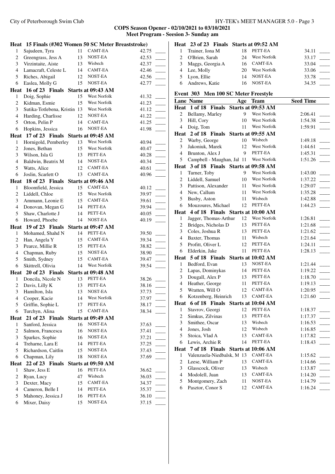|        | Heat 15 Finals (#302 Women 50 SC Meter Breaststroke) |    |                           |       |                | Heat 23 of 23 Finals Starts at 09:52 AM |    |                |                  |
|--------|------------------------------------------------------|----|---------------------------|-------|----------------|-----------------------------------------|----|----------------|------------------|
| 1      | Sajudeen, Tyra                                       | 11 | CAMT-EA                   | 42.75 | 1              | Trainer, Iona M                         | 18 | PETT-EA        | 34.11            |
| 2      | Greengrass, Jess A                                   | 13 | NOST-EA                   | 42.53 | 2              | O'Brien, Sarah                          | 24 | West Norfolk   | 33.17            |
| 3      | Virzintaite, Aiste                                   | 13 | Wisbech                   | 42.37 | 3              | Maggs, Georgia A                        | 16 | <b>CAMT-EA</b> | 33.04            |
| 4      | Lamacraft, Celeste L                                 | 14 | CAMT-EA                   | 42.46 | 4              | Lee, Molly                              | 20 | West Norfolk   | 33.06            |
| 5      | Riches, Abigail                                      | 12 | NOST-EA                   | 42.56 | 5              | Lyon, Ellie                             | 14 | NOST-EA        | 33.78            |
| 6      | Easlea, Molly G                                      | 15 | NOST-EA                   | 42.77 | 6              | Andrews, Katie                          | 16 | NOST-EA        | 34.35            |
|        | Heat 16 of 23 Finals Starts at 09:43 AM              |    |                           |       |                |                                         |    |                |                  |
| 1      | Doig, Sophie                                         | 15 | West Norfolk              | 41.32 |                | Event 303 Men 100 SC Meter Freestyle    |    |                |                  |
| 2      | Kidman, Esmie                                        | 15 | West Norfolk              | 41.23 |                | <b>Lane Name</b>                        |    | Age Team       | <b>Seed Time</b> |
| 3      | Sutika-Totlebena, Kristin 13                         |    | West Norfolk              | 41.12 |                | Heat 1 of 18 Finals Starts at 09:53 AM  |    |                |                  |
| 4      | Harding, Charlisse                                   | 12 | NOST-EA                   | 41.22 | $\mathbf{2}$   | Bellamy, Marley                         | 9  | West Norfolk   | 2:06.41          |
| 5      | Orton, Pelin P                                       | 14 | CAMT-EA                   | 41.25 | 3              | Hill, Cory                              | 10 | West Norfolk   | 1:54.38          |
| 6      | Hopkins, Jessica                                     | 16 | NOST-EA                   | 41.98 | $\overline{4}$ | Doig, Tom                               | 11 | West Norfolk   | 1:59.91          |
|        | Heat 17 of 23 Finals Starts at 09:45 AM              |    |                           |       |                | Heat 2 of 18 Finals Starts at 09:55 AM  |    |                |                  |
| 1      | Hornigold, Pemberley                                 | 13 | West Norfolk              | 40.94 | 2              | Warby, George                           | 10 | Wisbech        | 1:49.18          |
| 2      | Jones, Bethan                                        | 15 | West Norfolk              | 40.47 | 3              | Jakoniuk, Marek                         | 12 | West Norfolk   | 1:44.61          |
| 3      | Wilson, Isla G                                       | 13 | PETT-EA                   | 40.28 | 4              | Brunton, Alex J                         | 9  | PETT-EA        | 1:45.31          |
| 4      | Baldwin, Beatrix M                                   | 14 | NOST-EA                   | 40.34 | 5              | Campbell - Maughan, Jal 11              |    | West Norfolk   | 1:51.26          |
| 5      | Watts, Alice                                         | 12 | CAMT-EA                   | 40.61 |                | Heat 3 of 18 Finals Starts at 09:58 AM  |    |                |                  |
| 6      | Joslin, Scarlett O                                   | 13 | <b>CAMT-EA</b>            | 40.96 | 1              | Turner, Toby                            | 9  | West Norfolk   | 1:43.00          |
|        | Heat 18 of 23 Finals Starts at 09:46 AM              |    |                           |       | 2              | Liddell, Samuel                         | 10 | West Norfolk   | 1:37.22          |
| 1      | Bloomfield, Jessica                                  | 15 | CAMT-EA                   | 40.12 | 3              | Pattison, Alexander                     | 11 | West Norfolk   | 1:29.07          |
| 2      | Liddell, Chloe                                       | 15 | West Norfolk              | 39.97 | 4              | New, Callum                             | 11 | West Norfolk   | 1:35.28          |
| 3      | Ammann, Leonie E                                     | 15 | <b>CAMT-EA</b>            | 39.61 | 5              | Busby, Aston                            | 11 | Wisbech        | 1:42.88          |
| 4      | Donovan, Megan G                                     | 14 | PETT-EA                   | 39.94 | 6              | Mouzoures, Michael                      | 12 | PETT-EA        | 1:44.23          |
| 5      | Shaw, Charlotte J                                    | 14 | PETT-EA                   | 40.05 |                | Heat 4 of 18 Finals Starts at 10:00 AM  |    |                |                  |
| 6      | Howard, Phoebe                                       | 14 | NOST-EA                   | 40.19 | 1              | Jagger, Thomas-Arthur                   | 12 | West Norfolk   | 1:26.81          |
|        | Heat 19 of 23 Finals Starts at 09:47 AM              |    |                           |       | 2              | Bridges, Nicholas D                     | 13 | PETT-EA        | 1:21.68          |
| 1      | Mohamed, Shahd N                                     | 14 | PETT-EA                   | 39.50 | 3              | Coles, Joshua R                         | 13 | PETT-EA        | 1:21.62          |
| 2      | Han, Angela Y                                        | 15 | CAMT-EA                   | 39.34 | 4              | Baxter, Thomas                          | 11 | Wisbech        | 1:21.64          |
| 3      | Pearce, Millie R                                     | 15 | PETT-EA                   | 38.82 | 5              | Profitt, Oliver L                       | 12 | PETT-EA        | 1:24.11          |
| 4      | Chapman, Ruby                                        | 15 | NOST-EA                   | 38.90 | 6              | Elderkin, Jake                          | 11 | PETT-EA        | 1:28.13          |
| 5      | Smith, Sydney                                        | 15 | CAMT-EA                   | 39.47 |                | Heat 5 of 18 Finals Starts at 10:02 AM  |    |                |                  |
| 6      | Skittrell, Olivia                                    | 14 | West Norfolk              | 39.54 | 1              | Bedford, Evan                           | 13 | NOST-EA        | 1:21.44          |
|        | Heat 20 of 23 Finals                                 |    | <b>Starts at 09:48 AM</b> |       | 2              | Lapas, Dominykas                        | 14 | PETT-EA        | 1:19.22          |
| 1      | Doncila, Nicole N                                    | 13 | PETT-EA                   | 38.26 | 3              | Dougall, Alex P                         | 13 | PETT-EA        | 1:18.70          |
| 2      | Davis, Lilly K                                       | 13 | PETT-EA                   | 38.16 | 4              | Heather, George                         | 11 | PETT-EA        | 1:19.13          |
| 3      | Hamilton, Isla                                       | 13 | NOST-EA                   | 37.73 | 5              | Wratten, Will O                         | 12 | <b>CAMT-EA</b> | 1:20.95          |
|        | Cooper, Kacie                                        | 14 | West Norfolk              | 37.97 | 6              | Kotzenberg, Heinrich                    |    | 13 CAMT-EA     | 1:21.60          |
| 4<br>5 | Griffin, Sophie L                                    | 17 | PETT-EA                   | 38.17 |                | Heat 6 of 18 Finals Starts at 10:04 AM  |    |                |                  |
|        | Turchyn, Alina                                       | 15 | CAMT-EA                   | 38.34 | 1              | Stavrov, Georgi                         | 12 | PETT-EA        | 1:18.37          |
| 6      |                                                      |    |                           |       | 2              | Simkus, Zilvinas                        | 13 | PETT-EA        | 1:17.37          |
| Heat   | 21 of 23 Finals Starts at 09:49 AM                   |    | NOST-EA                   |       | 3              | Smithee, Oscar                          | 13 | Wisbech        | 1:16.53          |
| 1      | Sanford, Jessica                                     | 16 | NOST-EA                   | 37.63 | 4              | Jones, Josh                             | 12 | Wisbech        | 1:16.85          |
| 2      | Salmon, Francesca                                    | 16 |                           | 37.41 | 5              | Stoica, Vlad A                          | 13 | CAMT-EA        | 1:17.82          |
| 3      | Sparkes, Sophie                                      | 16 | NOST-EA<br>PETT-EA        | 37.21 | 6              | Lewis, Archie R                         | 14 | PETT-EA        | 1:18.43          |
| 4      | Treharne, Lara E                                     | 14 |                           | 37.25 | Heat           | 7 of 18 Finals Starts at 10:06 AM       |    |                |                  |
| 5      | Richardson, Caitlin                                  | 15 | NOST-EA                   | 37.43 | 1              | Valenzuela-Niedbalsk, M 13              |    | CAMT-EA        | 1:15.62          |
| 6      | Chapman, Lily                                        | 18 | NOST-EA                   | 37.69 | 2              | Leese, William P                        | 13 | CAMT-EA        | 1:14.66          |
|        | Heat 22 of 23 Finals Starts at 09:50 AM              |    |                           |       | 3              | Glasscock, Oliver                       | 13 | Wisbech        | 1:13.87          |
| 1      | Shaw, Jess E                                         | 16 | PETT-EA                   | 36.62 | 4              | Modolell, Juan                          | 13 | CAMT-EA        | 1:14.20          |
| 2      | Ryan, Lucy                                           | 47 | Wisbech                   | 36.03 | 5              | Montgomery, Zach                        | 11 | NOST-EA        | 1:14.79          |
| 3      | Dexter, Macy                                         | 15 | CAMT-EA                   | 34.37 | 6              | Pasztor, Conor S                        | 12 | CAMT-EA        | 1:16.24          |
| 4      | Cameron, Belle I                                     | 14 | PETT-EA                   | 35.37 |                |                                         |    |                |                  |
| 5      | Mahoney, Jessica J                                   | 16 | PETT-EA                   | 36.10 |                |                                         |    |                |                  |
| 6      | Mixer, Daisy                                         | 15 | NOST-EA                   | 37.15 |                |                                         |    |                |                  |
|        |                                                      |    |                           |       |                |                                         |    |                |                  |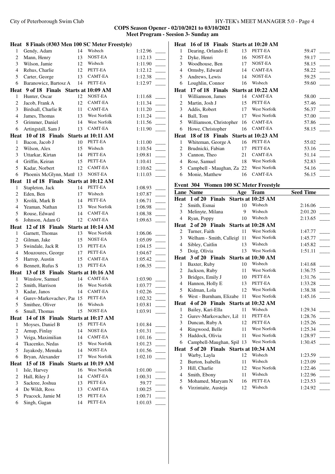**COPS Season Opener - 02/10/2021 to 03/10/2021 Meet Program - Seesion 3- Sunday am**

|                | Heat 8 Finals (#303 Men 100 SC Meter Freestyle) |    |                           |         |  |
|----------------|-------------------------------------------------|----|---------------------------|---------|--|
| 1              | Gendy, Adam                                     | 14 | Wisbech                   | 1:12.96 |  |
| $\overline{c}$ | Mann, Henry                                     | 13 | <b>NOST-EA</b>            | 1:12.13 |  |
| 3              | Wilson, Jamie                                   | 12 | Wisbech                   | 1:11.90 |  |
| $\overline{4}$ | Rehus, Charlie                                  | 12 | PETT-EA                   | 1:12.12 |  |
| 5              | Carter, George                                  | 13 | CAMT-EA                   | 1:12.38 |  |
| 6              | Baranowicz, Bartosz A                           | 14 | PETT-EA                   | 1:12.97 |  |
|                | Heat 9 of 18 Finals                             |    | Starts at 10:09 AM        |         |  |
| 1              | Hunter, Oscar                                   | 12 | NOST-EA                   | 1:11.68 |  |
| $\overline{c}$ | Jacob, Frank A                                  | 12 | <b>CAMT-EA</b>            | 1:11.34 |  |
| 3              | Birdsall, Charlie R                             | 11 | $\mathsf{CAMT\text{-}EA}$ | 1:11.20 |  |
| $\overline{4}$ | James, Thomas                                   | 13 | West Norfolk              | 1:11.24 |  |
| 5              | Grimmer, Daniel                                 | 14 | <b>West Norfolk</b>       | 1:11.56 |  |
| 6              | Artingstall, Sam J                              | 13 | CAMT-EA                   | 1:11.90 |  |
|                | Heat 10 of 18 Finals                            |    | Starts at 10:11 AM        |         |  |
| 1              | Bacon, Jacob J                                  | 10 | PETT-EA                   | 1:11.00 |  |
| $\overline{c}$ | Wilson, Alex                                    | 15 | Wisbech                   | 1:10.54 |  |
| 3              | Uttarkar, Kirtan                                | 14 | PETT-EA                   | 1:09.81 |  |
| 4              | Griffin, Keiran                                 | 15 | PETT-EA                   | 1:10.41 |  |
| 5              | Kadar, Norbert                                  | 12 | CAMT-EA                   | 1:10.62 |  |
| 6              | Phoenix McGlynn, Matth 13                       |    | NOST-EA                   | 1:11.03 |  |
| Heat           | 11 of 18 Finals Starts at 10:12 AM              |    |                           |         |  |
| 1              | Stapleton, Jack                                 | 14 | PETT-EA                   | 1:08.93 |  |
| $\overline{c}$ | Eden, Ben                                       | 17 | Wisbech                   | 1:07.87 |  |
| $\mathfrak{Z}$ | Krolik, Mark B                                  | 14 | PETT-EA                   | 1:06.71 |  |
| $\overline{4}$ | Yeaman, Nathan                                  | 13 | West Norfolk              | 1:06.98 |  |
| 5              | Rouse, Edward                                   | 14 | CAMT-EA                   | 1:08.38 |  |
| 6              | Johnson, Adam G                                 | 12 | CAMT-EA                   | 1:09.63 |  |
|                | Heat 12 of 18 Finals                            |    | Starts at 10:14 AM        |         |  |
|                |                                                 |    |                           |         |  |
| $\mathbf{1}$   | Garnett, Thomas                                 | 13 | West Norfolk              | 1:06.06 |  |
| 2              | Gilman, Jake                                    | 15 | NOST-EA                   | 1:05.09 |  |
| 3              | Swindale, Jack R                                | 13 | PETT-EA                   | 1:04.15 |  |
| $\overline{4}$ | Mouzoures, George                               | 17 | PETT-EA                   | 1:04.67 |  |
| 5              | Harrop, Austin                                  | 15 | CAMT-EA                   | 1:05.42 |  |
| 6              | Bennett, Rufus S                                | 13 | PETT-EA                   | 1:06.35 |  |
|                | Heat 13 of 18 Finals                            |    | Starts at 10:16 AM        |         |  |
| 1              | Winslow, Samuel                                 | 14 | <b>CAMT-EA</b>            | 1:03.90 |  |
| $\overline{c}$ | Smith, Harrison                                 | 16 | West Norfolk              | 1:03.77 |  |
| 3              | Kadar, Janos                                    | 14 | <b>CAMT-EA</b>            | 1:02.26 |  |
| $\overline{4}$ | Gurev-Markovachev, Par 15                       |    | PETT-EA                   | 1:02.32 |  |
| 5              | Smithee, Oliver                                 | 16 | Wisbech                   | 1:03.81 |  |
| 6              | Small, Thomas                                   | 15 | <b>NOST-EA</b>            | 1:03.91 |  |
|                | Heat 14 of 18 Finals                            |    | Starts at 10:17 AM        |         |  |
| 1              | Moyses, Daniel B                                | 15 | PETT-EA                   | 1:01.84 |  |
| $\overline{c}$ | Arnup, Finlay                                   | 14 | NOST-EA                   | 1:01.31 |  |
| $\mathfrak{Z}$ | Veiga, Maximilian                               | 14 | CAMT-EA                   | 1:01.16 |  |
| 4              | Tkacenko, Nedas                                 | 15 | West Norfolk              | 1:01.23 |  |
| 5              | Jayakody, Menuka                                | 14 | NOST-EA                   | 1:01.56 |  |
| 6              | Bryan, Alexander                                | 17 | West Norfolk              | 1:02.10 |  |
| Heat           | 15 of 18 Finals                                 |    | Starts at 10:19 AM        |         |  |
| 1              | Isle, Harvey                                    | 16 | West Norfolk              | 1:01.00 |  |
| 2              | Hall, Riley J                                   | 14 | CAMT-EA                   | 1:00.31 |  |
| $\mathfrak{Z}$ | Sackree, Joshua                                 | 13 | PETT-EA                   | 59.77   |  |
| $\overline{4}$ | De Wildt, Ross                                  | 13 | CAMT-EA                   | 1:00.25 |  |
| 5              | Peacock, Jamie M                                | 15 | PETT-EA                   | 1:00.71 |  |

|      | Heat 16 of 18 Finals               |    | Starts at 10:20 AM |       |
|------|------------------------------------|----|--------------------|-------|
| 1    | Dearing, Orlando E                 | 13 | PETT-EA            | 59.47 |
| 2    | Dyke, Henri                        | 16 | NOST-EA            | 59.17 |
| 3    | Woodhouse, Ben                     | 17 | NOST-EA            | 58.15 |
| 4    | Ormsby, Edward                     | 14 | CAMT-EA            | 58.22 |
| 5    | Andrews, Lewis                     | 14 | NOST-EA            | 59.25 |
| 6    | Loughlin, Connor                   | 16 | Wisbech            | 59.60 |
| Heat | 17 of 18 Finals                    |    | Starts at 10:22 AM |       |
| 1    | Williamson, James                  | 14 | CAMT-EA            | 58.00 |
| 2    | Martin, Josh J                     | 15 | PETT-EA            | 57.46 |
| 3    | Addis, Robert                      | 17 | West Norfolk       | 56.37 |
| 4    | Ball, Tom                          | 17 | West Norfolk       | 57.00 |
| 5    | Williamson, Christopher            | 16 | CAMT-EA            | 57.86 |
| 6    | Howe, Christopher                  | 16 | <b>CAMT-EA</b>     | 58.15 |
| Heat | 18 of 18 Finals Starts at 10:23 AM |    |                    |       |
| 1    | Whiteman, George A                 | 16 | PETT-EA            | 55.02 |
| 2    | Brudnicki, Fabian                  | 17 | PETT-EA            | 53.16 |
| 3    | Cannon, Theo                       | 21 | <b>CAMT-EA</b>     | 51.14 |
| 4    | Rose, Samuel                       | 18 | West Norfolk       | 52.83 |
| 5    | Campbell - Maughan, Za             | 22 | West Norfolk       | 54.16 |
| 6    | Monie, Matthew                     | 16 | <b>CAMT-EA</b>     | 56.15 |

# **Event 304 Women 100 SC Meter Freestyle**

|                | <b>Lane Name</b>                  | Age | <b>Team</b>         | <b>Seed Time</b> |
|----------------|-----------------------------------|-----|---------------------|------------------|
|                | Heat 1 of 20 Finals               |     | Starts at 10:25 AM  |                  |
| 2              | Smith, Esmai                      | 10  | Wisbech             | 2:16.06          |
| 3              | Melinyte, Milana                  | 9   | Wisbech             | 2:01.20          |
| $\overline{4}$ | Ryan, Poppy                       | 10  | Wisbech             | 2:13.65          |
| Heat           | 2 of 20 Finals                    |     | Starts at 10:28 AM  |                  |
| 2              | Turner, Faith                     | 11  | <b>West Norfolk</b> | 1:47.77          |
| 3              | Welham - Smith, Calleigl          | 11  | West Norfolk        | 1:45.77          |
| $\overline{4}$ | Sibley, Caitlin                   | 13  | Wisbech             | 1:45.82          |
| 5              | Doig, Olivia                      | 13  | West Norfolk        | 1:51.11          |
| Heat           | 3 of 20 Finals                    |     | Starts at 10:30 AM  |                  |
| $\mathbf{1}$   | Baxter, Ruby                      | 10  | Wisbech             | 1:41.68          |
| $\overline{c}$ | Jackson, Ruby                     | 11  | <b>West Norfolk</b> | 1:36.75          |
| 3              | Bridges, Emily J                  | 10  | PETT-EA             | 1:31.76          |
| $\overline{4}$ | Hannon, Holly E                   | 13  | PETT-EA             | 1:33.28          |
| 5              | Kidman, Lola                      | 12  | <b>West Norfolk</b> | 1:38.38          |
| 6              | West - Burnham, Elizabe           | 11  | <b>West Norfolk</b> | 1:45.16          |
| <b>Heat</b>    | 4 of 20 Finals Starts at 10:32 AM |     |                     |                  |
| 1              | Bailey, Kari-Ella                 | 11  | Wisbech             | 1:29.34          |
| $\overline{c}$ | Gurev-Markovachev, Lil            | 11  | PETT-EA             | 1:28.76          |
| 3              | Duncan, Ruby A                    | 12  | PETT-EA             | 1:25.26          |
| $\overline{4}$ | Ringwood, Belle                   | 11  | <b>West Norfolk</b> | 1:25.34          |
| 5              | Haddock, Olivia                   | 11  | <b>West Norfolk</b> | 1:28.97          |
| 6              | Campbell-Maughan, Spil            | 13  | West Norfolk        | 1:30.45          |
| Heat           | 5 of 20 Finals Starts at 10:34 AM |     |                     |                  |
| 1              | Warby, Layla                      | 12  | Wisbech             | 1:23.59          |
| 2              | Burton, Isabella                  | 11  | Wisbech             | 1:23.09          |
| 3              | Hill, Charlie                     | 12  | <b>West Norfolk</b> | 1:22.46          |
| $\overline{4}$ | Smith, Ebony                      | 11  | Wisbech             | 1:22.96          |
| 5              | Mohamed, Maryam N                 | 16  | PETT-EA             | 1:23.53          |
| 6              | Virzintaite, Austeja              | 12  | Wisbech             | 1:24.92          |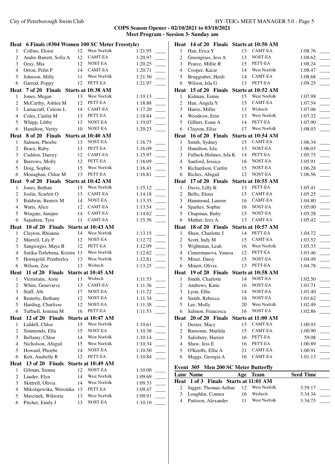|                | Heat 6 Finals (#304 Women 100 SC Meter Freestyle) |    |                         |                    |
|----------------|---------------------------------------------------|----|-------------------------|--------------------|
| $\mathbf{1}$   | Collins, Eloise                                   | 12 | West Norfolk            | 1:21.95            |
| $\overline{c}$ | Andre-Barrett, Sofia A                            | 12 | CAMT-EA                 | 1:20.97            |
| 3              | Gray, Mia                                         | 12 | NOST-EA                 | 1:20.25            |
| $\overline{4}$ | Orton, Pelin P                                    | 14 | CAMT-EA                 | 1:20.71            |
| 5              | Johnson, Milly                                    | 11 | West Norfolk            | 1:21.50            |
| 6              | Garrod, Poppy                                     | 12 | PETT-EA                 | 1:21.97            |
|                | Heat 7 of 20 Finals Starts at 10:38 AM            |    |                         |                    |
| 1              | Jones, Megan                                      | 13 | West Norfolk            | 1:19.13            |
| 2              | McCarthy, Ashlee M                                | 12 | PETT-EA                 | 1:18.88            |
| 3              | Lamacraft, Celeste L                              | 14 | CAMT-EA                 | 1:17.20            |
| $\overline{4}$ | Coles, Caitlin M                                  | 13 | PETT-EA                 | 1:18.84            |
| 5              | Whipp, Libby                                      | 13 | NOST-EA                 | 1:19.07            |
| 6              | Hamilton, Verity                                  | 10 | NOST-EA                 | 1:20.23            |
| Heat           | 8 of 20 Finals                                    |    | Starts at 10:40 AM      |                    |
| $\mathbf{1}$   | Salmon, Phoebe                                    | 13 | NOST-EA                 | 1:16.75            |
| 2              | Brace, Ruby                                       | 13 | PETT-EA                 | 1:16.09            |
| 3              | Cuddon, Darcey                                    | 12 | CAMT-EA                 | 1:15.97            |
| $\overline{4}$ | Burrows, Molly                                    | 12 | PETT-EA                 | 1:16.09            |
| 5              | Doig, Sophie                                      | 15 | West Norfolk            | 1:16.41            |
| 6              | Monaghan, Chloe M                                 | 13 | PETT-EA                 | 1:16.81            |
| Heat           | 9 of 20 Finals Starts at 10:42 AM                 |    |                         |                    |
| $\mathbf{1}$   | Jones, Bethan                                     | 15 | West Norfolk            | 1:15.12            |
| 2              | Joslin, Scarlett O                                | 13 | CAMT-EA                 | 1:14.18            |
| 3              | Baldwin, Beatrix M                                | 14 | NOST-EA                 | 1:13.35            |
| $\overline{4}$ | Watts, Alice                                      | 12 | CAMT-EA                 | 1:13.54            |
| 5              | Wingate, Juniper                                  | 14 | CAMT-EA                 | 1:14.62            |
| 6              | Sajudeen, Tyra                                    | 11 | CAMT-EA                 | 1:15.56            |
| Heat           | 10 of 20 Finals                                   |    | Starts at 10:43 AM      |                    |
| $\mathbf{1}$   | Clayton, Rhianna                                  | 14 | West Norfolk            | 1:13.15            |
| $\overline{c}$ | Murrell, Lily P                                   | 12 | NOST-EA                 | 1:12.72            |
| 3              | Sangiorgio, Maya B                                | 12 | PETT-EA                 | 1:12.09            |
| $\overline{4}$ | Sutika-Totlebena, Kristin                         | 13 | West Norfolk            | 1:12.62            |
| 5              | Hornigold, Pemberley                              | 13 | West Norfolk            | 1:12.81            |
| 6              | Wilson, Zoe                                       | 13 | Wisbech                 | 1:13.25            |
|                | Heat 11 of 20 Finals                              |    | Starts at 10:45 AM      |                    |
| $\mathbf{1}$   | Virzintaite, Aiste                                | 13 | Wisbech                 | 1:11.53            |
| $\overline{c}$ | White, Genevieve                                  | 13 | CAMT-EA                 | 1:11.36            |
| 3              | Staff, Abi                                        | 17 | NOST-EA                 | 1:11.22            |
| 4              | Rumsby, Bethany                                   | 12 | NOST-EA                 | 1:11.34            |
| 5              | Harding, Charlisse                                | 12 | NOST-EA                 | 1:11.38            |
| 6              | Tuffnell, Jemima M                                | 16 | PETT-EA                 | 1:11.53            |
| <b>Heat</b>    | 12 of 20 Finals                                   |    | Starts at 10:47 AM      |                    |
| $\mathbf{1}$   | Liddell, Chloe                                    | 15 | West Norfolk            | 1:10.61            |
| 2              | Simmonds, Ella                                    | 15 | NOST-EA                 | 1:10.38            |
| 3              | Bellamy, Chloe                                    | 14 | West Norfolk            | 1:10.14            |
| $\overline{4}$ | Nicholson, Abigail                                | 15 | West Norfolk            | 1:10.34            |
| 5              | Howard, Phoebe                                    | 14 | NOST-EA                 | 1:10.50            |
| 6              | Kett, Anabelle R                                  | 12 | PETT-EA                 | 1:10.84            |
| Heat           |                                                   |    |                         |                    |
|                | 13 of 20 Finals                                   |    | Starts at 10:49 AM      |                    |
| $\mathbf{1}$   | Gilman, Sienna                                    | 12 | NOST-EA                 | 1:10.00            |
| 2              | Lauder, Elyn                                      | 14 | West Norfolk            | 1:09.69            |
| 3              | Skittrell, Olivia                                 | 14 | West Norfolk            | 1:09.33            |
| 4              | Mikolajewska, Weronika                            | 13 | PETT-EA                 | 1:09.47            |
| 5              | Marcinek, Wiktoria<br>Pitcher, Emily J            | 13 | West Norfolk<br>NOST-EA | 1:09.91<br>1:10.10 |

|                | Heat 14 of 20 Finals Starts at 10:50 AM     |     |                     |                  |  |
|----------------|---------------------------------------------|-----|---------------------|------------------|--|
| 1              | Han, Erica Y                                | 13  | CAMT-EA             | 1:08.76          |  |
| $\overline{c}$ | Greengrass, Jess A                          | 13  | NOST-EA             | 1:08.62          |  |
| 3              | Pearce, Millie R                            | 15  | PETT-EA             | 1:08.24          |  |
| $\overline{4}$ | Cooper, Kacie                               | 14  | West Norfolk        | 1:08.47          |  |
| 5              | Bruggraber, Heidi                           | 14  | <b>CAMT-EA</b>      | 1:08.68          |  |
| 6              | Wilson, Isla G                              | 13  | PETT-EA             | 1:09.25          |  |
|                | Heat 15 of 20 Finals                        |     | Starts at 10:52 AM  |                  |  |
| 1              | Kidman, Esmie                               | 15  | West Norfolk        | 1:07.98          |  |
| 2              | Han, Angela Y                               | 15  | CAMT-EA             | 1:07.54          |  |
| 3              | Harris, Millie                              | 13  | Wisbech             | 1:07.06          |  |
| $\overline{4}$ | Woodrow, Erin                               | 13  | West Norfolk        | 1:07.32          |  |
| 5              | Gilbert, Esme A                             | 14  | PETT-EA             | 1:07.90          |  |
| 6              | Clayton, Elise                              | 17  | West Norfolk        | 1:08.03          |  |
|                | Heat 16 of 20 Finals                        |     | Starts at 10:54 AM  |                  |  |
| 1              | Smith, Sydney                               | 15  | CAMT-EA             | 1:06.34          |  |
| $\overline{c}$ | Hamilton, Isla                              | 13  | NOST-EA             | 1:06.03          |  |
| 3              | Fulluck-Holmes, Isla K                      | 14  | PETT-EA             | 1:05.75          |  |
| $\overline{4}$ | Sanford, Jessica                            | 16  | NOST-EA             | 1:05.91          |  |
| 5              | Richardson, Caitlin                         | 15  | NOST-EA             | 1:06.28          |  |
| 6              | Riches, Abigail                             | 12  | NOST-EA             | 1:06.56          |  |
| Heat           | 17 of 20 Finals                             |     | Starts at 10:55 AM  |                  |  |
| 1              | Davis, Lilly K                              | 13  | PETT-EA             | 1:05.41          |  |
| 2              | Bello, Elena                                | 15  | CAMT-EA             | 1:05.25          |  |
| 3              | Hammond, Lauren                             | 16  | CAMT-EA             | 1:04.80          |  |
| $\overline{4}$ | Sparkes, Sophie                             | 16  | NOST-EA             | 1:05.00          |  |
| 5              | Chapman, Ruby                               | 15  | NOST-EA             | 1:05.28          |  |
| 6              | Mather, Izzy A                              | 13  | CAMT-EA             | 1:05.42          |  |
|                | Heat 18 of 20 Finals                        |     | Starts at 10:57 AM  |                  |  |
| 1              | Shaw, Charlotte J                           | 14  | PETT-EA             | 1:04.72          |  |
| $\overline{c}$ | Scott, Indy M                               | 15  | CAMT-EA             | 1:03.52          |  |
| 3              | Wightman, Leah                              | 16  | <b>West Norfolk</b> | 1:03.33          |  |
| $\overline{4}$ | Cimermanova, Vanesa                         | 12  | PETT-EA             | 1:03.46          |  |
| 5              | Mixer, Daisy                                | 15  | NOST-EA             | 1:04.49          |  |
| 6              | Minett, Olivia                              | 13  | PETT-EA             | 1:04.78          |  |
|                | Heat 19 of 20 Finals                        |     | Starts at 10:58 AM  |                  |  |
| 1              | Smith, Charlotte                            | 14  | NOST-EA             | 1:02.50          |  |
| 2              | Andrews, Katie                              | 16  | NOST-EA             | 1:01.71          |  |
| 3              | Lyon, Ellie                                 | 14  | NOST-EA             | 1:01.40          |  |
| 4              | Smith, Rebecca                              | 18  | NOST-EA             | 1:01.62          |  |
| 5              | Lee, Molly                                  | 20  | West Norfolk        | 1:02.49          |  |
| 6              | Salmon, Francesca                           | 16  | NOST-EA             | 1:02.86          |  |
|                | Heat 20 of 20 Finals                        |     | Starts at 11:00 AM  |                  |  |
| 1              | Dexter, Macy                                | 15  | CAMT-EA             | 1:00.93          |  |
| $\overline{c}$ | Ransome, Matilda                            | 15  | CAMT-EA             | 1:00.90          |  |
| 3              | Salisbury, Harriet                          | 16  | PETT-EA             | 59.08            |  |
| $\overline{4}$ | Shaw, Jess E                                | 16  | PETT-EA             | 1:00.89          |  |
| 5              | O'Keeffe, Ellie A                           | 21  | CAMT-EA             | 1:00.91          |  |
| 6              | Maggs, Georgia A                            | 16  | CAMT-EA             | 1:01.13          |  |
|                |                                             |     |                     |                  |  |
|                | <b>Event 305 Men 200 SC Meter Butterfly</b> |     |                     |                  |  |
|                | <b>Lane Name</b>                            | Age | <b>Team</b>         | <b>Seed Time</b> |  |

| <b>Lane Name</b>                        |    | Age Team     | <b>Seed Time</b> |  |
|-----------------------------------------|----|--------------|------------------|--|
| Heat 1 of 3 Finals Starts at 11:01 AM   |    |              |                  |  |
| 2 Jagger, Thomas-Arthur 12 West Norfolk |    |              | 3:59.17          |  |
| 3 Loughlin, Connor                      | 16 | Wisbech      | 3:34.34          |  |
| 4 Pattison, Alexander                   | 11 | West Norfolk | 3:34.75          |  |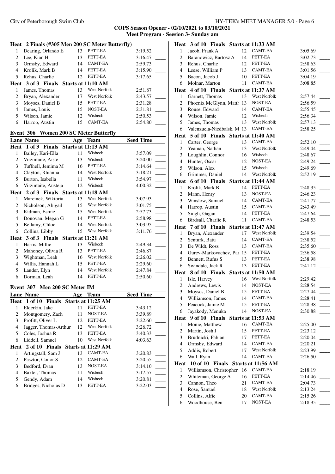# **COPS Season Opener - 02/10/2021 to 03/10/2021 Meet Program - Seesion 3- Sunday am**

|                | Heat 2 Finals (#305 Men 200 SC Meter Butterfly) |     |                     |                  |  |
|----------------|-------------------------------------------------|-----|---------------------|------------------|--|
| 1              | Dearing, Orlando E                              | 13  | PETT-EA             | 3:19.52          |  |
| 2              | Lee, Kian H                                     | 13  | PETT-EA             | 3:16.47          |  |
| 3              | Ormsby, Edward                                  | 14  | CAMT-EA             | 2:59.73          |  |
| $\overline{4}$ | Krolik, Mark B                                  | 14  | PETT-EA             | 3:15.90          |  |
| 5              | Rehus, Charlie                                  | 12  | PETT-EA             | 3:17.65          |  |
|                | Heat 3 of 3 Finals                              |     | Starts at 11:10 AM  |                  |  |
| 1              | James, Thomas                                   | 13  | West Norfolk        | 2:51.87          |  |
| 2              | Bryan, Alexander                                | 17  | West Norfolk        | 2:43.57          |  |
| 3              | Moyses, Daniel B                                | 15  | PETT-EA             | 2:31.28          |  |
| $\overline{4}$ | James, Louis                                    | 15  | NOST-EA             | 2:31.81          |  |
| 5              | Wilson, Jamie                                   | 12  | Wisbech             | 2:50.53          |  |
| 6              | Harrop, Austin                                  | 15  | CAMT-EA             | 2:54.80          |  |
|                |                                                 |     |                     |                  |  |
|                | Event 306 Women 200 SC Meter Butterfly          |     |                     |                  |  |
|                | Lane Name                                       | Age | Team                | <b>Seed Time</b> |  |
|                | Heat 1 of 3 Finals Starts at 11:13 AM           |     |                     |                  |  |
| 1              | Bailey, Kari-Ella                               |     | 11 Wisbech          | 3:57.09          |  |
| $\overline{c}$ | Virzintaite, Aiste                              | 13  | Wisbech             | 3:20.00          |  |
| 3              | Tuffnell, Jemima M                              | 16  | PETT-EA             | 3:14.64          |  |
| $\overline{4}$ | Clayton, Rhianna                                | 14  | <b>West Norfolk</b> | 3:18.21          |  |
| 5              | Burton, Isabella                                | 11  | Wisbech             | 3:54.97          |  |
| 6              | Virzintaite, Austeja                            | 12  | Wisbech             | 4:00.32          |  |
|                | Heat 2 of 3 Finals Starts at 11:18 AM           |     |                     |                  |  |
| 1              | Marcinek, Wiktoria                              | 13  | West Norfolk        | 3:07.93          |  |
| 2              | Nicholson, Abigail                              | 15  | West Norfolk        | 3:01.75          |  |
| 3              | Kidman, Esmie                                   | 15  | West Norfolk        | 2:57.73          |  |
| $\overline{4}$ | Donovan, Megan G                                | 14  | PETT-EA             | 2:58.98          |  |
| 5              | Bellamy, Chloe                                  | 14  | <b>West Norfolk</b> | 3:03.95          |  |
| 6              | Collins, Libby                                  | 15  | West Norfolk        | 3:11.76          |  |
|                | Heat 3 of 3 Finals                              |     | Starts at 11:21 AM  |                  |  |
| 1              | Harris, Millie                                  | 13  | Wisbech             | 2:49.34          |  |
| $\overline{2}$ | Mahoney, Olivia R                               | 13  | PETT-EA             | 2:46.87          |  |
| 3              | Wightman, Leah                                  | 16  | West Norfolk        | 2:26.02          |  |
| $\overline{4}$ | Willis, Hannah L                                | 15  | PETT-EA             | 2:29.60          |  |
| 5              | Lauder, Elyn                                    | 14  | West Norfolk        | 2:47.84          |  |
| 6              | Dorman, Leah                                    | 14  | PETT-EA             | 2:50.60          |  |
|                |                                                 |     |                     |                  |  |
|                | Event 307 Men 200 SC Meter IM                   |     |                     |                  |  |
|                | <b>Lane Name</b>                                | Age | Team                | <b>Seed Time</b> |  |
| Heat           | 1 of 10<br><b>Finals</b>                        |     | Starts at 11:25 AM  |                  |  |
| $\mathbf{1}$   | Elderkin, Jake                                  | 11  | PETT-EA             | 3:43.12          |  |
| 2              | Montgomery, Zach                                | 11  | NOST-EA             | 3:39.89          |  |
| 3              | Profitt, Oliver L                               | 12  | PETT-EA             | 3:22.60          |  |
| 4              | Jagger, Thomas-Arthur                           | 12  | West Norfolk        | 3:26.72          |  |
| 5              | Coles, Joshua R                                 | 13  | PETT-EA             | 3:40.33          |  |
| 6              | Liddell, Samuel                                 | 10  | <b>West Norfolk</b> | 4:03.63          |  |
| Heat           | 2 of 10 Finals                                  |     | Starts at 11:29 AM  |                  |  |
| 1              | Artingstall, Sam J                              | 13  | <b>CAMT-EA</b>      | 3:20.83          |  |
| 2              | Pasztor, Conor S                                | 12  | CAMT-EA             | 3:20.55          |  |
| 3              | Bedford, Evan                                   | 13  | NOST-EA             | 3:14.10          |  |
| $\overline{4}$ | Baxter, Thomas                                  | 11  | Wisbech             | 3:17.57          |  |

5 Gendy, Adam 14 Wisbech 3:20.81<br>6 Bridges, Nicholas D 13 PETT-EA 3:22.03

6 Bridges, Nicholas D

| Heat           |                            |  |    | 3 of 10 Finals Starts at 11:33 AM      |         |  |
|----------------|----------------------------|--|----|----------------------------------------|---------|--|
| 1              | Jacob, Frank A             |  | 12 | CAMT-EA                                | 3:05.69 |  |
| $\overline{2}$ | Baranowicz, Bartosz A      |  | 14 | PETT-EA                                | 3:02.73 |  |
| 3              | Rehus, Charlie             |  | 12 | PETT-EA                                | 2:58.63 |  |
| 4              | Leese, William P           |  | 13 | CAMT-EA                                | 3:01.56 |  |
| 5              | Bacon, Jacob J             |  | 10 | PETT-EA                                | 3:04.19 |  |
| 6              | Molnar, Marton             |  | 11 | CAMT-EA                                | 3:08.85 |  |
| Heat           | 4 of 10 Finals             |  |    | Starts at 11:37 AM                     |         |  |
| 1              | Garnett, Thomas            |  | 13 | West Norfolk                           | 2:57.44 |  |
| 2              | Phoenix McGlynn, Mattl 13  |  |    | NOST-EA                                | 2:56.59 |  |
| 3              | Rouse, Edward              |  | 14 | CAMT-EA                                | 2:55.45 |  |
| 4              | Wilson, Jamie              |  | 12 | Wisbech                                | 2:56.34 |  |
| 5              | James, Thomas              |  | 13 | <b>West Norfolk</b>                    | 2:57.13 |  |
| 6              | Valenzuela-Niedbalsk, M 13 |  |    | CAMT-EA                                | 2:58.25 |  |
|                |                            |  |    | Heat 5 of 10 Finals Starts at 11:40 AM |         |  |
| 1              | Carter, George             |  | 13 | CAMT-EA                                | 2:52.10 |  |
| $\overline{c}$ | Yeaman, Nathan             |  | 13 | West Norfolk                           | 2:49.44 |  |
| 3              | Loughlin, Connor           |  | 16 | Wisbech                                | 2:48.67 |  |
| $\overline{4}$ | Hunter, Oscar              |  | 12 | NOST-EA                                | 2:49.24 |  |
| 5              | Wilson, Alex               |  | 15 | Wisbech                                | 2:49.69 |  |
| 6              | Grimmer, Daniel            |  | 14 | West Norfolk                           | 2:52.19 |  |
| Heat           | 6 of 10 Finals             |  |    | Starts at 11:44 AM                     |         |  |
| 1              | Krolik, Mark B             |  | 14 | PETT-EA                                | 2:48.35 |  |
| 2              | Mann, Henry                |  | 13 | NOST-EA                                | 2:46.23 |  |
| 3              | Winslow, Samuel            |  | 14 | CAMT-EA                                | 2:41.77 |  |
| $\overline{4}$ | Harrop, Austin             |  | 15 | CAMT-EA                                | 2:43.49 |  |
| 5              | Singh, Gagan               |  | 14 | PETT-EA                                | 2:47.64 |  |
| 6              | Birdsall, Charlie R        |  | 11 | CAMT-EA                                | 2:48.53 |  |
|                | Heat 7 of 10 Finals        |  |    | Starts at 11:47 AM                     |         |  |
| 1              | Bryan, Alexander           |  | 17 | West Norfolk                           | 2:39.54 |  |
| $\overline{c}$ | Senturk, Batu              |  | 14 | CAMT-EA                                | 2:38.52 |  |
| 3              | De Wildt, Ross             |  | 13 | CAMT-EA                                | 2:35.60 |  |
| $\overline{4}$ | Gurev-Markovachev, Paı 15  |  |    | PETT-EA                                | 2:36.58 |  |
| 5              | Bennett, Rufus S           |  | 13 | PETT-EA                                | 2:38.98 |  |
| 6              | Swindale, Jack R           |  | 13 | PETT-EA                                | 2:41.12 |  |
|                | Heat 8 of 10 Finals        |  |    | Starts at 11:50 AM                     |         |  |
| 1              | Isle, Harvey               |  | 16 | West Norfolk                           | 2:29.42 |  |
| 2              | Andrews, Lewis             |  | 14 | NOST-EA                                | 2:28.54 |  |
| 3              | Moyses, Daniel B           |  | 15 | PETT-EA                                | 2:27.44 |  |
| 4              | Williamson, James          |  | 14 | CAMT-EA                                | 2:28.41 |  |
| 5              | Peacock, Jamie M           |  | 15 | PETT-EA                                | 2:28.98 |  |
| 6              | Jayakody, Menuka           |  | 14 | NOST-EA                                | 2:30.88 |  |
| Heat           | 9 of 10 Finals             |  |    | Starts at 11:53 AM                     |         |  |
| 1              | Monie, Matthew             |  | 16 | CAMT-EA                                | 2:25.00 |  |
| $\overline{c}$ | Martin, Josh J             |  | 15 | PETT-EA                                | 2:23.12 |  |
| 3              | Brudnicki, Fabian          |  | 17 | PETT-EA                                | 2:20.04 |  |
| $\overline{4}$ | Ormsby, Edward             |  | 14 | CAMT-EA                                | 2:20.21 |  |
| 5              | Addis, Robert              |  | 17 | West Norfolk                           | 2:23.99 |  |
| 6              | Wall, Ryan                 |  | 14 | CAMT-EA                                | 2:26.50 |  |
| Heat           |                            |  |    | 10 of 10 Finals Starts at 11:56 AM     |         |  |
| 1              | Williamson, Christopher    |  | 16 | CAMT-EA                                | 2:18.19 |  |
| $\overline{c}$ | Whiteman, George A         |  | 16 | PETT-EA                                | 2:14.46 |  |
| 3              | Cannon, Theo               |  | 21 | CAMT-EA                                | 2:04.73 |  |
| $\overline{4}$ | Rose, Samuel               |  | 18 | West Norfolk                           | 2:13.24 |  |
| 5              | Collins, Alfie             |  | 20 | CAMT-EA                                | 2:15.26 |  |
| 6              | Woodhouse, Ben             |  | 17 | NOST-EA                                | 2:18.95 |  |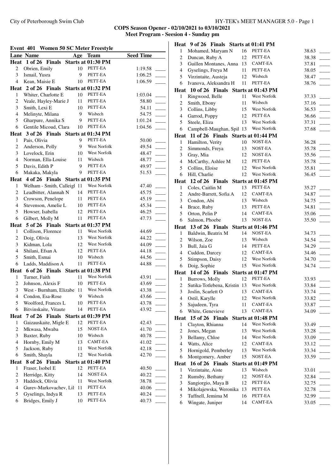|                | Event 401 Women 50 SC Meter Freestyle  |    |                    |                  |  |
|----------------|----------------------------------------|----|--------------------|------------------|--|
|                | <b>Lane Name</b>                       |    | Age Team           | <b>Seed Time</b> |  |
|                | Heat 1 of 26 Finals Starts at 01:30 PM |    |                    |                  |  |
| $\overline{c}$ | Obrien, Emily                          | 10 | PETT-EA            | 1:19.58          |  |
| 3              | Ismail, Yusra                          | 9  | PETT-EA            | 1:06.25          |  |
| $\overline{4}$ | Kean, Maisie E                         | 10 | PETT-EA            | 1:06.59          |  |
|                | Heat 2 of 26 Finals Starts at 01:32 PM |    |                    |                  |  |
| 1              | Whiter, Charlotte E                    | 10 | PETT-EA            | 1:03.04          |  |
| 2              | Veale, Hayley-Marie J                  | 11 | PETT-EA            | 58.80            |  |
| 3              | Smith, Lexi E                          | 10 | PETT-EA            | 54.11            |  |
| $\overline{4}$ | Melinyte, Milana                       | 9  | Wisbech            | 54.75            |  |
| 5              | Gharpure, Annika S                     | 9  | PETT-EA            | 1:01.24          |  |
| 6              | Gentile Micoud, Clara                  | 10 | PETT-EA            | 1:04.56          |  |
|                | Heat 3 of 26 Finals Starts at 01:34 PM |    |                    |                  |  |
| $\mathbf{1}$   | Pais, Olivia                           | 9  | PETT-EA            | 50.00            |  |
| $\overline{c}$ | Anderson, Polly                        | 9  | West Norfolk       | 49.54            |  |
| 3              | Lovelock, Erin                         | 10 | West Norfolk       | 48.47            |  |
| 4              | Norman, Ella-Louise                    | 11 | Wisbech            | 48.77            |  |
| 5              | Davis, Edith P                         | 9  | PETT-EA            | 49.97            |  |
| 6              | Makaka, Makyla                         | 9  | PETT-EA            | 51.53            |  |
|                | Heat 4 of 26 Finals Starts at 01:35 PM |    |                    |                  |  |
| $\mathbf{1}$   | Welham - Smith, Calleigl 11            |    | West Norfolk       | 47.40            |  |
| 2              | Leadbitter, Alannah N                  | 14 | PETT-EA            | 45.75            |  |
| 3              | Crowson, Penelope                      | 11 | PETT-EA            | 45.19            |  |
| $\overline{4}$ | Stevenson, Amelie L                    | 10 | PETT-EA            | 45.34            |  |
| 5              | Howser, Isabella                       | 12 | PETT-EA            | 46.25            |  |
| 6              | Gilbert, Molly M                       | 11 | PETT-EA            | 47.73            |  |
|                | Heat 5 of 26 Finals Starts at 01:37 PM |    |                    |                  |  |
| $\mathbf{1}$   |                                        | 11 | West Norfolk       |                  |  |
| $\overline{c}$ | Collison, Florence                     | 13 | West Norfolk       | 44.69<br>44.22   |  |
| 3              | Doig, Olivia                           |    | West Norfolk       |                  |  |
|                | Kidman, Lola                           | 12 | PETT-EA            | 44.09            |  |
| $\overline{4}$ | Shilani, Efsan A                       | 12 |                    | 44.18            |  |
| 5              | Smith, Esmai                           | 10 | Wisbech            | 44.56            |  |
| 6              | Ladds, Maddison A                      | 11 | PETT-EA            | 44.88            |  |
|                | Heat 6 of 26 Finals Starts at 01:38 PM |    |                    |                  |  |
| 1              | Turner, Faith                          | 11 | West Norfolk       | 43.91            |  |
| 2              | Johnson, Alexis F                      | 10 | PETT-EA            | 43.69            |  |
| 3              | West - Burnham, Elizabe 11             |    | West Norfolk       | 43.38            |  |
| 4 <sup>1</sup> | Condon, Esa-Rose 9 Wisbech             |    |                    | 43.66            |  |
| 5              | Woolford, Frances L                    | 10 | PETT-EA            | 43.78            |  |
| 6              | Bitvinskaite, Vitaute                  | 14 | PETT-EA            | 43.92            |  |
| Heat           | 7 of 26 Finals Starts at 01:39 PM      |    |                    |                  |  |
| 1              | Gaizauskaite, Migle E                  | 12 | PETT-EA            | 42.43            |  |
| $\overline{c}$ | Mkwasa, Mwaba                          | 15 | NOST-EA            | 41.70            |  |
| 3              | Baxter, Ruby                           | 10 | Wisbech            | 40.78            |  |
| 4              | Hornby, Emily M                        | 13 | <b>CAMT-EA</b>     | 41.02            |  |
| 5              | Jackson, Ruby                          | 11 | West Norfolk       | 42.18            |  |
| 6              | Smith, Shayla                          | 12 | West Norfolk       | 42.70            |  |
| <b>Heat</b>    | 8 of 26 Finals                         |    | Starts at 01:40 PM |                  |  |
| 1              | Fraser, Isobel E                       | 12 | PETT-EA            | 40.50            |  |
| $\overline{c}$ | Herridge, Kitty                        | 14 | NOST-EA            | 40.22            |  |
| 3              | Haddock, Olivia                        | 11 | West Norfolk       | 38.78            |  |
| $\overline{4}$ | Gurev-Markovachev, Lil 11              |    | PETT-EA            | 40.06            |  |
| 5              | Gyselings, Indya R                     | 13 | PETT-EA            | 40.24            |  |
| 6              | Bridges, Emily J                       | 10 | PETT-EA            | 40.73            |  |

|                  | Heat 9 of 26 Finals Starts at 01:41 PM  |          |                     |                |
|------------------|-----------------------------------------|----------|---------------------|----------------|
| 1                | Mohamed, Maryam N                       | 16       | PETT-EA             | 38.63          |
| $\overline{c}$   | Duncan, Ruby A                          | 12       | PETT-EA             | 38.38          |
| 3                | Guillen Montanes, Anna                  | 13       | CAMT-EA             | 37.81          |
| $\overline{4}$   | Gyselings, Freya M                      | 11       | PETT-EA             | 38.05          |
| 5                | Virzintaite, Austeja                    | 12       | Wisbech             | 38.47          |
| 6                | Ivanova, Aleksandra H                   | 11       | PETT-EA             | 38.76          |
| Heat             | $10$ of 26 Finals                       |          | Starts at 01:43 PM  |                |
| 1                | Ringwood, Belle                         | 11       | West Norfolk        | 37.33          |
| $\boldsymbol{2}$ | Smith, Ebony                            | 11       | Wisbech             | 37.16          |
| 3                | Collins, Libby                          | 15       | West Norfolk        | 36.53          |
| $\overline{4}$   | Garrod, Poppy                           | 12       | PETT-EA             | 36.66          |
| 5                | Steele, Eliza                           | 13       | West Norfolk        | 37.31          |
| 6                | Campbell-Maughan, Spil 13               |          | West Norfolk        | 37.68          |
|                  | Heat 11 of 26 Finals Starts at 01:44 PM |          |                     |                |
| 1                | Hamilton, Verity                        | 10       | NOST-EA             | 36.28          |
| $\overline{c}$   | Simmonds, Freya                         | 13       | NOST-EA             | 35.78          |
| 3                | Gray, Mia                               | 12       | NOST-EA             | 35.56          |
| $\overline{4}$   | McCarthy, Ashlee M                      | 12       | PETT-EA             | 35.78          |
| 5                | Collins, Eloise                         | 12       | West Norfolk        | 35.81          |
| 6                | Hill, Charlie                           | 12       | West Norfolk        | 36.45          |
| Heat             | $12$ of $26$ Finals                     |          | Starts at 01:45 PM  |                |
| 1                | Coles, Caitlin M                        | 13       | PETT-EA             | 35.27          |
| 2                | Andre-Barrett, Sofia A                  | 12       | CAMT-EA             | 34.87          |
| 3                | Condon, Abi                             | 13       | Wisbech             | 34.75          |
| $\overline{4}$   | Brace, Ruby                             | 13       | PETT-EA             | 34.81          |
| 5                | Orton, Pelin P                          | 14       | CAMT-EA             | 35.06          |
| 6                | Salmon, Phoebe                          | 13       | NOST-EA             | 35.50          |
|                  | Heat 13 of 26 Finals                    |          | Starts at 01:46 PM  |                |
| $\mathbf{1}$     | Baldwin, Beatrix M                      | 14       | NOST-EA             | 34.73          |
| $\overline{c}$   | Wilson, Zoe                             | 13       | Wisbech             | 34.54          |
| 3                |                                         |          |                     |                |
|                  | Bull, Jaia G                            | 14       | PETT-EA             | 34.29          |
| $\overline{4}$   | Cuddon, Darcey                          | 12       | CAMT-EA             | 34.46          |
| 5                | Stimpson, Daisy                         | 12       | West Norfolk        | 34.70          |
| 6                | Doig, Sophie                            | 15       | West Norfolk        | 34.74          |
|                  | Heat 14 of 26 Finals                    |          | Starts at 01:47 PM  |                |
| 1                | Burrows, Molly                          | 12       | PETT-EA             | 33.93          |
| $\overline{c}$   | Sutika-Totlebena, Kristin 13            |          | <b>West Norfolk</b> | 33.84          |
| 3                | Joslin, Scarlett O                      | 13       | <b>CAMT-EA</b>      | 33.74          |
| $\overline{4}$   | Ostil, Karylle                          | 12       | West Norfolk        | 33.82          |
| 5                | Sajudeen, Tyra                          | 11       | CAMT-EA             | 33.87          |
| 6                | White, Genevieve                        | 13       | CAMT-EA             | 34.09          |
| Heat             | 15 of 26 Finals                         |          | Starts at 01:48 PM  |                |
| 1                | Clayton, Rhianna                        | 14       | West Norfolk        | 33.49          |
| $\overline{c}$   | Jones, Megan                            | 13       | West Norfolk        | 33.28          |
| 3                | Bellamy, Chloe                          | 14       | West Norfolk        | 33.09          |
| 4                | Watts, Alice                            | 12       | <b>CAMT-EA</b>      | 33.12          |
| 5                | Hornigold, Pemberley                    | 13       | West Norfolk        | 33.34          |
| 6                | Montgomery, Amber                       | 15       | NOST-EA             | 33.59          |
| Heat             | 16 of 26 Finals                         |          | Starts at 01:49 PM  |                |
| 1                | Virzintaite, Aiste                      | 13       | Wisbech             | 33.01          |
| $\overline{c}$   | Rumsby, Bethany                         | 12       | NOST-EA             | 32.84          |
| 3                | Sangiorgio, Maya B                      | 12       | PETT-EA             | 32.75          |
| $\overline{4}$   | Mikolajewska, Weronika                  | 13       | PETT-EA             | 32.78          |
| 5<br>6           | Tuffnell, Jemima M<br>Wingate, Juniper  | 16<br>14 | PETT-EA<br>CAMT-EA  | 32.99<br>33.05 |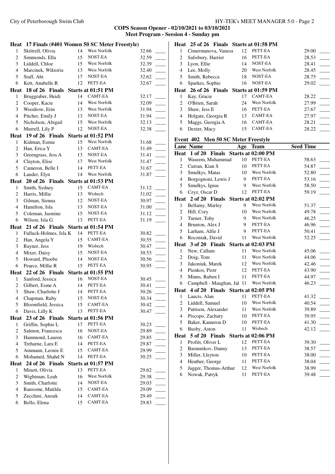**COPS Season Opener - 02/10/2021 to 03/10/2021 Meet Program - Seesion 4 - Sunday pm**

|                                  | Heat 17 Finals (#401 Women 50 SC Meter Freestyle) |    |                               |                |
|----------------------------------|---------------------------------------------------|----|-------------------------------|----------------|
| 1                                | Skittrell, Olivia                                 | 14 | West Norfolk                  | 32.66          |
| $\overline{c}$                   | Simmonds, Ella                                    | 15 | NOST-EA                       | 32.59          |
| 3                                | Liddell, Chloe                                    | 15 | West Norfolk                  | 32.39          |
| $\overline{4}$                   | Marcinek, Wiktoria                                | 13 | West Norfolk                  | 32.40          |
| 5                                | Staff, Abi                                        | 17 | NOST-EA                       | 32.62          |
| 6                                | Kett, Anabelle R                                  | 12 | PETT-EA                       | 32.67          |
|                                  | Heat 18 of 26 Finals                              |    | Starts at 01:51 PM            |                |
| $\mathbf{1}$                     | Bruggraber, Heidi                                 | 14 | <b>CAMT-EA</b>                | 32.17          |
| $\sqrt{2}$                       | Cooper, Kacie                                     | 14 | West Norfolk                  | 32.09          |
| 3                                | Woodrow, Erin                                     | 13 | <b>West Norfolk</b>           | 31.94          |
| $\overline{4}$                   | Pitcher, Emily J                                  | 13 | NOST-EA                       | 31.94          |
| 5                                | Nicholson, Abigail                                | 15 | West Norfolk                  | 32.13          |
| 6                                | Murrell, Lily P                                   | 12 | NOST-EA                       | 32.38          |
|                                  | Heat 19 of 26 Finals                              |    | Starts at 01:52 PM            |                |
| 1                                | Kidman, Esmie                                     | 15 | West Norfolk                  | 31.68          |
| $\overline{c}$                   | Han, Erica Y                                      | 13 | CAMT-EA                       | 31.49          |
| 3                                | Greengrass, Jess A                                | 13 | NOST-EA                       | 31.41          |
| $\overline{4}$                   | Clayton, Elise                                    | 17 | West Norfolk                  | 31.47          |
| 5                                | Cameron, Belle I                                  | 14 | PETT-EA                       | 31.67          |
| 6                                | Lauder, Elyn                                      | 14 | West Norfolk                  | 31.87          |
|                                  | Heat 20 of 26 Finals Starts at 01:53 PM           |    |                               |                |
| 1                                | Smith, Sydney                                     | 15 | CAMT-EA                       | 31.12          |
| $\overline{c}$                   | Harris, Millie                                    | 13 | Wisbech                       | 31.02          |
| 3                                | Gilman, Sienna                                    | 12 | NOST-EA                       | L.<br>30.97    |
| $\overline{4}$                   | Hamilton, Isla                                    | 13 | NOST-EA                       | 31.00          |
| 5                                | Coleman, Jasmine                                  | 15 | NOST-EA                       | 31.12          |
| 6                                | Wilson, Isla G                                    | 13 | PETT-EA                       | 31.19          |
|                                  |                                                   |    |                               |                |
|                                  |                                                   |    |                               |                |
|                                  | Heat 21 of 26 Finals                              | 14 | Starts at 01:54 PM<br>PETT-EA |                |
| 1                                | Fulluck-Holmes, Isla K                            | 15 | <b>CAMT-EA</b>                | 30.82          |
| $\boldsymbol{2}$                 | Han, Angela Y                                     | 19 | Wisbech                       | 30.55          |
| $\mathfrak{Z}$<br>$\overline{4}$ | Rayner, Jess                                      | 15 | NOST-EA                       | 30.47          |
|                                  | Mixer, Daisy                                      | 14 | NOST-EA                       | 30.53          |
| 5                                | Howard, Phoebe                                    |    | PETT-EA                       | 30.56          |
| 6                                | Pearce, Millie R                                  | 15 |                               | 30.95          |
| $\mathbf{1}$                     | Heat 22 of 26 Finals                              | 16 | Starts at 01:55 PM<br>NOST-EA | 30.45          |
| $\overline{c}$                   | Sanford, Jessica<br>Gilbert, Esme A               | 14 | PETT-EA                       | 30.41          |
| $\mathfrak{Z}$                   |                                                   |    |                               |                |
| 4                                | Shaw, Charlotte J                                 | 15 | 14 PETT-EA<br>NOST-EA         | 30.26<br>30.34 |
| 5                                | Chapman, Ruby<br>Bloomfield, Jessica              | 15 | CAMT-EA                       | 30.42          |
| 6                                | Davis, Lilly K                                    | 13 | PETT-EA                       | 30.47          |
|                                  |                                                   |    |                               |                |
| 1                                | Heat 23 of 26 Finals                              | 17 | Starts at 01:56 PM<br>PETT-EA |                |
| $\overline{c}$                   | Griffin, Sophie L<br>Salmon, Francesca            | 16 | NOST-EA                       | 30.23<br>29.89 |
| 3                                | Hammond, Lauren                                   | 16 | CAMT-EA                       | 29.85          |
| $\overline{4}$                   | Treharne, Lara E                                  | 14 | PETT-EA                       | 29.87          |
| 5                                | Ammann, Leonie E                                  | 15 | CAMT-EA                       | 29.99          |
| 6                                | Mohamed, Shahd N                                  | 14 | PETT-EA                       | 30.25          |
|                                  | Heat 24 of 26 Finals                              |    | Starts at 01:57 PM            |                |
| $\mathbf{1}$                     | Minett, Olivia                                    | 13 | PETT-EA                       | 29.62          |
| $\overline{c}$                   | Wightman, Leah                                    | 16 | West Norfolk                  | 29.38          |
| 3                                | Smith, Charlotte                                  | 14 | NOST-EA                       | 29.03          |
| 4                                | Ransome, Matilda                                  | 15 | CAMT-EA                       | 29.09          |
| 5                                | Zecchini, Anouk                                   | 14 | CAMT-EA                       | 29.49          |
| 6                                | Bello, Elena                                      | 15 | CAMT-EA                       | 29.83          |

|                | Heat 25 of 26 Finals Starts at 01:58 PM |    |                    |       |
|----------------|-----------------------------------------|----|--------------------|-------|
| 1              | Cimermanova, Vanesa                     | 12 | PETT-EA            | 29.00 |
| 2              | Salisbury, Harriet                      | 16 | PETT-EA            | 28.53 |
| 3              | Lyon, Ellie                             | 14 | NOST-EA            | 28.41 |
| 4              | Lee, Molly                              | 20 | West Norfolk       | 28.45 |
| 5              | Smith, Rebecca                          | 18 | NOST-EA            | 28.75 |
| 6              | Sparkes, Sophie                         | 16 | NOST-EA            | 29.02 |
|                | Heat 26 of 26 Finals                    |    | Starts at 01:59 PM |       |
| 1              | Kay, Gracie                             | 17 | CAMT-EA            | 28.22 |
| $\mathfrak{D}$ | O'Brien, Sarah                          | 24 | West Norfolk       | 27.99 |
| 3              | Shaw, Jess E                            | 16 | PETT-EA            | 27.67 |
| 4              | Holgate, Georgia R                      | 13 | CAMT-EA            | 27.97 |
| 5              | Maggs, Georgia A                        | 16 | <b>CAMT-EA</b>     | 28.21 |
| 6              |                                         | 15 | CAMT-EA            |       |
|                | Dexter, Macy                            |    |                    | 28.22 |

# **Event 402 Men 50 SC Meter Freestyle**

|                | <b>Lane Name</b>                       | Age | <b>Team</b>         | <b>Seed Time</b> |
|----------------|----------------------------------------|-----|---------------------|------------------|
| <b>Heat</b>    | $1$ of $20$<br><b>Finals</b>           |     | Starts at 02:00 PM  |                  |
| 1              | Waseem, Muhammad                       | 10  | PETT-EA             | 58.63            |
| 2              | Curran, Kian S                         | 10  | PETT-EA             | 54.87            |
| 3              | Smulkys, Matas                         | 10  | West Norfolk        | 52.80            |
| $\overline{4}$ | Borgognoni, Lewis J                    | 9   | PETT-EA             | 53.16            |
| 5              | Smulkys, Ignas                         | 9   | West Norfolk        | 58.50            |
| 6              | Czyz, Oscar D                          | 12  | PETT-EA             | 59.19            |
|                | Heat 2 of 20 Finals                    |     | Starts at 02:02 PM  |                  |
| 1              | Bellamy, Marley                        | 9   | <b>West Norfolk</b> | 51.37            |
| $\overline{c}$ | Hill, Cory                             | 10  | <b>West Norfolk</b> | 49.78            |
| 3              | Turner, Toby                           | 9   | <b>West Norfolk</b> | 46.25            |
| $\overline{4}$ | Brunton, Alex J                        | 9   | PETT-EA             | 46.96            |
| 5              | Larham, Alfie J                        | 9   | PETT-EA             | 50.41            |
| 6              | Roczniak, David                        | 11  | West Norfolk        | 52.25            |
|                | Heat 3 of 20 Finals                    |     | Starts at 02:03 PM  |                  |
| 1              | New, Callum                            | 11  | <b>West Norfolk</b> | 45.06            |
| $\overline{c}$ | Doig, Tom                              | 11  | <b>West Norfolk</b> | 44.06            |
| 3              | Jakoniuk, Marek                        | 12  | <b>West Norfolk</b> | 42.46            |
| $\overline{4}$ | Pienkos, Piotr                         | 12  | PETT-EA             | 43.90            |
| 5              | Minns, Ruben I                         | 11  | PETT-EA             | 44.97            |
| 6              | Campbell - Maughan, Jal                | 11  | <b>West Norfolk</b> | 46.23            |
|                | Heat 4 of 20 Finals Starts at 02:05 PM |     |                     |                  |
| 1              | Laucis, Alan                           | 11  | PETT-EA             | 41.32            |
| 2              | Liddell, Samuel                        | 10  | <b>West Norfolk</b> | 40.54            |
| 3              | Pattison, Alexander                    | 11  | West Norfolk        | 39.89            |
| $\overline{4}$ | Piscopo, Zachary                       | 10  | PETT-EA             | 39.95            |
| 5              | Baker, Kameron D                       | 10  | PETT-EA             | 41.30            |
| 6              | Busby, Aston                           | 11  | Wisbech             | 42.12            |
| Heat           | 5 of 20 Finals                         |     | Starts at 02:06 PM  |                  |
| $\mathbf{1}$   | Profitt, Oliver L                      | 12  | PETT-EA             | 39.30            |
| 2              | Barannikov, Danny                      | 13  | PETT-EA             | 38.57            |
| 3              | Miller, Lleyton                        | 10  | PETT-EA             | 38.00            |
| $\overline{4}$ | Heather, George                        | 11  | PETT-EA             | 38.04            |
| 5              | Jagger, Thomas-Arthur                  | 12  | West Norfolk        | 38.99            |
| 6              | Nowak, Patryk                          | 11  | PETT-EA             | 39.48            |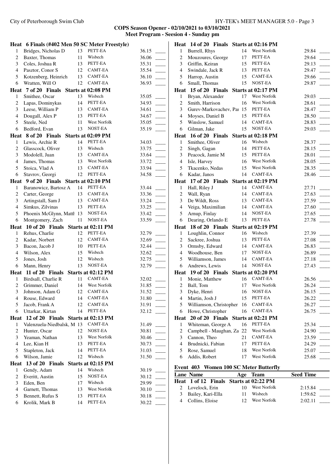|                        | Heat 6 Finals (#402 Men 50 SC Meter Freestyle) |          |                     |                |  |
|------------------------|------------------------------------------------|----------|---------------------|----------------|--|
| $\mathbf{1}$           | Bridges, Nicholas D                            | 13       | PETT-EA             | 36.15          |  |
| $\overline{c}$         | Baxter, Thomas                                 | 11       | Wisbech             | 36.06          |  |
| $\mathfrak{Z}$         | Coles, Joshua R                                | 13       | PETT-EA             | 35.31          |  |
| 4                      | Pasztor, Conor S                               | 12       | CAMT-EA             | 35.54          |  |
| 5                      | Kotzenberg, Heinrich                           |          | 13 CAMT-EA          | 36.10          |  |
| 6                      | Wratten, Will O                                | 12       | CAMT-EA             | 36.93          |  |
| Heat                   | 7 of 20 Finals Starts at 02:08 PM              |          |                     |                |  |
| 1                      | Smithee, Oscar                                 | 13       | Wisbech             | 35.05          |  |
| $\overline{c}$         | Lapas, Dominykas                               | 14       | PETT-EA             | 34.93          |  |
| 3                      | Leese, William P                               | 13       | CAMT-EA             | 34.61          |  |
| $\overline{4}$         | Dougall, Alex P                                | 13       | PETT-EA             | 34.67          |  |
| 5                      | Steele, Ned                                    | 11       | West Norfolk        | 35.05          |  |
| 6                      | Bedford, Evan                                  | 13       | NOST-EA             | 35.19          |  |
|                        | Heat 8 of 20 Finals                            |          | Starts at 02:09 PM  |                |  |
| 1                      | Lewis, Archie R                                | 14       | PETT-EA             | 34.03          |  |
| 2                      | Glasscock, Oliver                              | 13       | Wisbech             | 33.75          |  |
| 3                      | Modolell, Juan                                 | 13       | CAMT-EA             | 33.64          |  |
| 4                      | James, Thomas                                  | 13       | <b>West Norfolk</b> | 33.72          |  |
| 5                      | Stoica, Vlad A                                 | 13       | CAMT-EA             | 33.94          |  |
| 6                      | Stavrov, Georgi                                | 12       | PETT-EA             | 34.58          |  |
| Heat                   | 9 of 20 Finals Starts at 02:10 PM              |          |                     |                |  |
| 1                      | Baranowicz, Bartosz A                          | 14       | PETT-EA             | 33.44          |  |
| $\overline{c}$         | Carter, George                                 | 13       | CAMT-EA             | 33.36          |  |
| 3                      | Artingstall, Sam J                             | 13       | CAMT-EA             | 33.24          |  |
| $\overline{4}$         | Simkus, Zilvinas                               | 13       | PETT-EA             | 33.25          |  |
| 5                      | Phoenix McGlynn, Matth 13                      |          | NOST-EA             | 33.42          |  |
| 6                      | Montgomery, Zach                               | 11       | NOST-EA             | 33.59          |  |
|                        | Heat 10 of 20 Finals                           |          | Starts at 02:11 PM  |                |  |
| $\mathbf{1}$           | Rehus, Charlie                                 | 12       | PETT-EA             | 32.79          |  |
| 2                      | Kadar, Norbert                                 | 12       | CAMT-EA             |                |  |
|                        |                                                |          |                     |                |  |
| 3                      |                                                | 10       | PETT-EA             | 32.69          |  |
| 4                      | Bacon, Jacob J                                 | 15       | Wisbech             | 32.44<br>32.62 |  |
| 5                      | Wilson, Alex                                   | 12       | Wisbech             | 32.75          |  |
| 6                      | Jones, Josh                                    | 13       | NOST-EA             | 32.79          |  |
|                        | Mann, Henry                                    |          |                     |                |  |
| 1                      | Heat 11 of 20 Finals Starts at 02:12 PM        |          | <b>CAMT-EA</b>      |                |  |
|                        | Birdsall, Charlie R                            | 11<br>14 | West Norfolk        | 32.02          |  |
| $\overline{c}$         | Grimmer, Daniel                                |          | <b>CAMT-EA</b>      | 31.85          |  |
| 3<br>4                 | Johnson, Adam G                                | 12<br>14 | CAMT-EA             | 31.52          |  |
| 5                      | Rouse, Edward                                  | 12       | CAMT-EA             | 31.80          |  |
| 6                      | Jacob, Frank A                                 | 14       | PETT-EA             | 31.91          |  |
|                        | Uttarkar, Kirtan                               |          |                     | 32.12          |  |
|                        | Heat 12 of 20 Finals Starts at 02:13 PM        |          | <b>CAMT-EA</b>      |                |  |
| 1                      | Valenzuela-Niedbalsk, M 13                     |          | NOST-EA             | 31.49          |  |
| 2                      | Hunter, Oscar                                  | 12       | West Norfolk        | 30.81          |  |
| 3                      | Yeaman, Nathan                                 | 13       | PETT-EA             | 30.46          |  |
| 4                      | Lee, Kian H                                    | 13       | PETT-EA             | 30.73          |  |
| 5                      | Stapleton, Jack                                | 14       |                     | 31.03          |  |
| 6                      | Wilson, Jamie                                  | 12       | Wisbech             | 31.50          |  |
|                        | 13 of 20 Finals                                |          | Starts at 02:15 PM  |                |  |
| 1                      | Gendy, Adam                                    | 14       | Wisbech             | 30.19          |  |
| Heat<br>$\overline{c}$ | Everitt, Austin                                | 15       | NOST-EA             | 30.12          |  |
| 3                      | Eden, Ben                                      | 17       | Wisbech             | 29.99          |  |
| $\overline{4}$         | Garnett, Thomas                                | 13       | West Norfolk        | 30.10          |  |
| 5<br>6                 | Bennett, Rufus S<br>Krolik, Mark B             | 13<br>14 | PETT-EA<br>PETT-EA  | 30.18<br>30.22 |  |

|                     | Heat 14 of 20 Finals Starts at 02:16 PM |    |                     |       |  |
|---------------------|-----------------------------------------|----|---------------------|-------|--|
| $\mathbf{1}$        | Burrell, Rhys                           | 14 | West Norfolk        | 29.84 |  |
| $\overline{c}$      | Mouzoures, George                       | 17 | PETT-EA             | 29.64 |  |
| 3                   | Griffin, Keiran                         | 15 | PETT-EA             | 29.13 |  |
| 4                   | Swindale, Jack R                        | 13 | PETT-EA             | 29.47 |  |
| 5                   | Harrop, Austin                          | 15 | CAMT-EA             | 29.66 |  |
| 6                   | Small, Thomas                           | 15 | NOST-EA             | 29.87 |  |
| Heat                | 15 of 20 Finals                         |    | Starts at 02:17 PM  |       |  |
| 1                   | Bryan, Alexander                        | 17 | <b>West Norfolk</b> | 29.03 |  |
| $\overline{c}$      | Smith, Harrison                         | 16 | West Norfolk        | 28.61 |  |
| 3                   | Gurev-Markovachev, Paı 15               |    | PETT-EA             | 28.47 |  |
| $\overline{4}$      | Moyses, Daniel B                        | 15 | PETT-EA             | 28.50 |  |
| 5                   | Winslow, Samuel                         | 14 | CAMT-EA             | 28.83 |  |
| 6                   | Gilman, Jake                            | 15 | NOST-EA             | 29.03 |  |
|                     | Heat 16 of 20 Finals Starts at 02:18 PM |    |                     |       |  |
| $\mathbf{1}$        | Smithee, Oliver                         | 16 | Wisbech             | 28.37 |  |
| $\overline{c}$      | Singh, Gagan                            | 14 | PETT-EA             | 28.15 |  |
| 3                   | Peacock, Jamie M                        | 15 | PETT-EA             | 28.01 |  |
| $\overline{4}$      | Isle, Harvey                            | 16 | <b>West Norfolk</b> | 28.05 |  |
| 5                   | Tkacenko, Nedas                         | 15 | <b>West Norfolk</b> | 28.35 |  |
| 6                   | Kadar, Janos                            | 14 | <b>CAMT-EA</b>      | 28.46 |  |
|                     |                                         |    |                     |       |  |
|                     | Heat 17 of 20 Finals Starts at 02:19 PM | 14 | CAMT-EA             |       |  |
| 1<br>$\overline{c}$ | Hall, Riley J                           | 14 | CAMT-EA             | 27.71 |  |
|                     | Wall, Ryan                              |    | CAMT-EA             | 27.63 |  |
| 3<br>$\overline{4}$ | De Wildt, Ross                          | 13 | CAMT-EA             | 27.59 |  |
|                     | Veiga, Maximilian                       | 14 |                     | 27.60 |  |
| 5                   | Arnup, Finlay                           | 14 | NOST-EA             | 27.65 |  |
| 6                   | Dearing, Orlando E                      | 13 | PETT-EA             | 27.78 |  |
|                     | Heat 18 of 20 Finals                    |    | Starts at 02:19 PM  |       |  |
| $\mathbf{1}$        | Loughlin, Connor                        | 16 | Wisbech             | 27.39 |  |
| $\overline{c}$      | Sackree, Joshua                         | 13 | PETT-EA             | 27.08 |  |
| 3                   | Ormsby, Edward                          | 14 | CAMT-EA             | 26.83 |  |
| $\overline{4}$      | Woodhouse, Ben                          | 17 | NOST-EA             | 26.89 |  |
| 5                   | Williamson, James                       | 14 | CAMT-EA             | 27.18 |  |
| 6                   | Andrews, Lewis                          | 14 | NOST-EA             | 27.43 |  |
|                     | Heat 19 of 20 Finals                    |    | Starts at 02:20 PM  |       |  |
| 1                   | Monie, Matthew                          | 16 | CAMT-EA             | 26.56 |  |
| $\overline{c}$      | Ball, Tom                               | 17 | West Norfolk        | 26.24 |  |
| 3                   | Dyke, Henri                             | 16 | NOST-EA             | 26.15 |  |
| 4                   | Martin, Josh J                          | 15 | PETT-EA             | 26.22 |  |
| 5                   | Williamson, Christopher                 | 16 | CAMT-EA             | 26.27 |  |
| 6                   | Howe, Christopher                       | 16 | CAMT-EA             | 26.75 |  |
|                     | Heat 20 of 20 Finals                    |    | Starts at 02:21 PM  |       |  |
| $\mathbf{1}$        | Whiteman, George A                      | 16 | PETT-EA             | 25.34 |  |
| $\overline{c}$      | Campbell - Maughan, Za 22               |    | West Norfolk        | 24.90 |  |
| 3                   | Cannon, Theo                            | 21 | CAMT-EA             | 23.59 |  |
| $\overline{4}$      | Brudnicki, Fabian                       | 17 | PETT-EA             | 24.29 |  |
| 5                   | Rose, Samuel                            | 18 | West Norfolk        | 25.07 |  |
| 6                   | Addis, Robert                           | 17 | West Norfolk        | 25.68 |  |
|                     | Event 403 Women 100 SC Meter Butterfly  |    |                     |       |  |

| Lane Name           | Age Team                               | <b>Seed Time</b> |
|---------------------|----------------------------------------|------------------|
|                     | Heat 1 of 12 Finals Starts at 02:22 PM |                  |
| 2 Lovelock, Erin    | <b>West Norfolk</b><br>10              | 2:15.84          |
| 3 Bailey, Kari-Ella | Wisbech<br>11                          | 1:59.62          |
| 4 Collins, Eloise   | <b>West Norfolk</b>                    | 2:02.11          |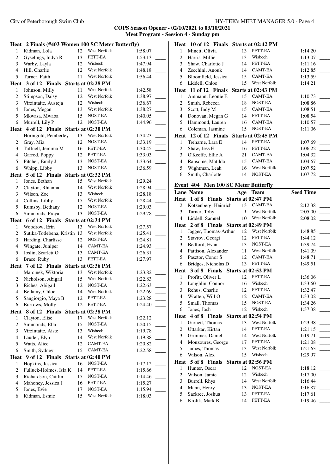|                | Heat 2 Finals (#403 Women 100 SC Meter Butterfly) |    |                    |         | Heat 1                                 |
|----------------|---------------------------------------------------|----|--------------------|---------|----------------------------------------|
| $\mathbf{1}$   | Kidman, Lola                                      | 12 | West Norfolk       | 1:58.07 | $\mathbf{1}$<br>Mi                     |
| $\mathbf{2}$   | Gyselings, Indya R                                | 13 | PETT-EA            | 1:53.13 | $\overline{c}$<br>Ha                   |
| 3              | Warby, Layla                                      | 12 | Wisbech            | 1:47.94 | 3<br>Sh                                |
| $\overline{4}$ | Hill, Charlie                                     | 12 | West Norfolk       | 1:48.18 | $\overline{4}$<br>Ze                   |
| 5              | Turner, Faith                                     | 11 | West Norfolk       | 1:56.44 | 5<br><b>B</b> l                        |
|                | Heat 3 of 12 Finals                               |    | Starts at 02:28 PM |         | 6<br>Lio                               |
| $\mathbf{1}$   | Johnson, Milly                                    | 11 | West Norfolk       | 1:42.58 | <b>Heat</b><br>$\mathbf{1}$            |
| $\overline{c}$ | Stimpson, Daisy                                   | 12 | West Norfolk       | 1:38.97 | 1<br>An                                |
| 3              | Virzintaite, Austeja                              | 12 | Wisbech            | 1:36.67 | $\overline{c}$<br>Sm                   |
| $\overline{4}$ | Jones, Megan                                      | 13 | West Norfolk       | 1:38.27 | 3<br>Sc                                |
| 5              | Mkwasa, Mwaba                                     | 15 | NOST-EA            | 1:40.05 | $\overline{4}$<br>Do                   |
| $\sqrt{6}$     | Murrell, Lily P                                   | 12 | NOST-EA            | 1:44.96 | 5<br>Ha                                |
|                | Heat 4 of 12 Finals Starts at 02:30 PM            |    |                    |         | 6<br>Co                                |
| $\mathbf{1}$   | Hornigold, Pemberley                              | 13 | West Norfolk       | 1:34.23 | Heat<br>$\mathbf{1}$                   |
| $\mathbf{2}$   | Gray, Mia                                         | 12 | NOST-EA            | 1:33.19 | 1<br>Tre                               |
| 3              | Tuffnell, Jemima M                                | 16 | PETT-EA            | 1:30.45 | $\overline{c}$<br>Sh                   |
| $\overline{4}$ | Garrod, Poppy                                     | 12 | PETT-EA            | 1:33.03 | 3<br>O'                                |
| 5              | Pitcher, Emily J                                  | 13 | NOST-EA            | 1:33.64 | $\overline{4}$<br>Ra                   |
| 6              | Whipp, Libby                                      | 13 | NOST-EA            | 1:36.59 | 5<br>Wi                                |
|                | Heat 5 of 12 Finals                               |    | Starts at 02:32 PM |         | 6<br>Sm                                |
| 1              | Jones, Bethan                                     | 15 | West Norfolk       | 1:29.24 |                                        |
| $\sqrt{2}$     | Clayton, Rhianna                                  | 14 | West Norfolk       | 1:28.94 | Event 4                                |
| 3              | Wilson, Zoe                                       | 13 | Wisbech            | 1:28.18 | Lane N                                 |
| $\overline{4}$ | Collins, Libby                                    | 15 | West Norfolk       | 1:28.44 | Heat 1                                 |
| 5              | Rumsby, Bethany                                   | 12 | NOST-EA            | 1:29.03 | $\overline{c}$<br>Ko                   |
| 6              | Simmonds, Freya                                   | 13 | NOST-EA            | 1:29.78 | 3<br>Tu                                |
|                | Heat 6 of 12 Finals                               |    | Starts at 02:34 PM |         | $\overline{4}$<br>Lio                  |
| $\mathbf{1}$   | Woodrow, Erin                                     | 13 | West Norfolk       | 1:27.57 | $\overline{2}$<br>Heat                 |
| $\mathbf{2}$   | Sutika-Totlebena, Kristin 13                      |    | West Norfolk       | 1:25.41 | 1<br>Jag                               |
| 3              | Harding, Charlisse                                | 12 | NOST-EA            | 1:24.81 | $\overline{c}$<br>Sta                  |
| $\overline{4}$ | Wingate, Juniper                                  | 14 | CAMT-EA            | 1:24.93 | 3<br>Be                                |
| 5              | Joslin, Scarlett O                                | 13 | CAMT-EA            | 1:26.31 | $\overline{4}$<br>Pa                   |
| 6              | Brace, Ruby                                       | 13 | PETT-EA            | 1:27.97 | 5<br>Pa                                |
|                | Heat 7 of 12 Finals Starts at 02:36 PM            |    |                    |         | 6<br><b>Br</b>                         |
| $\mathbf{1}$   | Marcinek, Wiktoria                                | 13 | West Norfolk       | 1:23.82 | Heat 3                                 |
| $\overline{c}$ | Nicholson, Abigail                                | 15 | West Norfolk       | 1:22.83 | 1<br>Pro                               |
| 3              | Riches, Abigail                                   | 12 | NOST-EA            | 1:22.63 | $\overline{c}$<br>Lo                   |
| $\overline{4}$ | Bellamy, Chloe                                    | 14 | West Norfolk       | 1:22.69 | 3<br>Re                                |
| 5              | Sangiorgio, Maya B                                | 12 | PETT-EA            | 1:23.28 | W<br>4                                 |
| 6              | Burrows, Molly                                    | 12 | PETT-EA            | 1:24.40 | 5<br>Sm                                |
|                | Heat 8 of 12 Finals                               |    | Starts at 02:38 PM |         | 6<br>Jor                               |
| $\mathbf{1}$   | Clayton, Elise                                    | 17 | West Norfolk       | 1:22.12 | <b>Heat</b><br>$\overline{\mathbf{4}}$ |
| $\mathbf{2}$   | Simmonds, Ella                                    | 15 | NOST-EA            | 1:20.15 | 1<br>Ga                                |
| 3              | Virzintaite, Aiste                                | 13 | Wisbech            | 1:19.78 | 2<br>Ut                                |
| $\overline{4}$ | Lauder, Elyn                                      | 14 | West Norfolk       | 1:19.88 | 3<br>Gr                                |
| $\mathfrak s$  | Watts, Alice                                      | 12 | CAMT-EA            | 1:20.82 | $\overline{4}$<br>M                    |
| 6              | Smith, Sydney                                     | 15 | CAMT-EA            | 1:22.58 | 5<br>Jar                               |
| Heat           | 9 of 12 Finals                                    |    | Starts at 02:40 PM |         | 6<br>Wi                                |
| $\mathbf{1}$   | Hopkins, Jessica                                  | 16 | NOST-EA            | 1:17.12 | Heat<br>-5                             |
| $\overline{c}$ | Fulluck-Holmes, Isla K                            | 14 | PETT-EA            | 1:15.66 | 1<br>Hu                                |
| 3              | Richardson, Caitlin                               | 15 | NOST-EA            | 1:14.46 | $\overline{c}$<br>Wi                   |
| $\overline{4}$ | Mahoney, Jessica J                                | 16 | PETT-EA            | 1:15.27 | 3<br>Bu                                |
| $\mathfrak s$  | Jones, Evie                                       | 17 | NOST-EA            | 1:15.94 | $\overline{4}$<br>M                    |
| 6              | Kidman, Esmie                                     | 15 | West Norfolk       | 1:18.03 | 5<br>Sa                                |
|                |                                                   |    |                    |         | 6<br>Kr                                |

|                | Heat 10 of 12 Finals Starts at 02:42 PM                     |          |                               |                    |  |
|----------------|-------------------------------------------------------------|----------|-------------------------------|--------------------|--|
| 1              | Minett, Olivia                                              | 13       | PETT-EA                       | 1:14.20            |  |
| 2              | Harris, Millie                                              | 13       | Wisbech                       | 1:13.07            |  |
| 3              | Shaw, Charlotte J                                           | 14       | PETT-EA                       | 1:11.16            |  |
| $\overline{4}$ | Zecchini, Anouk                                             | 14       | CAMT-EA                       | 1:12.85            |  |
| 5              | Bloomfield, Jessica                                         | 15       | CAMT-EA                       | 1:13.59            |  |
| 6              | Liddell, Chloe                                              | 15       | West Norfolk                  | 1:14.21            |  |
| Heat           | 11 of 12 Finals                                             |          | Starts at 02:43 PM            |                    |  |
| 1              | Ammann, Leonie E                                            | 15       | CAMT-EA                       | 1:10.73            |  |
| $\overline{c}$ | Smith, Rebecca                                              | 18       | NOST-EA                       | 1:08.86            |  |
| 3              | Scott, Indy M                                               | 15       | CAMT-EA                       | 1:08.51            |  |
| 4              | Donovan, Megan G                                            | 14       | PETT-EA                       | 1:08.54            |  |
| 5              | Hammond, Lauren                                             | 16       | <b>CAMT-EA</b>                | 1:10.57            |  |
| 6              | Coleman, Jasmine                                            | 15       | NOST-EA                       | 1:11.06            |  |
|                | Heat 12 of 12 Finals                                        |          | Starts at 02:45 PM            |                    |  |
| 1              | Treharne, Lara E                                            | 14       | PETT-EA                       | 1:07.69            |  |
| 2              | Shaw, Jess E                                                | 16       | PETT-EA                       | 1:06.22            |  |
| 3              | O'Keeffe, Ellie A                                           | 21       | CAMT-EA                       | 1:04.32            |  |
| 4              | Ransome, Matilda                                            | 15       | <b>CAMT-EA</b>                | 1:04.67            |  |
| 5              | Wightman, Leah                                              | 16       | West Norfolk                  | 1:07.52            |  |
| 6              | Smith, Charlotte                                            | 14       | NOST-EA                       | 1:07.72            |  |
|                |                                                             |          |                               |                    |  |
|                | Event 404 Men 100 SC Meter Butterfly                        |          |                               |                    |  |
|                | <b>Lane Name</b>                                            |          | Age Team                      | <b>Seed Time</b>   |  |
| Heat<br>2      | 1 of 8<br>Finals Starts at 02:47 PM<br>Kotzenberg, Heinrich | 13       | CAMT-EA                       | 2:12.38            |  |
| 3              | Turner, Toby                                                | 9        | West Norfolk                  | 2:05.00            |  |
| $\overline{4}$ | Liddell, Samuel                                             | 10       | West Norfolk                  | 2:08.02            |  |
|                |                                                             |          |                               |                    |  |
|                |                                                             |          |                               |                    |  |
|                | Heat 2 of 8 Finals Starts at 02:49 PM                       |          |                               |                    |  |
| 1              | Jagger, Thomas-Arthur                                       | 12       | West Norfolk                  | 1:48.85            |  |
| 2              | Stavrov, Georgi                                             | 12       | PETT-EA                       | 1:44.12            |  |
| 3              | Bedford, Evan                                               | 13       | NOST-EA                       | 1:39.74            |  |
| $\overline{4}$ | Pattison, Alexander                                         | 11       | West Norfolk                  | 1:41.09            |  |
| 5              | Pasztor, Conor S                                            | 12       | <b>CAMT-EA</b>                | 1:48.71            |  |
| 6              | Bridges, Nicholas D                                         | 13       | PETT-EA                       | 1:49.51            |  |
|                | Heat 3 of 8 Finals Starts at 02:52 PM                       |          |                               |                    |  |
| 1              | Profitt, Oliver L                                           | 12       | PETT-EA                       | 1:36.06            |  |
| $\overline{c}$ | Loughlin, Connor                                            | 16       | Wisbech                       | 1:33.60            |  |
| 3              | Rehus, Charlie                                              | 12       | PETT-EA                       | 1:32.47            |  |
| 4              | Wratten, Will O                                             | 12       | CAMT-EA                       | 1:33.02            |  |
| 5              | Small, Thomas                                               | 15       | NOST-EA<br>Wisbech            | 1:34.26            |  |
| 6              | Jones, Josh                                                 | 12       |                               | 1:37.38            |  |
| Heat           | 4 of 8 Finals                                               |          | Starts at 02:54 PM            |                    |  |
| 1              | Garnett, Thomas                                             | 13       | West Norfolk<br>PETT-EA       | 1:23.98            |  |
| $\overline{c}$ | Uttarkar, Kirtan                                            | 14       |                               | 1:21.15            |  |
| 3              | Grimmer, Daniel                                             | 14       | West Norfolk                  | 1:19.71            |  |
| $\overline{4}$ | Mouzoures, George                                           | 17       | PETT-EA<br>West Norfolk       | 1:21.08            |  |
| 5              | James, Thomas                                               | 13       | Wisbech                       | 1:21.63            |  |
| 6              | Wilson, Alex                                                | 15       |                               | 1:29.97            |  |
| Heat           | 5 of 8 Finals                                               |          | Starts at 02:56 PM<br>NOST-EA |                    |  |
| 1              | Hunter, Oscar                                               | 12       | Wisbech                       | 1:18.12            |  |
| 2              | Wilson, Jamie                                               | 12       | West Norfolk                  | 1:17.00            |  |
| 3<br>4         | Burrell, Rhys                                               | 14       | NOST-EA                       | 1:16.44            |  |
| 5              | Mann, Henry<br>Sackree, Joshua                              | 13<br>13 | PETT-EA                       | 1:16.87<br>1:17.61 |  |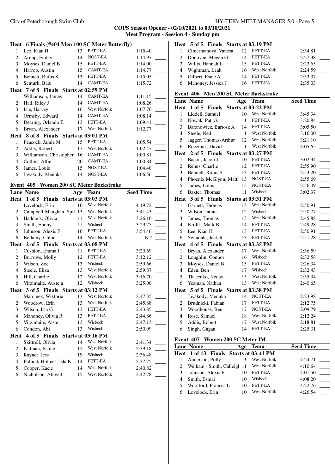#### **COPS Season Opener - 02/10/2021 to 03/10/2021 Meet Program - Seesion 4 - Sunday pm**

|                         | Heat 6 Finals (#404 Men 100 SC Meter Butterfly) |          |                                    |                    |                          |
|-------------------------|-------------------------------------------------|----------|------------------------------------|--------------------|--------------------------|
| 1                       | Lee, Kian H                                     | 13       | PETT-EA                            | 1:15.40            |                          |
| $\overline{c}$          | Arnup, Finlay                                   | 14       | NOST-EA                            | 1:14.97            |                          |
| 3                       | Moyses, Daniel B                                | 15       | PETT-EA                            | 1:14.00            |                          |
| $\overline{4}$          | Harrop, Austin                                  | 15       | <b>CAMT-EA</b>                     | 1:14.77            |                          |
| 5                       | Bennett, Rufus S                                | 13       | PETT-EA                            | 1:15.05            |                          |
| 6                       | Senturk, Batu                                   | 14       | CAMT-EA                            | 1:15.72            |                          |
|                         | Heat 7 of 8 Finals Starts at 02:59 PM           |          |                                    |                    |                          |
| 1                       | Williamson, James                               | 14       | CAMT-EA                            | 1:11.15            |                          |
| $\overline{c}$          | Hall, Riley J                                   | 14       | <b>CAMT-EA</b>                     | 1:08.26            | $\overline{\phantom{a}}$ |
| 3                       | Isle, Harvey                                    | 16       | West Norfolk                       | 1:07.70            |                          |
| 4                       | Ormsby, Edward                                  | 14       | <b>CAMT-EA</b>                     | 1:08.14            |                          |
| 5                       | Dearing, Orlando E                              | 13       | PETT-EA                            | 1:09.41            |                          |
| 6                       | Bryan, Alexander                                | 17       | <b>West Norfolk</b>                | 1:12.77            |                          |
| Heat                    | 8 of 8 Finals Starts at 03:01 PM                |          |                                    |                    |                          |
| 1                       | Peacock, Jamie M                                | 15       | PETT-EA                            | 1:05.54            |                          |
| 2                       | Addis, Robert                                   | 17       | West Norfolk                       | 1:02.47            |                          |
| $\overline{\mathbf{3}}$ | Williamson, Christopher                         | 16       | <b>CAMT-EA</b>                     | 1:00.81            |                          |
| $\overline{4}$          | Collins, Alfie                                  | 20       | CAMT-EA                            | 1:00.84            |                          |
| 5                       | James, Louis                                    | 15       | NOST-EA                            | 1:04.40            |                          |
| 6                       | Jayakody, Menuka                                | 14       | NOST-EA                            | 1:06.56            |                          |
|                         |                                                 |          |                                    |                    |                          |
|                         |                                                 |          |                                    |                    |                          |
|                         | Event 405 Women 200 SC Meter Backstroke         |          |                                    |                    |                          |
|                         | <b>Lane Name</b>                                | Age      | <b>Team</b>                        | <b>Seed Time</b>   |                          |
| $\mathbf{1}$            | Heat 1 of 5 Finals<br>Lovelock, Erin            | 10       | Starts at 03:03 PM<br>West Norfolk | 4:19.72            |                          |
| $\overline{c}$          |                                                 |          | West Norfolk                       | 3:41.43            |                          |
| 3                       | Campbell-Maughan, Spil 13<br>Haddock, Olivia    | 11       | West Norfolk                       | 3:26.10            | $\sim$                   |
| $\overline{4}$          | Smith, Ebony                                    | 11       | Wisbech                            | 3:29.75            |                          |
| 5                       | Johnson, Alexis F                               | 10       | PETT-EA                            | 3:54.46            |                          |
| 6                       | Bellamy, Chloe                                  | 14       | West Norfolk                       | NT                 |                          |
|                         | Heat 2 of 5 Finals Starts at 03:08 PM           |          |                                    |                    |                          |
| 1                       | Cushion, Emma J                                 | 11       | PETT-EA                            | 3:20.69            |                          |
| 2                       | Burrows, Molly                                  | 12       | PETT-EA                            | 3:12.12            |                          |
| 3                       | Wilson, Zoe                                     | 13       | Wisbech                            | 2:59.66            |                          |
| $\overline{4}$          | Steele, Eliza                                   | 13       | West Norfolk                       | 2:59.87            |                          |
| 5                       | Hill, Charlie                                   | 12       | West Norfolk                       | 3:16.70            |                          |
| 6                       | Virzintaite, Austeja                            | 12       | Wisbech                            | 3:25.00            |                          |
|                         | Heat 3 of 5 Finals Starts at 03:12 PM           |          |                                    |                    |                          |
| 1                       | Marcinek, Wiktoria                              | 13       | <b>West Norfolk</b>                | 2:47.35            |                          |
| 2                       | Woodrow, Erin                                   | 13       | West Norfolk                       | 2:45.88            |                          |
| 3                       | Wilson, Isla G                                  | 13       | PETT-EA                            | 2:43.85            |                          |
| $\overline{4}$<br>5     | Mahoney, Olivia R<br>Virzintaite, Aiste         | 13<br>13 | PETT-EA<br>Wisbech                 | 2:44.86<br>2:47.13 |                          |

6 Condon, Abi 13 Wisbech 2:50.99 \_\_\_\_\_

 Skittrell, Olivia 14 West Norfolk 2:41.34 \_\_\_\_\_ 2 Kidman, Esmie 15 West Norfolk 2:39.18 \_\_\_\_ Rayner, Jess 19 Wisbech 2:36.48 \_\_\_\_\_ 4 Fulluck-Holmes, Isla K 14 PETT-EA 2:37.75 <br>5 Cooper, Kacie 14 West Norfolk 2:40.82 5 Cooper, Kacie 14 West Norfolk 2:40.82 \_\_\_\_ Nicholson, Abigail 15 West Norfolk 2:42.78 \_\_\_\_\_

**Heat 4 of 5 Finals Starts at 03:16 PM**

#### **Heat 5 of 5 Finals Starts at 03:19 PM** 1 Cimermanova, Vanesa 12 PETT-EA 2:34.81

| 1 CHICHINAHOVA, VAHUSA |    | 17. LELET       | $2.9 + 0.01$ |
|------------------------|----|-----------------|--------------|
| 2 Donovan, Megan G     | 14 | PETT-EA         | 2:27.38      |
| 3 Willis, Hannah L     |    | 15 PETT-EA      | 2:23.65      |
| 4 Wightman, Leah       |    | 16 West Norfolk | 2:24.59      |
| 5 Gilbert, Esme A      | 14 | PETT-EA         | 2:33.37      |
| 6 Mahoney, Jessica J   |    | 16 PETT-EA      | 2:35.03      |

#### **Event 406 Men 200 SC Meter Backstroke**

|                | <b>Lane Name</b>                 | Age | <b>Team</b>         | <b>Seed Time</b> |
|----------------|----------------------------------|-----|---------------------|------------------|
| Heat           | $1$ of $5$<br>Finals             |     | Starts at 03:22 PM  |                  |
| 1              | Liddell, Samuel                  | 10  | West Norfolk        | 3:45.34          |
| 2              | Nowak, Patryk                    | 11  | PETT-EA             | 3:20.84          |
| 3              | Baranowicz, Bartosz A            | 14  | PETT-EA             | 3:05.50          |
| $\overline{4}$ | Steele, Ned                      | 11  | West Norfolk        | 3:16.00          |
| 5              | Jagger, Thomas-Arthur            | 12  | West Norfolk        | 3:21.10          |
| 6              | Roczniak, David                  | 11  | <b>West Norfolk</b> | 4:05.65          |
|                | Heat 2 of 5 Finals               |     | Starts at 03:27 PM  |                  |
| 1              | Bacon, Jacob J                   | 10  | PETT-EA             | 3:02.34          |
| $\overline{c}$ | Rehus, Charlie                   | 12  | PETT-EA             | 2:55.90          |
| 3              | Bennett, Rufus S                 | 13  | PETT-EA             | 2:53.20          |
| $\overline{4}$ | Phoenix McGlynn, Mattl           | 13  | NOST-EA             | 2:55.69          |
| 5              | James, Louis                     | 15  | NOST-EA             | 2:56.09          |
| 6              | Baxter, Thomas                   | 11  | Wisbech             | 3:02.37          |
| Heat           | 3 of 5 Finals                    |     | Starts at 03:31 PM  |                  |
| 1              | Garnett, Thomas                  | 13  | West Norfolk        | 2:50.91          |
| $\overline{c}$ | Wilson, Jamie                    | 12  | Wisbech             | 2:50.77          |
| 3              | James, Thomas                    | 13  | West Norfolk        | 2:45.88          |
| $\overline{4}$ | Krolik, Mark B                   | 14  | PETT-EA             | 2:49.28          |
| 5              | Lee, Kian H                      | 13  | PETT-EA             | 2:50.91          |
| 6              | Swindale, Jack R                 | 13  | PETT-EA             | 2:51.28          |
| Heat           | 4 of 5 Finals                    |     | Starts at 03:35 PM  |                  |
| 1              | Bryan, Alexander                 | 17  | <b>West Norfolk</b> | 2:36.59          |
| $\overline{c}$ | Loughlin, Connor                 | 16  | Wisbech             | 2:32.58          |
| 3              | Moyses, Daniel B                 | 15  | PETT-EA             | 2:26.34          |
| $\overline{4}$ | Eden, Ben                        | 17  | Wisbech             | 2:32.43          |
| 5              | Tkacenko, Nedas                  | 15  | West Norfolk        | 2:35.34          |
| 6              | Yeaman, Nathan                   | 13  | West Norfolk        | 2:40.65          |
| Heat           | 5 of 5 Finals Starts at 03:38 PM |     |                     |                  |
| $\mathbf{1}$   | Jayakody, Menuka                 | 14  | NOST-EA             | 2:23.98          |
| 2              | Brudnicki, Fabian                | 17  | PETT-EA             | 2:12.75          |
| 3              | Woodhouse, Ben                   | 17  | NOST-EA             | 2:09.79          |
| $\overline{4}$ | Rose, Samuel                     | 18  | <b>West Norfolk</b> | 2:12.24          |
| 5              | Addis, Robert                    | 17  | <b>West Norfolk</b> | 2:18.81          |
| 6              | Singh, Gagan                     | 14  | PETT-EA             | 2:25.31          |

#### **Event 407 Women 200 SC Meter IM**

|   | <b>Lane Name</b>                       | Age | Team                | <b>Seed Time</b> |
|---|----------------------------------------|-----|---------------------|------------------|
|   | Heat 1 of 13 Finals Starts at 03:41 PM |     |                     |                  |
|   | Anderson, Polly                        | 9   | West Norfolk        | 4:24.71          |
|   | Welham - Smith, Calleigl               | -11 | <b>West Norfolk</b> | 4:10.64          |
|   | Johnson, Alexis F                      | 10  | PETT-EA             | 4:01.50          |
| 4 | Smith, Esmai                           |     | Wisbech             | 4:08.20          |
|   | Woolford, Frances L                    |     | PETT-EA             | 4:22.76          |
|   | Lovelock, Erin                         |     | West Norfolk        | 4:26.54          |